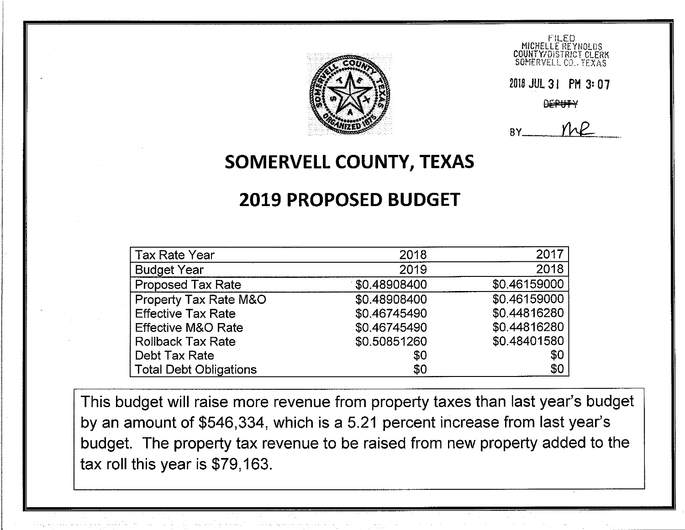

2018 JUL 3 | PM 3: 07

RY.

# SOMERVELL COUNTY, TEXAS

# **2019 PROPOSED BUDGET**

| <b>Tax Rate Year</b>          | 2018         | 2017         |
|-------------------------------|--------------|--------------|
| <b>Budget Year</b>            | 2019         | 2018         |
| <b>Proposed Tax Rate</b>      | \$0.48908400 | \$0.46159000 |
| Property Tax Rate M&O         | \$0.48908400 | \$0.46159000 |
| <b>Effective Tax Rate</b>     | \$0.46745490 | \$0.44816280 |
| <b>Effective M&amp;O Rate</b> | \$0.46745490 | \$0.44816280 |
| <b>Rollback Tax Rate</b>      | \$0.50851260 | \$0.48401580 |
| Debt Tax Rate                 | \$0          | \$0          |
| <b>Total Debt Obligations</b> | \$0          | \$0          |

This budget will raise more revenue from property taxes than last year's budget by an amount of \$546,334, which is a 5.21 percent increase from last year's budget. The property tax revenue to be raised from new property added to the tax roll this year is \$79,163.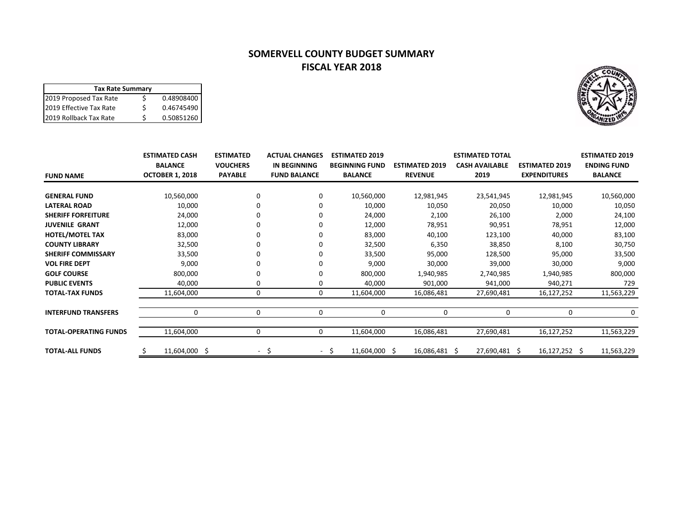## **SOMERVELL COUNTY BUDGET SUMMARY FISCAL YEAR 2018**



| <b>FUND NAME</b>             | <b>ESTIMATED CASH</b><br><b>BALANCE</b><br><b>OCTOBER 1, 2018</b> | <b>ESTIMATED</b><br><b>VOUCHERS</b><br><b>PAYABLE</b> | <b>ACTUAL CHANGES</b><br><b>IN BEGINNING</b><br><b>FUND BALANCE</b> | <b>ESTIMATED 2019</b><br><b>BEGINNING FUND</b><br><b>BALANCE</b> | <b>ESTIMATED 2019</b><br><b>REVENUE</b> | <b>ESTIMATED TOTAL</b><br><b>CASH AVAILABLE</b><br>2019 | <b>ESTIMATED 2019</b><br><b>EXPENDITURES</b> | <b>ESTIMATED 2019</b><br><b>ENDING FUND</b><br><b>BALANCE</b> |
|------------------------------|-------------------------------------------------------------------|-------------------------------------------------------|---------------------------------------------------------------------|------------------------------------------------------------------|-----------------------------------------|---------------------------------------------------------|----------------------------------------------|---------------------------------------------------------------|
|                              |                                                                   |                                                       |                                                                     |                                                                  |                                         |                                                         |                                              |                                                               |
| <b>GENERAL FUND</b>          | 10,560,000                                                        | 0                                                     | 0                                                                   | 10,560,000                                                       | 12,981,945                              | 23,541,945                                              | 12,981,945                                   | 10,560,000                                                    |
| <b>LATERAL ROAD</b>          | 10,000                                                            | 0                                                     | $\Omega$                                                            | 10,000                                                           | 10,050                                  | 20,050                                                  | 10,000                                       | 10,050                                                        |
| <b>SHERIFF FORFEITURE</b>    | 24,000                                                            |                                                       | $\Omega$                                                            | 24,000                                                           | 2,100                                   | 26,100                                                  | 2,000                                        | 24,100                                                        |
| <b>JUVENILE GRANT</b>        | 12,000                                                            |                                                       | $\Omega$                                                            | 12,000                                                           | 78,951                                  | 90,951                                                  | 78,951                                       | 12,000                                                        |
| <b>HOTEL/MOTEL TAX</b>       | 83,000                                                            |                                                       | 0                                                                   | 83,000                                                           | 40,100                                  | 123,100                                                 | 40,000                                       | 83,100                                                        |
| <b>COUNTY LIBRARY</b>        | 32,500                                                            |                                                       | $\Omega$                                                            | 32,500                                                           | 6,350                                   | 38,850                                                  | 8,100                                        | 30,750                                                        |
| <b>SHERIFF COMMISSARY</b>    | 33,500                                                            |                                                       | 0                                                                   | 33,500                                                           | 95,000                                  | 128,500                                                 | 95,000                                       | 33,500                                                        |
| <b>VOL FIRE DEPT</b>         | 9,000                                                             |                                                       | $\Omega$                                                            | 9,000                                                            | 30,000                                  | 39,000                                                  | 30,000                                       | 9,000                                                         |
| <b>GOLF COURSE</b>           | 800,000                                                           |                                                       | 0                                                                   | 800,000                                                          | 1,940,985                               | 2,740,985                                               | 1,940,985                                    | 800,000                                                       |
| <b>PUBLIC EVENTS</b>         | 40,000                                                            | 0                                                     | 0                                                                   | 40,000                                                           | 901,000                                 | 941,000                                                 | 940,271                                      | 729                                                           |
| <b>TOTAL-TAX FUNDS</b>       | 11,604,000                                                        | $\mathbf 0$                                           | 0                                                                   | 11,604,000                                                       | 16,086,481                              | 27,690,481                                              | 16,127,252                                   | 11,563,229                                                    |
|                              |                                                                   |                                                       |                                                                     |                                                                  |                                         |                                                         |                                              |                                                               |
| <b>INTERFUND TRANSFERS</b>   | 0                                                                 | 0                                                     | $\mathbf 0$                                                         | 0                                                                | 0                                       | 0                                                       | 0                                            | 0                                                             |
| <b>TOTAL-OPERATING FUNDS</b> | 11,604,000                                                        | 0                                                     | 0                                                                   | 11,604,000                                                       | 16,086,481                              | 27,690,481                                              | 16,127,252                                   | 11,563,229                                                    |
| <b>TOTAL-ALL FUNDS</b>       | 11,604,000 \$                                                     | $\sim$                                                | -S<br>- \$                                                          | 11,604,000 \$                                                    | 16,086,481 \$                           | 27,690,481 \$                                           | $16,127,252 \quad$ \$                        | 11,563,229                                                    |

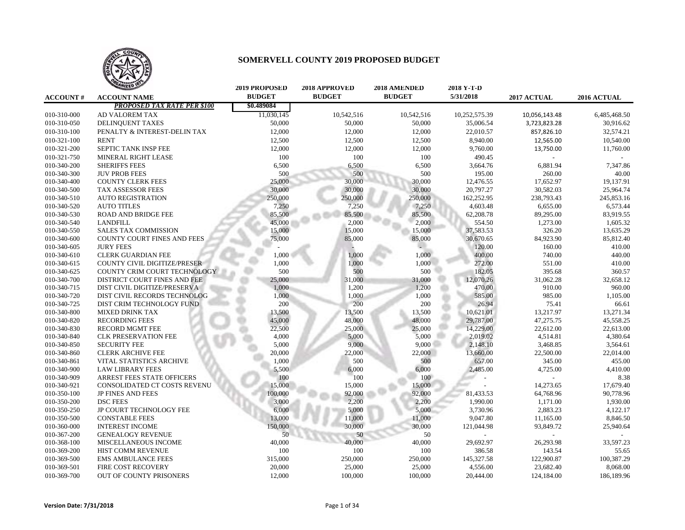

|                 | <b>TAILED</b>                      | <b>2019 PROPOSED</b> | 2018 APPROVED | <b>2018 AMENDED</b> | 2018 Y-T-D    |               |              |
|-----------------|------------------------------------|----------------------|---------------|---------------------|---------------|---------------|--------------|
| <b>ACCOUNT#</b> | <b>ACCOUNT NAME</b>                | <b>BUDGET</b>        | <b>BUDGET</b> | <b>BUDGET</b>       | 5/31/2018     | 2017 ACTUAL   | 2016 ACTUAL  |
|                 | <b>PROPOSED TAX RATE PER \$100</b> | \$0.489084           |               |                     |               |               |              |
| 010-310-000     | AD VALOREM TAX                     | 11,030,145           | 10,542,516    | 10,542,516          | 10,252,575.39 | 10,056,143.48 | 6,485,468.50 |
| 010-310-050     | DELINQUENT TAXES                   | 50,000               | 50,000        | 50,000              | 35,006.54     | 3,723,823.28  | 30,916.62    |
| 010-310-100     | PENALTY & INTEREST-DELIN TAX       | 12,000               | 12,000        | 12,000              | 22,010.57     | 857,826.10    | 32,574.21    |
| 010-321-100     | <b>RENT</b>                        | 12,500               | 12,500        | 12,500              | 8,940.00      | 12,565.00     | 10,540.00    |
| 010-321-200     | SEPTIC TANK INSP FEE               | 12,000               | 12,000        | 12,000              | 9,760.00      | 13,750.00     | 11,760.00    |
| 010-321-750     | MINERAL RIGHT LEASE                | 100                  | 100           | 100                 | 490.45        |               |              |
| 010-340-200     | <b>SHERIFFS FEES</b>               | 6,500                | 6,500         | 6,500               | 3,664.76      | 6,881.94      | 7,347.86     |
| 010-340-300     | <b>JUV PROB FEES</b>               | 500                  | 500           | 500                 | 195.00        | 260.00        | 40.00        |
| 010-340-400     | <b>COUNTY CLERK FEES</b>           | 25,000               | 30,000        | 30,000              | 12,476.55     | 17,652.97     | 19,137.91    |
| 010-340-500     | TAX ASSESSOR FEES                  | 30,000               | 30,000        | 30,000              | 20,797.27     | 30,582.03     | 25,964.74    |
| 010-340-510     | <b>AUTO REGISTRATION</b>           | 250,000              | 250,000       | 250,000             | 162,252.95    | 238,793.43    | 245,853.16   |
| 010-340-520     | <b>AUTO TITLES</b>                 | 7,250                | 7,250         | 7,250               | 4,603.48      | 6,655.00      | 6,573.44     |
| 010-340-530     | <b>ROAD AND BRIDGE FEE</b>         | 85,500               | 85,500        | 85,500              | 62,208.78     | 89,295.00     | 83,919.55    |
| 010-340-540     | <b>LANDFILL</b>                    | 45,000               | 2,000         | 2,000               | 554.50        | 1,273.00      | 1,605.32     |
| 010-340-550     | <b>SALES TAX COMMISSION</b>        | 15,000               | 15,000        | 15,000              | 37,583.53     | 326.20        | 13,635.29    |
| 010-340-600     | COUNTY COURT FINES AND FEES        | 75,000               | 85,000        | 85,000              | 30,670.65     | 84,923.90     | 85,812.40    |
| 010-340-605     | <b>JURY FEES</b>                   |                      |               |                     | 120.00        | 160.00        | 410.00       |
| 010-340-610     | <b>CLERK GUARDIAN FEE</b>          | 1,000                | 1,000         | 1,000               | 400.00        | 740.00        | 440.00       |
| 010-340-615     | COUNTY CIVIL DIGITIZE/PRESER       | 1,000                | 1,000         | 1,000               | 272.00        | 551.00        | 410.00       |
| 010-340-625     | COUNTY CRIM COURT TECHNOLOGY       | 500                  | 500           | 500                 | 182.05        | 395.68        | 360.57       |
| 010-340-700     | DISTRICT COURT FINES AND FEE       | 25,000               | 31,000        | 31,000              | 12,070.26     | 31,062.28     | 32,658.12    |
| 010-340-715     | DIST CIVIL DIGITIZE/PRESERVA       | 1,000                | 1,200         | 1,200               | 470.00        | 910.00        | 960.00       |
| 010-340-720     | DIST CIVIL RECORDS TECHNOLOG       | 1,000                | 1,000         | 1,000               | 585.00        | 985.00        | 1,105.00     |
| 010-340-725     | DIST CRIM TECHNOLOGY FUND          | 200                  | 200           | 200                 | 26.94         | 75.41         | 66.61        |
| 010-340-800     | <b>MIXED DRINK TAX</b>             | 13,500               | 13,500        | 13,500              | 10,621.01     | 13,217.97     | 13,271.34    |
| 010-340-820     | <b>RECORDING FEES</b>              | 45,000               | 48,000        | 48,000              | 29,787.00     | 47,275.75     | 45,558.25    |
| 010-340-830     | <b>RECORD MGMT FEE</b>             | 22,500               | 25,000        | 25,000              | 14,229.00     | 22,612.00     | 22,613.00    |
| 010-340-840     | <b>CLK PRESERVATION FEE</b>        | 4,000                | 5,000         | 5,000               | 2,019.02      | 4,514.81      | 4,380.64     |
| 010-340-850     | <b>SECURITY FEE</b>                | 5,000                | 9,000         | 9,000               | 2,148.10      | 3,468.85      | 3,564.61     |
| 010-340-860     | <b>CLERK ARCHIVE FEE</b>           | 20,000               | 22,000        | 22,000              | 13,660.00     | 22,500.00     | 22,014.00    |
| 010-340-861     | VITAL STATISTICS ARCHIVE           | 1,000                | 500           | 500                 | 657.00        | 345.00        | 455.00       |
| 010-340-900     | <b>LAW LIBRARY FEES</b>            | 5,500                | 6,000         | 6,000               | 2,485.00      | 4,725.00      | 4,410.00     |
| 010-340-909     | <b>ARREST FEES STATE OFFICERS</b>  | 100                  | 100           | 100                 |               |               | 8.38         |
| 010-340-921     | CONSOLIDATED CT COSTS REVENU       | 15,000               | 15,000        | 15,000              |               | 14,273.65     | 17,679.40    |
| 010-350-100     | <b>JP FINES AND FEES</b>           | 100,000              | 92,000        | 92,000              | 81,433.53     | 64,768.96     | 90,778.96    |
| 010-350-200     | <b>DSC FEES</b>                    | 3,000                | 2.200         | 2,200               | 1,990.00      | 1,171.00      | 1,930.00     |
| 010-350-250     | <b>JP COURT TECHNOLOGY FEE</b>     | 6,000                | 5,000         | 5,000               | 3,730.96      | 2,883.23      | 4,122.17     |
| 010-350-500     | <b>CONSTABLE FEES</b>              | 13,000               | 11,000        | 11,000              | 9,047.80      | 11,165.00     | 8,846.50     |
| 010-360-000     | <b>INTEREST INCOME</b>             | 150,000              | 30,000        | 30,000              | 121,044.98    | 93,849.72     | 25,940.64    |
| 010-367-200     | <b>GENEALOGY REVENUE</b>           | 50                   | 50            | 50                  |               |               |              |
| 010-368-100     | MISCELLANEOUS INCOME               | 40,000               | 40,000        | 40,000              | 29,692.97     | 26,293.98     | 33,597.23    |
| 010-369-200     | HIST COMM REVENUE                  | 100                  | 100           | 100                 | 386.58        | 143.54        | 55.65        |
| 010-369-500     | <b>EMS AMBULANCE FEES</b>          | 315,000              | 250,000       | 250,000             | 145,327.58    | 122,900.87    | 100,387.29   |
| 010-369-501     | FIRE COST RECOVERY                 | 20,000               | 25,000        | 25,000              | 4,556.00      | 23,682.40     | 8,068.00     |
| 010-369-700     |                                    |                      | 100,000       |                     | 20,444.00     | 124,184.00    | 186,189.96   |
|                 | OUT OF COUNTY PRISONERS            | 12,000               |               | 100,000             |               |               |              |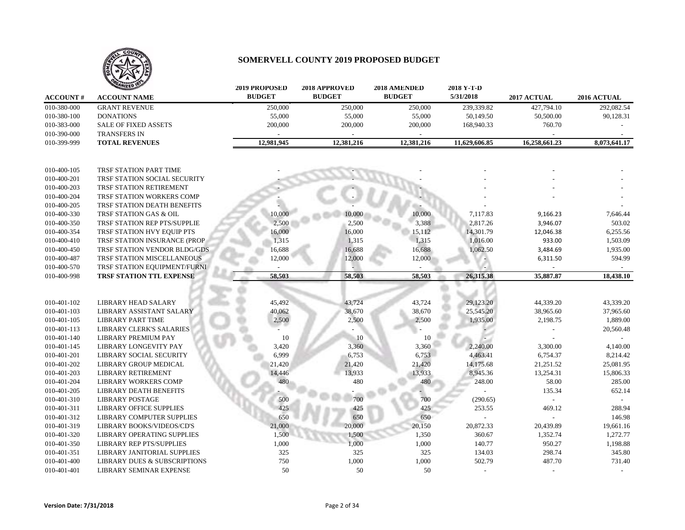

|                 | ANIZED                                  | <b>2019 PROPOSED</b> | 2018 APPROVED | 2018 AMENDED  | 2018 Y-T-D    |               |              |
|-----------------|-----------------------------------------|----------------------|---------------|---------------|---------------|---------------|--------------|
| <b>ACCOUNT#</b> | <b>ACCOUNT NAME</b>                     | <b>BUDGET</b>        | <b>BUDGET</b> | <b>BUDGET</b> | 5/31/2018     | 2017 ACTUAL   | 2016 ACTUAL  |
| 010-380-000     | <b>GRANT REVENUE</b>                    | 250,000              | 250,000       | 250,000       | 239,339.82    | 427,794.10    | 292,082.54   |
| 010-380-100     | <b>DONATIONS</b>                        | 55,000               | 55,000        | 55,000        | 50,149.50     | 50,500.00     | 90,128.31    |
| 010-383-000     | SALE OF FIXED ASSETS                    | 200,000              | 200,000       | 200,000       | 168,940.33    | 760.70        |              |
| 010-390-000     | <b>TRANSFERS IN</b>                     |                      |               |               |               |               |              |
| 010-399-999     | <b>TOTAL REVENUES</b>                   | 12,981,945           | 12,381,216    | 12,381,216    | 11,629,606.85 | 16,258,661.23 | 8,073,641.17 |
| 010-400-105     | TRSF STATION PART TIME                  |                      |               |               |               |               |              |
| 010-400-201     | TRSF STATION SOCIAL SECURITY            |                      |               |               |               |               |              |
| 010-400-203     | TRSF STATION RETIREMENT                 |                      |               |               |               |               |              |
| 010-400-204     | TRSF STATION WORKERS COMP               |                      |               |               |               |               |              |
| 010-400-205     | TRSF STATION DEATH BENEFITS             |                      |               |               |               |               |              |
| 010-400-330     | TRSF STATION GAS & OIL                  | 10,000               | 10,000        | 10,000        | 7,117.83      | 9,166.23      | 7,646.44     |
| 010-400-350     | TRSF STATION REP PTS/SUPPLIE            | 2,500                | 2,500         | 3,388         | 2,817.26      | 3,946.07      | 503.02       |
| 010-400-354     | TRSF STATION HVY EQUIP PTS              | 16,000               | 16,000        | 15,112        | 14,301.79     | 12,046.38     | 6,255.56     |
| 010-400-410     | TRSF STATION INSURANCE (PROP            | 1,315                | 1,315         | 1,315         | 1,016.00      | 933.00        | 1,503.09     |
| 010-400-450     | TRSF STATION VENDOR BLDG/GDS            | 16,688               | 16,688        | 16,688        | 1,062.50      | 3,484.69      | 1,935.00     |
| 010-400-487     | TRSF STATION MISCELLANEOUS              | 12,000               | 12,000        | 12,000        |               | 6,311.50      | 594.99       |
| 010-400-570     | TRSF STATION EQUIPMENT/FURNI            |                      |               |               |               |               |              |
| 010-400-998     | TRSF STATION TTL EXPENSE                | 58,503               | 58,503        | 58,503        | 26,315.38     | 35,887.87     | 18,438.10    |
|                 |                                         |                      |               |               |               |               |              |
| 010-401-102     | <b>LIBRARY HEAD SALARY</b>              | 45,492               | 43,724        | 43,724        | 29,123.20     | 44,339.20     | 43,339.20    |
| 010-401-103     | LIBRARY ASSISTANT SALARY                | 40,062               | 38,670        | 38,670        | 25,545.20     | 38,965.60     | 37,965.60    |
| 010-401-105     | <b>LIBRARY PART TIME</b>                | 2,500                | 2,500         | 2,500         | 1,935.00      | 2,198.75      | 1,889.00     |
| 010-401-113     | <b>LIBRARY CLERK'S SALARIES</b>         |                      |               |               |               |               | 20,560.48    |
| 010-401-140     | <b>LIBRARY PREMIUM PAY</b>              | 10                   | 10            | 10            |               |               |              |
| 010-401-145     | LIBRARY LONGEVITY PAY                   | 3,420                | 3,360         | 3,360         | 2,240.00      | 3,300.00      | 4,140.00     |
| 010-401-201     | LIBRARY SOCIAL SECURITY                 | 6,999                | 6,753         | 6,753         | 4,463.41      | 6,754.37      | 8,214.42     |
| 010-401-202     | LIBRARY GROUP MEDICAL                   | 21,420               | 21,420        | 21,420        | 14,175.68     | 21,251.52     | 25,081.95    |
| 010-401-203     | <b>LIBRARY RETIREMENT</b>               | 14,446               | 13,933        | 13,933        | 8,945.36      | 13,254.31     | 15,806.33    |
| 010-401-204     | <b>LIBRARY WORKERS COMP</b>             | 480                  | 480           | 480           | 248.00        | 58.00         | 285.00       |
| 010-401-205     | LIBRARY DEATH BENEFITS                  |                      |               |               |               | 135.34        | 652.14       |
| 010-401-310     | <b>LIBRARY POSTAGE</b>                  | 500                  | 700           | 700           | (290.65)      |               |              |
| 010-401-311     | <b>LIBRARY OFFICE SUPPLIES</b>          | 425                  | 425           | 425           | 253.55        | 469.12        | 288.94       |
| 010-401-312     | LIBRARY COMPUTER SUPPLIES               | 650                  | 650           | 650           |               |               | 146.98       |
| 010-401-319     | LIBRARY BOOKS/VIDEOS/CD'S               | 21,000               | 20,000        | 20,150        | 20,872.33     | 20,439.89     | 19,661.16    |
| 010-401-320     | LIBRARY OPERATING SUPPLIES              | 1,500                | 1,500         | 1,350         | 360.67        | 1,352.74      | 1,272.77     |
| 010-401-350     | <b>LIBRARY REP PTS/SUPPLIES</b>         | 1,000                | 1,000         | 1,000         | 140.77        | 950.27        | 1,198.88     |
| 010-401-351     | LIBRARY JANITORIAL SUPPLIES             | 325                  | 325           | 325           | 134.03        | 298.74        | 345.80       |
| 010-401-400     | <b>LIBRARY DUES &amp; SUBSCRIPTIONS</b> | 750                  | 1,000         | 1,000         | 502.79        | 487.70        | 731.40       |
| 010-401-401     | LIBRARY SEMINAR EXPENSE                 | 50                   | 50            | 50            |               |               |              |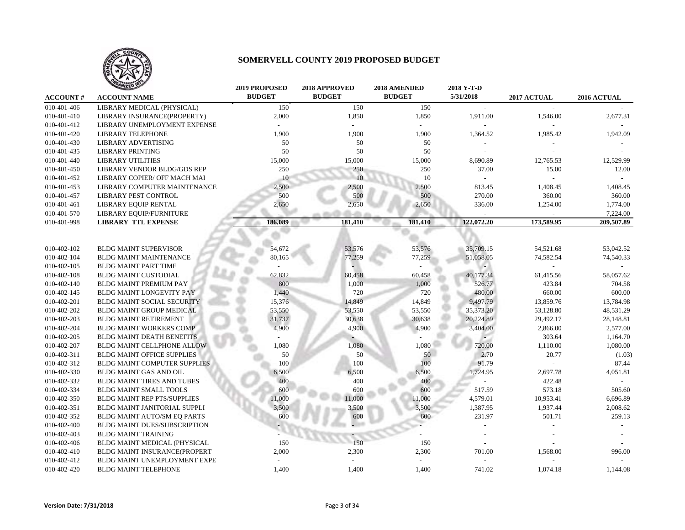

|                 | <b>ANIZED</b>                       | <b>2019 PROPOSED</b> | 2018 APPROVED | 2018 AMENDED  | 2018 Y-T-D     |             |             |
|-----------------|-------------------------------------|----------------------|---------------|---------------|----------------|-------------|-------------|
| <b>ACCOUNT#</b> | <b>ACCOUNT NAME</b>                 | <b>BUDGET</b>        | <b>BUDGET</b> | <b>BUDGET</b> | 5/31/2018      | 2017 ACTUAL | 2016 ACTUAL |
| 010-401-406     | LIBRARY MEDICAL (PHYSICAL)          | 150                  | 150           | 150           | $\overline{a}$ |             |             |
| 010-401-410     | LIBRARY INSURANCE(PROPERTY)         | 2,000                | 1,850         | 1,850         | 1,911.00       | 1,546.00    | 2,677.31    |
| 010-401-412     | LIBRARY UNEMPLOYMENT EXPENSE        |                      |               |               |                |             |             |
| 010-401-420     | <b>LIBRARY TELEPHONE</b>            | 1,900                | 1,900         | 1,900         | 1,364.52       | 1,985.42    | 1,942.09    |
| 010-401-430     | LIBRARY ADVERTISING                 | 50                   | 50            | 50            |                |             |             |
| 010-401-435     | <b>LIBRARY PRINTING</b>             | 50                   | 50            | 50            |                |             |             |
| 010-401-440     | <b>LIBRARY UTILITIES</b>            | 15,000               | 15,000        | 15,000        | 8,690.89       | 12,765.53   | 12,529.99   |
| 010-401-450     | LIBRARY VENDOR BLDG/GDS REP         | 250                  | 250           | 250           | 37.00          | 15.00       | 12.00       |
| 010-401-452     | LIBRARY COPIER/ OFF MACH MAI        | 10                   | 10            | 10            |                |             |             |
| 010-401-453     | LIBRARY COMPUTER MAINTENANCE        | 2,500                | 2,500         | 2,500         | 813.45         | 1,408.45    | 1,408.45    |
| 010-401-457     | LIBRARY PEST CONTROL                | 500                  | 500           | 500           | 270.00         | 360.00      | 360.00      |
| 010-401-461     | <b>LIBRARY EQUIP RENTAL</b>         | 2,650                | 2,650         | 2,650         | 336.00         | 1,254.00    | 1,774.00    |
| 010-401-570     | LIBRARY EQUIP/FURNITURE             |                      |               |               |                |             | 7,224.00    |
| 010-401-998     | <b>LIBRARY TTL EXPENSE</b>          | 186,089              | 181,410       | 181,410       | 122,072.20     | 173,589.95  | 209,507.89  |
|                 |                                     |                      |               |               |                |             |             |
|                 |                                     |                      |               |               |                |             |             |
| 010-402-102     | <b>BLDG MAINT SUPERVISOR</b>        | 54,672               | 53,576        | 53,576        | 35,709.15      | 54,521.68   | 53,042.52   |
| 010-402-104     | <b>BLDG MAINT MAINTENANCE</b>       | 80,165               | 77,259        | 77,259        | 51,058.05      | 74,582.54   | 74,540.33   |
| 010-402-105     | <b>BLDG MAINT PART TIME</b>         |                      |               |               |                |             |             |
| 010-402-108     | <b>BLDG MAINT CUSTODIAL</b>         | 62,832               | 60,458        | 60,458        | 40,177.34      | 61,415.56   | 58,057.62   |
| 010-402-140     | <b>BLDG MAINT PREMIUM PAY</b>       | 800                  | 1,000         | 1,000         | 526.77         | 423.84      | 704.58      |
| 010-402-145     | BLDG MAINT LONGEVITY PAY            | 1,440                | 720           | 720           | 480.00         | 660.00      | 600.00      |
| 010-402-201     | <b>BLDG MAINT SOCIAL SECURITY</b>   | 15,376               | 14,849        | 14,849        | 9,497.79       | 13,859.76   | 13,784.98   |
| 010-402-202     | <b>BLDG MAINT GROUP MEDICAL</b>     | 53,550               | 53,550        | 53,550        | 35,373.20      | 53,128.80   | 48,531.29   |
| 010-402-203     | <b>BLDG MAINT RETIREMENT</b>        | 31,737               | 30,638        | 30,638        | 20,224.89      | 29,492.17   | 28,148.81   |
| 010-402-204     | <b>BLDG MAINT WORKERS COMP</b>      | 4,900                | 4,900         | 4,900         | 3,404.00       | 2,866.00    | 2,577.00    |
| 010-402-205     | <b>BLDG MAINT DEATH BENEFITS</b>    |                      |               |               |                | 303.64      | 1,164.70    |
| 010-402-207     | <b>BLDG MAINT CELLPHONE ALLOW</b>   | 1,080                | 1,080         | 1,080         | 720.00         | 1,110.00    | 1,080.00    |
| 010-402-311     | <b>BLDG MAINT OFFICE SUPPLIES</b>   | 50                   | 50            | 50            | 2.70           | 20.77       | (1.03)      |
| 010-402-312     | <b>BLDG MAINT COMPUTER SUPPLIES</b> | 100                  | 100           | 100           | 91.79          |             | 87.44       |
| 010-402-330     | BLDG MAINT GAS AND OIL              | 6,500                | 6,500         | 6,500         | 1,724.95       | 2,697.78    | 4,051.81    |
| 010-402-332     | BLDG MAINT TIRES AND TUBES          | 400                  | 400           | 400           |                | 422.48      |             |
| 010-402-334     | <b>BLDG MAINT SMALL TOOLS</b>       | 600                  | 600           | 600           | 517.59         | 573.18      | 505.60      |
| 010-402-350     | <b>BLDG MAINT REP PTS/SUPPLIES</b>  | 11,000               | 11,000        | 11,000        | 4,579.01       | 10,953.41   | 6,696.89    |
| 010-402-351     | BLDG MAINT JANITORIAL SUPPLI        | 3,500                | 3,500         | 3,500         | 1,387.95       | 1,937.44    | 2,008.62    |
| 010-402-352     | BLDG MAINT AUTO/SM EQ PARTS         | 600                  | 600           | 600           | 231.97         | 501.71      | 259.13      |
| 010-402-400     | BLDG MAINT DUES/SUBSCRIPTION        |                      |               |               |                |             |             |
| 010-402-403     | <b>BLDG MAINT TRAINING</b>          |                      |               |               |                |             |             |
| 010-402-406     | BLDG MAINT MEDICAL (PHYSICAL        | 150                  | 150           | 150           |                |             |             |
| 010-402-410     | BLDG MAINT INSURANCE(PROPERT        | 2,000                | 2,300         | 2,300         | 701.00         | 1,568.00    | 996.00      |
| 010-402-412     | BLDG MAINT UNEMPLOYMENT EXPE        |                      |               |               |                |             |             |
| 010-402-420     | BLDG MAINT TELEPHONE                | 1,400                | 1,400         | 1,400         | 741.02         | 1,074.18    | 1,144.08    |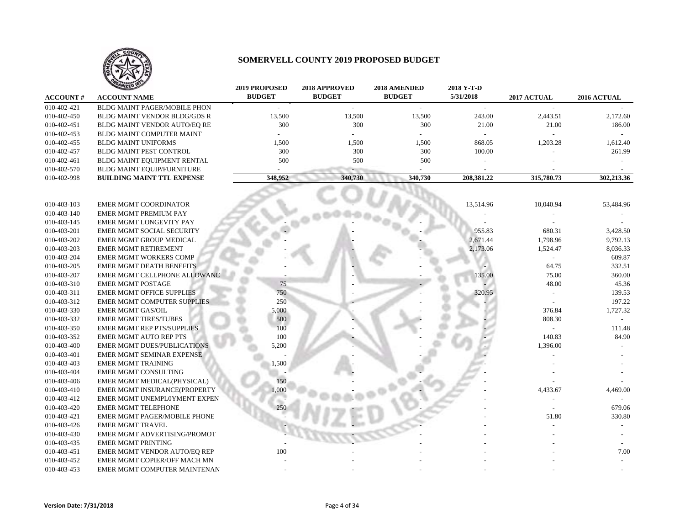

|                 | <b>ANIZED IS</b>                   | <b>2019 PROPOSED</b> | 2018 APPROVED | 2018 AMENDED  | 2018 Y-T-D |             |             |
|-----------------|------------------------------------|----------------------|---------------|---------------|------------|-------------|-------------|
| <b>ACCOUNT#</b> | <b>ACCOUNT NAME</b>                | <b>BUDGET</b>        | <b>BUDGET</b> | <b>BUDGET</b> | 5/31/2018  | 2017 ACTUAL | 2016 ACTUAL |
| 010-402-421     | BLDG MAINT PAGER/MOBILE PHON       |                      | $\sim$        | $\sim$        | $\sim$     |             |             |
| 010-402-450     | BLDG MAINT VENDOR BLDG/GDS R       | 13,500               | 13,500        | 13,500        | 243.00     | 2,443.51    | 2,172.60    |
| 010-402-451     | BLDG MAINT VENDOR AUTO/EQ RE       | 300                  | 300           | 300           | 21.00      | 21.00       | 186.00      |
| 010-402-453     | BLDG MAINT COMPUTER MAINT          |                      |               |               |            |             |             |
| 010-402-455     | <b>BLDG MAINT UNIFORMS</b>         | 1,500                | 1,500         | 1,500         | 868.05     | 1,203.28    | 1,612.40    |
| 010-402-457     | <b>BLDG MAINT PEST CONTROL</b>     | 300                  | 300           | 300           | 100.00     |             | 261.99      |
| 010-402-461     | BLDG MAINT EQUIPMENT RENTAL        | 500                  | 500           | 500           |            |             |             |
| 010-402-570     | BLDG MAINT EQUIP/FURNITURE         |                      |               |               |            |             |             |
| 010-402-998     | <b>BUILDING MAINT TTL EXPENSE</b>  | 348,952              | 340,730       | 340,730       | 208,381.22 | 315,780.73  | 302,213.36  |
|                 |                                    |                      |               |               |            |             |             |
|                 |                                    |                      |               |               |            |             |             |
| 010-403-103     | <b>EMER MGMT COORDINATOR</b>       |                      |               |               | 13,514.96  | 10,040.94   | 53,484.96   |
| 010-403-140     | EMER MGMT PREMIUM PAY              |                      |               |               |            |             |             |
| 010-403-145     | EMER MGMT LONGEVITY PAY            |                      |               |               |            |             |             |
| 010-403-201     | EMER MGMT SOCIAL SECURITY          |                      |               |               | 955.83     | 680.31      | 3,428.50    |
| 010-403-202     | EMER MGMT GROUP MEDICAL            |                      |               |               | 2,671.44   | 1,798.96    | 9,792.13    |
| 010-403-203     | <b>EMER MGMT RETIREMENT</b>        |                      |               |               | 2,173.06   | 1,524.47    | 8,036.33    |
| 010-403-204     | <b>EMER MGMT WORKERS COMP</b>      |                      |               |               |            |             | 609.87      |
| 010-403-205     | <b>EMER MGMT DEATH BENEFITS</b>    |                      |               |               |            | 64.75       | 332.51      |
| 010-403-207     | EMER MGMT CELLPHONE ALLOWANC       |                      |               |               | 135.00     | 75.00       | 360.00      |
| 010-403-310     | <b>EMER MGMT POSTAGE</b>           | 75                   |               |               |            | 48.00       | 45.36       |
| 010-403-311     | <b>EMER MGMT OFFICE SUPPLIES</b>   | 750                  |               |               | 320.95     |             | 139.53      |
| 010-403-312     | <b>EMER MGMT COMPUTER SUPPLIES</b> | 250                  |               |               |            |             | 197.22      |
| 010-403-330     | <b>EMER MGMT GAS/OIL</b>           | 5,000                |               |               |            | 376.84      | 1,727.32    |
| 010-403-332     | <b>EMER MGMT TIRES/TUBES</b>       | 500                  |               |               |            | 808.30      |             |
| 010-403-350     | <b>EMER MGMT REP PTS/SUPPLIES</b>  | 100                  |               |               |            |             | 111.48      |
| 010-403-352     | <b>EMER MGMT AUTO REP PTS</b>      | 100                  |               |               |            | 140.83      | 84.90       |
| 010-403-400     | <b>EMER MGMT DUES/PUBLICATIONS</b> | 5,200                |               |               |            | 1,396.00    |             |
| 010-403-401     | EMER MGMT SEMINAR EXPENSE          |                      |               |               |            |             |             |
| 010-403-403     | <b>EMER MGMT TRAINING</b>          | 1,500                |               |               |            |             |             |
| 010-403-404     | <b>EMER MGMT CONSULTING</b>        |                      |               |               |            |             |             |
| 010-403-406     | EMER MGMT MEDICAL(PHYSICAL)        | 150                  |               |               |            |             |             |
| 010-403-410     | EMER MGMT INSURANCE(PROPERTY       | 1,000                |               |               |            | 4,433.67    | 4,469.00    |
| 010-403-412     | EMER MGMT UNEMPLOYMENT EXPEN       |                      |               |               |            |             |             |
| 010-403-420     | <b>EMER MGMT TELEPHONE</b>         | 25(                  |               |               |            |             | 679.06      |
| 010-403-421     | EMER MGMT PAGER/MOBILE PHONE       |                      |               |               |            | 51.80       | 330.80      |
| 010-403-426     | <b>EMER MGMT TRAVEL</b>            |                      |               |               |            |             |             |
| 010-403-430     | EMER MGMT ADVERTISING/PROMOT       |                      |               |               |            |             |             |
| 010-403-435     | <b>EMER MGMT PRINTING</b>          |                      |               |               |            |             |             |
| 010-403-451     | EMER MGMT VENDOR AUTO/EO REP       | 100                  |               |               |            |             | 7.00        |
| 010-403-452     | EMER MGMT COPIER/OFF MACH MN       |                      |               |               |            |             |             |
| 010-403-453     | EMER MGMT COMPUTER MAINTENAN       |                      |               |               |            |             |             |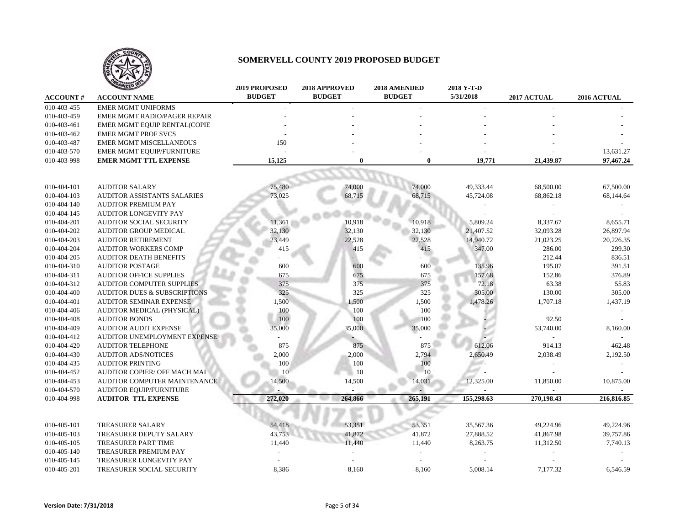

|                 | <b>ANIZED</b>                           | <b>2019 PROPOSED</b> | 2018 APPROVED | 2018 AMENDED  | 2018 Y-T-D |             |             |
|-----------------|-----------------------------------------|----------------------|---------------|---------------|------------|-------------|-------------|
| <b>ACCOUNT#</b> | <b>ACCOUNT NAME</b>                     | <b>BUDGET</b>        | <b>BUDGET</b> | <b>BUDGET</b> | 5/31/2018  | 2017 ACTUAL | 2016 ACTUAL |
| 010-403-455     | <b>EMER MGMT UNIFORMS</b>               |                      |               |               |            |             |             |
| 010-403-459     | EMER MGMT RADIO/PAGER REPAIR            |                      |               |               |            |             |             |
| 010-403-461     | EMER MGMT EQUIP RENTAL(COPIE            |                      |               |               |            |             |             |
| 010-403-462     | <b>EMER MGMT PROF SVCS</b>              |                      |               |               |            |             |             |
| 010-403-487     | EMER MGMT MISCELLANEOUS                 | 150                  |               |               |            |             |             |
| 010-403-570     | EMER MGMT EQUIP/FURNITURE               |                      |               |               |            |             | 13,631.27   |
| 010-403-998     | <b>EMER MGMT TTL EXPENSE</b>            | 15,125               | $\bf{0}$      | $\bf{0}$      | 19,771     | 21,439.87   | 97,467.24   |
|                 |                                         |                      |               |               |            |             |             |
|                 |                                         |                      |               |               |            |             |             |
| 010-404-101     | <b>AUDITOR SALARY</b>                   | 75,480               | 74,000        | 74,000        | 49,333.44  | 68,500.00   | 67,500.00   |
| 010-404-103     | AUDITOR ASSISTANTS SALARIES             | 73,025               | 68,715        | 68,715        | 45,724.08  | 68,862.18   | 68,144.64   |
| 010-404-140     | <b>AUDITOR PREMIUM PAY</b>              |                      |               |               |            |             |             |
| 010-404-145     | <b>AUDITOR LONGEVITY PAY</b>            |                      |               |               |            |             |             |
| 010-404-201     | <b>AUDITOR SOCIAL SECURITY</b>          | 11,361               | 10,918        | 10,918        | 5,809.24   | 8,337.67    | 8,655.71    |
| 010-404-202     | <b>AUDITOR GROUP MEDICAL</b>            | 32,130               | 32,130        | 32,130        | 21,407.52  | 32,093.28   | 26,897.94   |
| 010-404-203     | <b>AUDITOR RETIREMENT</b>               | 23,449               | 22,528        | 22,528        | 14,940.72  | 21,023.25   | 20,226.35   |
| 010-404-204     | <b>AUDITOR WORKERS COMP</b>             | 415                  | 415           | 415           | 347.00     | 286.00      | 299.30      |
| 010-404-205     | <b>AUDITOR DEATH BENEFITS</b>           |                      |               |               |            | 212.44      | 836.51      |
| 010-404-310     | <b>AUDITOR POSTAGE</b>                  | 600                  | 600           | 600           | 135.96     | 195.07      | 391.51      |
| 010-404-311     | <b>AUDITOR OFFICE SUPPLIES</b>          | 675                  | 675           | 675           | 157.68     | 152.86      | 376.89      |
| 010-404-312     | AUDITOR COMPUTER SUPPLIES               | 375                  | 375           | 375           | 72.18      | 63.38       | 55.83       |
| 010-404-400     | <b>AUDITOR DUES &amp; SUBSCRIPTIONS</b> | 325                  | 325           | 325           | 305.00     | 130.00      | 305.00      |
| 010-404-401     | <b>AUDITOR SEMINAR EXPENSE</b>          | 1,500                | 1,500         | 1,500         | 1,478.26   | 1,707.18    | 1,437.19    |
| 010-404-406     | AUDITOR MEDICAL (PHYSICAL)              | 100                  | 100           | 100           |            |             |             |
| 010-404-408     | <b>AUDITOR BONDS</b>                    | 100                  | 100           | 100           |            | 92.50       |             |
| 010-404-409     | <b>AUDITOR AUDIT EXPENSE</b>            | 35,000               | 35,000        | 35,000        |            | 53,740.00   | 8,160.00    |
| 010-404-412     | AUDITOR UNEMPLOYMENT EXPENSE            |                      |               |               |            |             |             |
| 010-404-420     | <b>AUDITOR TELEPHONE</b>                | 875                  | 875           | 875           | 612.06     | 914.13      | 462.48      |
| 010-404-430     | <b>AUDITOR ADS/NOTICES</b>              | 2,000                | 2,000         | 2,794         | 2,650.49   | 2,038.49    | 2,192.50    |
| 010-404-435     | <b>AUDITOR PRINTING</b>                 | 100                  | 100           | 100           | at.        |             |             |
| 010-404-452     | AUDITOR COPIER/ OFF MACH MAI            | 10                   | 10            | 10            |            |             |             |
| 010-404-453     | AUDITOR COMPUTER MAINTENANCE            | 14,500               | 14,500        | 14,031        | 12,325.00  | 11,850.00   | 10,875.00   |
| 010-404-570     | AUDITOR EQUIP/FURNITURE                 |                      |               |               |            |             |             |
| 010-404-998     | <b>AUDITOR TTL EXPENSE</b>              | 272,020              | 264,866       | 265,191       | 155,298.63 | 270,198.43  | 216,816.85  |
|                 |                                         |                      |               |               |            |             |             |
|                 |                                         |                      |               |               |            |             |             |
| 010-405-101     | <b>TREASURER SALARY</b>                 | 54,418               | 53,351        | 53,351        | 35,567.36  | 49,224.96   | 49,224.96   |
| 010-405-103     | TREASURER DEPUTY SALARY                 | 43,753               | 41,872        | 41,872        | 27,888.52  | 41,867.98   | 39,757.86   |
| 010-405-105     | TREASURER PART TIME                     | 11,440               | 11,440        | 11,440        | 8,263.75   | 11,312.50   | 7,740.13    |
| 010-405-140     | TREASURER PREMIUM PAY                   |                      |               |               |            |             |             |
| 010-405-145     | TREASURER LONGEVITY PAY                 |                      |               |               |            |             |             |
| 010-405-201     | TREASURER SOCIAL SECURITY               | 8,386                | 8,160         | 8,160         | 5,008.14   | 7,177.32    | 6,546.59    |
|                 |                                         |                      |               |               |            |             |             |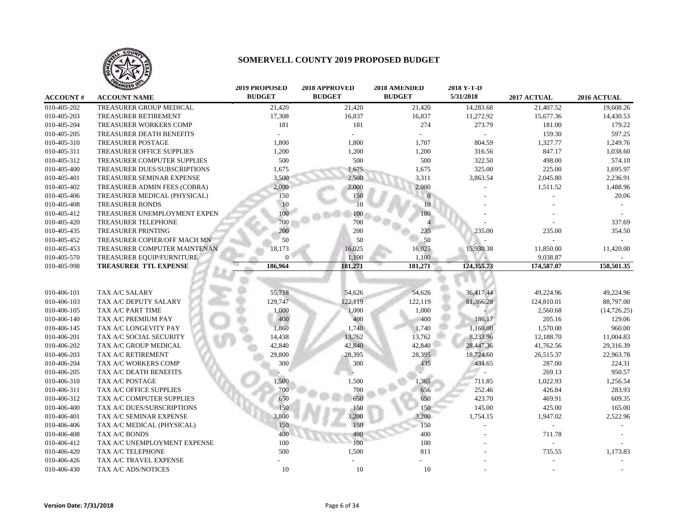

|                 | <b>TAILED</b>                | <b>2019 PROPOSED</b> | 2018 APPROVED | 2018 AMENDED  | 2018 Y-T-D |             |              |
|-----------------|------------------------------|----------------------|---------------|---------------|------------|-------------|--------------|
| <b>ACCOUNT#</b> | <b>ACCOUNT NAME</b>          | <b>BUDGET</b>        | <b>BUDGET</b> | <b>BUDGET</b> | 5/31/2018  | 2017 ACTUAL | 2016 ACTUAL  |
| 010-405-202     | TREASURER GROUP MEDICAL      | 21,420               | 21,420        | 21,420        | 14,283.68  | 21,407.52   | 19,608.26    |
| 010-405-203     | <b>TREASURER RETIREMENT</b>  | 17,308               | 16,837        | 16,837        | 11,272.92  | 15,677.36   | 14,430.53    |
| 010-405-204     | TREASURER WORKERS COMP       | 181                  | 181           | 274           | 273.79     | 181.00      | 179.22       |
| 010-405-205     | TREASURER DEATH BENEFITS     |                      |               |               |            | 159.30      | 597.25       |
| 010-405-310     | <b>TREASURER POSTAGE</b>     | 1,800                | 1,800         | 1,707         | 804.59     | 1,327.77    | 1,249.76     |
| 010-405-311     | TREASURER OFFICE SUPPLIES    | 1,200                | 1,200         | 1,200         | 316.56     | 847.17      | 1,038.60     |
| 010-405-312     | TREASURER COMPUTER SUPPLIES  | 500                  | 500           | 500           | 322.50     | 498.00      | 574.10       |
| 010-405-400     | TREASURER DUES/SUBSCRIPTIONS | 1,675                | 1,675         | 1,675         | 325.00     | 225.00      | 1,695.97     |
| 010-405-401     | TREASURER SEMINAR EXPENSE    | 3,500                | 2,500         | 3,311         | 3,863.54   | 2,045.80    | 2,236.91     |
| 010-405-402     | TREASURER ADMIN FEES (COBRA) | 2,000                | 2,000         | 2,000         |            | 1,511.52    | 1,488.96     |
| 010-405-406     | TREASURER MEDICAL (PHYSICAL) | 150                  | 150           |               |            |             | 20.06        |
| 010-405-408     | <b>TREASURER BONDS</b>       | 10                   | 10            | 10            |            |             |              |
| 010-405-412     | TREASURER UNEMPLOYMENT EXPEN | 100                  | 100           | 100           |            |             |              |
| 010-405-420     | TREASURER TELEPHONE          | 700                  | 700           |               |            |             | 337.69       |
| 010-405-435     | <b>TREASURER PRINTING</b>    | 200                  | 200           | 235           | 235.00     | 235.00      | 354.50       |
| 010-405-452     | TREASURER COPIER/OFF MACH MN | 50                   | 50            | 50            |            |             |              |
| 010-405-453     | TREASURER COMPUTER MAINTENAN | 18,173               | 16,025        | 16,025        | 15,930.38  | 11,850.00   | 11,420.00    |
| 010-405-570     | TREASURER EQUIP/FURNITURE    | $\mathbf{0}$         | 1,100         | 1,100         |            | 9,038.87    |              |
| 010-405-998     | TREASURER TTL EXPENSE        | 186,964              | 181,271       | 181,271       | 124,355.73 | 174,587.07  | 158,501.35   |
|                 |                              |                      |               |               |            |             |              |
| 010-406-101     | TAX A/C SALARY               | 55,718               | 54,626        | 54,626        | 36,417.44  | 49,224.96   | 49,224.96    |
| 010-406-103     | TAX A/C DEPUTY SALARY        | 129,747              | 122,119       | 122,119       | 81,366.28  | 124,810.01  | 88,797.00    |
| 010-406-105     | TAX A/C PART TIME            | 1,000                | 1,000         | 1,000         |            | 2,560.68    | (14, 726.25) |
| 010-406-140     | TAX A/C PREMIUM PAY          | 400                  | 400           | 400           | 186.17     | 205.16      | 129.06       |
| 010-406-145     | TAX A/C LONGEVITY PAY        | 1,860                | 1,740         | 1,740         | 1,160.00   | 1,570.00    | 960.00       |
| 010-406-201     | TAX A/C SOCIAL SECURITY      | 14,438               | 13,762        | 13,762        | 8,233.96   | 12,188.70   | 11,004.83    |
| 010-406-202     | TAX A/C GROUP MEDICAL        | 42,840               | 42,840        | 42,840        | 28,447.36  | 41,762.56   | 29,316.39    |
| 010-406-203     | TAX A/C RETIREMENT           | 29,800               | 28,395        | 28,395        | 18,724.60  | 26,515.37   | 22,963.78    |
| 010-406-204     | TAX A/C WORKERS COMP         | 300                  | 300           | 435           | 434.65     | 287.00      | 224.31       |
| 010-406-205     | TAX A/C DEATH BENEFITS       |                      |               |               |            | 269.13      | 950.57       |
| 010-406-310     | TAX A/C POSTAGE              | 1,500                | 1,500         | 1,365         | 711.85     | 1,022.93    | 1,256.54     |
| 010-406-311     | TAX A/C OFFICE SUPPLIES      | 700                  | 700           | 656           | 252.46     | 426.84      | 283.93       |
| 010-406-312     | TAX A/C COMPUTER SUPPLIES    | 650                  | 650           | 650           | 423.70     | 469.91      | 609.35       |
| 010-406-400     | TAX A/C DUES/SUBSCRIPTIONS   | 150                  | 150           | 150           | 145.00     | 425.00      | 165.00       |
| 010-406-401     | TAX A/C SEMINAR EXPENSE      | 3,800                | 3,200         | 3,200         | 1,754.15   | 1,947.02    | 2,522.96     |
| 010-406-406     | TAX A/C MEDICAL (PHYSICAL)   | 150                  | 150           | 150           |            |             |              |
| 010-406-408     | TAX A/C BONDS                | 400                  | 400           | 400           |            | 711.78      |              |
| 010-406-412     | TAX A/C UNEMPLOYMENT EXPENSE | 100                  | 100           | 100           |            |             |              |
| 010-406-420     | TAX A/C TELEPHONE            | 500                  | 1,500         | 811           |            | 735.55      | 1,173.83     |
| 010-406-426     | TAX A/C TRAVEL EXPENSE       |                      |               |               |            |             |              |
| 010-406-430     | TAX A/C ADS/NOTICES          | 10                   | 10            | 10            |            |             |              |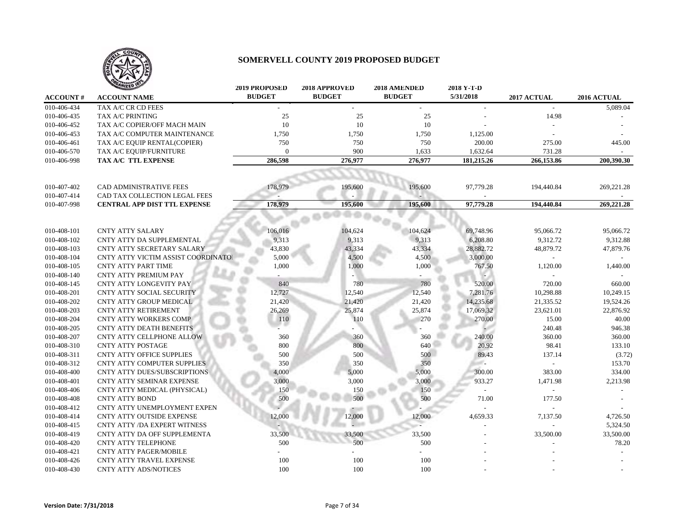

|                 | <b>TAILED</b>                       | <b>2019 PROPOSED</b> | 2018 APPROVED | 2018 AMENDED  | 2018 Y-T-D |             |             |
|-----------------|-------------------------------------|----------------------|---------------|---------------|------------|-------------|-------------|
| <b>ACCOUNT#</b> | <b>ACCOUNT NAME</b>                 | <b>BUDGET</b>        | <b>BUDGET</b> | <b>BUDGET</b> | 5/31/2018  | 2017 ACTUAL | 2016 ACTUAL |
| 010-406-434     | TAX A/C CR CD FEES                  |                      |               |               |            |             | 5,089.04    |
| 010-406-435     | TAX A/C PRINTING                    | 25                   | 25            | 25            |            | 14.98       |             |
| 010-406-452     | TAX A/C COPIER/OFF MACH MAIN        | 10                   | 10            | 10            |            |             |             |
| 010-406-453     | TAX A/C COMPUTER MAINTENANCE        | 1,750                | 1,750         | 1,750         | 1,125.00   |             |             |
| 010-406-461     | TAX A/C EQUIP RENTAL(COPIER)        | 750                  | 750           | 750           | 200.00     | 275.00      | 445.00      |
| 010-406-570     | TAX A/C EQUIP/FURNITURE             | $\Omega$             | 900           | 1,633         | 1,632.64   | 731.28      |             |
| 010-406-998     | TAX A/C TTL EXPENSE                 | 286,598              | 276,977       | 276,977       | 181,215.26 | 266,153.86  | 200,390.30  |
|                 |                                     |                      |               |               |            |             |             |
| 010-407-402     | <b>CAD ADMINISTRATIVE FEES</b>      | 178,979              | 195,600       | 195,600       | 97,779.28  | 194,440.84  | 269,221.28  |
| 010-407-414     | CAD TAX COLLECTION LEGAL FEES       |                      |               |               |            |             |             |
| 010-407-998     | <b>CENTRAL APP DIST TTL EXPENSE</b> | 178,979              | 195,600       | 195,600       | 97,779.28  | 194,440.84  | 269,221.28  |
|                 |                                     |                      |               |               |            |             |             |
| 010-408-101     | <b>CNTY ATTY SALARY</b>             | 106,016              | 104,624       | 104,624       | 69,748.96  | 95,066.72   | 95,066.72   |
| 010-408-102     | CNTY ATTY DA SUPPLEMENTAL           | 9,313                | 9,313         | 9,313         | 6,208.80   | 9,312.72    | 9,312.88    |
| 010-408-103     | CNTY ATTY SECRETARY SALARY          | 43,830               | 43,334        | 43,334        | 28,882.72  | 48,879.72   | 47,879.76   |
| 010-408-104     | CNTY ATTY VICTIM ASSIST COORDINATOI | 5,000                | 4,500         | 4,500         | 3,000.00   |             |             |
| 010-408-105     | <b>CNTY ATTY PART TIME</b>          | 1,000                | 1,000         | 1,000         | 767.50     | 1,120.00    | 1,440.00    |
| 010-408-140     | <b>CNTY ATTY PREMIUM PAY</b>        |                      |               |               |            |             |             |
| 010-408-145     | CNTY ATTY LONGEVITY PAY             | 840                  | 780           | 780           | 520.00     | 720.00      | 660.00      |
| 010-408-201     | CNTY ATTY SOCIAL SECURITY           | 12,727               | 12,540        | 12,540        | 7,281.76   | 10,298.88   | 10,249.15   |
| 010-408-202     | CNTY ATTY GROUP MEDICAL             | 21,420               | 21,420        | 21,420        | 14,235.68  | 21,335.52   | 19,524.26   |
| 010-408-203     | <b>CNTY ATTY RETIREMENT</b>         | 26,269               | 25,874        | 25,874        | 17,069.32  | 23,621.01   | 22,876.92   |
| 010-408-204     | CNTY ATTY WORKERS COMP              | 110                  | 110           | 270           | 270.00     | 15.00       | 40.00       |
| 010-408-205     | CNTY ATTY DEATH BENEFITS            |                      |               |               |            | 240.48      | 946.38      |
| 010-408-207     | CNTY ATTY CELLPHONE ALLOW           | 360                  | 360           | 360           | 240.00     | 360.00      | 360.00      |
| 010-408-310     | <b>CNTY ATTY POSTAGE</b>            | 800                  | 800           | 640           | 20.92      | 98.41       | 133.10      |
| 010-408-311     | <b>CNTY ATTY OFFICE SUPPLIES</b>    | 500                  | 500           | 500           | 89.43      | 137.14      | (3.72)      |
| 010-408-312     | <b>CNTY ATTY COMPUTER SUPPLIES</b>  | 350                  | 350           | 350           | a.         |             | 153.70      |
| 010-408-400     | CNTY ATTY DUES/SUBSCRIPTIONS        | 4,000                | 5,000         | 5,000         | 300.00     | 383.00      | 334.00      |
| 010-408-401     | CNTY ATTY SEMINAR EXPENSE           | 3,000                | 3,000         | 3,000         | 933.27     | 1,471.98    | 2,213.98    |
| 010-408-406     | CNTY ATTY MEDICAL (PHYSICAL)        | 150                  | 150           | 150           |            |             |             |
| 010-408-408     | <b>CNTY ATTY BOND</b>               | 500                  | 500           | 500           | 71.00      | 177.50      |             |
| 010-408-412     | CNTY ATTY UNEMPLOYMENT EXPEN        |                      |               |               |            |             |             |
| 010-408-414     | CNTY ATTY OUTSIDE EXPENSE           | 12,000               | 12,000        | 12,000        | 4,659.33   | 7,137.50    | 4,726.50    |
| 010-408-415     | CNTY ATTY /DA EXPERT WITNESS        |                      |               |               |            |             | 5,324.50    |
| 010-408-419     | CNTY ATTY DA OFF SUPPLEMENTA        | 33,500               | 33,500        | 33,500        |            | 33,500.00   | 33,500.00   |
| 010-408-420     | <b>CNTY ATTY TELEPHONE</b>          | 500                  | 500           | 500           |            |             | 78.20       |
| 010-408-421     | <b>CNTY ATTY PAGER/MOBILE</b>       |                      |               |               |            |             |             |
| 010-408-426     | CNTY ATTY TRAVEL EXPENSE            | 100                  | 100           | 100           |            |             |             |
| 010-408-430     | <b>CNTY ATTY ADS/NOTICES</b>        | 100                  | 100           | 100           |            |             |             |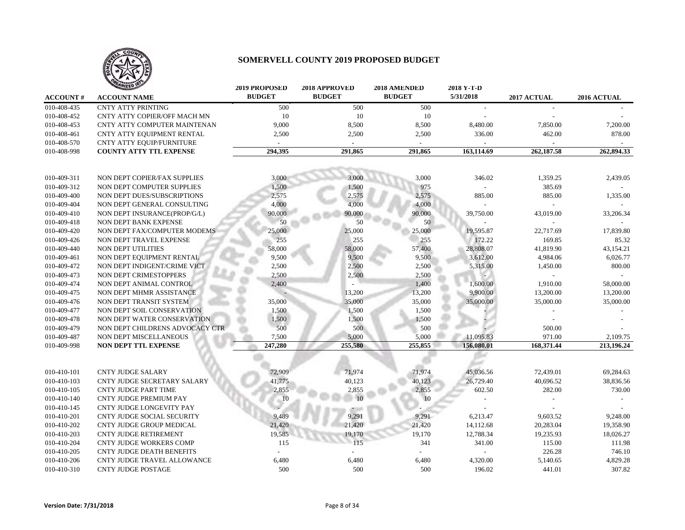

|                 | <b>ANIZED</b>                    | <b>2019 PROPOSED</b> | 2018 APPROVED | 2018 AMENDED  | 2018 Y-T-D |             |             |
|-----------------|----------------------------------|----------------------|---------------|---------------|------------|-------------|-------------|
| <b>ACCOUNT#</b> | <b>ACCOUNT NAME</b>              | <b>BUDGET</b>        | <b>BUDGET</b> | <b>BUDGET</b> | 5/31/2018  | 2017 ACTUAL | 2016 ACTUAL |
| 010-408-435     | <b>CNTY ATTY PRINTING</b>        | 500                  | 500           | 500           |            |             |             |
| 010-408-452     | CNTY ATTY COPIER/OFF MACH MN     | 10                   | 10            | 10            |            |             |             |
| 010-408-453     | CNTY ATTY COMPUTER MAINTENAN     | 9,000                | 8,500         | 8,500         | 8,480.00   | 7,850.00    | 7,200.00    |
| 010-408-461     | CNTY ATTY EQUIPMENT RENTAL       | 2,500                | 2,500         | 2,500         | 336.00     | 462.00      | 878.00      |
| 010-408-570     | <b>CNTY ATTY EQUIP/FURNITURE</b> |                      |               |               |            |             |             |
| 010-408-998     | <b>COUNTY ATTY TTL EXPENSE</b>   | 294,395              | 291,865       | 291,865       | 163,114.69 | 262,187.58  | 262,894.33  |
|                 |                                  |                      |               |               |            |             |             |
|                 |                                  |                      |               |               |            |             |             |
| 010-409-311     | NON DEPT COPIER/FAX SUPPLIES     | 3,000                | 3.000         | 3,000         | 346.02     | 1,359.25    | 2,439.05    |
| 010-409-312     | NON DEPT COMPUTER SUPPLIES       | 1,500                | 1,500         | 975           |            | 385.69      |             |
| 010-409-400     | NON DEPT DUES/SUBSCRIPTIONS      | 2,575                | 2,575         | 2,575         | 885.00     | 885.00      | 1,335.00    |
| 010-409-404     | NON DEPT GENERAL CONSULTING      | 4,000                | 4,000         | 4,000         |            |             |             |
| 010-409-410     | NON DEPT INSURANCE(PROP/G/L)     | 90,000               | 90,000        | 90,000        | 39,750.00  | 43,019.00   | 33,206.34   |
| 010-409-418     | NON DEPT BANK EXPENSE            | 50                   | 50            | 50            |            |             |             |
| 010-409-420     | NON DEPT FAX/COMPUTER MODEMS     | 25,000               | 25,000        | 25,000        | 19,595.87  | 22,717.69   | 17,839.80   |
| 010-409-426     | NON DEPT TRAVEL EXPENSE          | 255                  | 255           | 255           | 172.22     | 169.85      | 85.32       |
| 010-409-440     | NON DEPT UTILITIES               | 58,000               | 58,000        | 57,400        | 28,808.07  | 41,819.90   | 43,154.21   |
| 010-409-461     | NON DEPT EQUIPMENT RENTAL        | 9,500                | 9,500         | 9,500         | 3,612.00   | 4,984.06    | 6,026.77    |
| 010-409-472     | NON DEPT INDIGENT/CRIME VICT     | 2,500                | 2,500         | 2,500         | 5,315.00   | 1,450.00    | 800.00      |
| 010-409-473     | NON DEPT CRIMESTOPPERS           | 2,500                | 2,500         | 2,500         |            |             |             |
| 010-409-474     | NON DEPT ANIMAL CONTROL          | 2,400                |               | 1,400         | 1,600.00   | 1,910.00    | 58,000.00   |
| 010-409-475     | NON DEPT MHMR ASSISTANCE         |                      | 13,200        | 13,200        | 9,900.00   | 13,200.00   | 13,200.00   |
| 010-409-476     | NON DEPT TRANSIT SYSTEM          | 35,000               | 35,000        | 35,000        | 35,000.00  | 35,000.00   | 35,000.00   |
| 010-409-477     | NON DEPT SOIL CONSERVATION       | 1,500                | 1,500         | 1,500         |            |             |             |
| 010-409-478     | NON DEPT WATER CONSERVATION      | 1,500                | 1,500         | 1,500         |            |             |             |
| 010-409-479     | NON DEPT CHILDRENS ADVOCACY CTR  | 500                  | 500           | 500           |            | 500.00      |             |
| 010-409-487     | NON DEPT MISCELLANEOUS           | 7,500                | 5,000         | 5,000         | 11,095.83  | 971.00      | 2,109.75    |
| 010-409-998     | NON DEPT TTL EXPENSE             | 247,280              | 255,580       | 255,855       | 156,080.01 | 168,371.44  | 213,196.24  |
|                 |                                  |                      |               |               |            |             |             |
| 010-410-101     | <b>CNTY JUDGE SALARY</b>         | 72,909               | 71,974        | 71,974        | 45,036.56  | 72,439.01   | 69,284.63   |
| 010-410-103     | CNTY JUDGE SECRETARY SALARY      | 41,775               | 40,123        | 40,123        | 26,729.40  | 40,696.52   | 38,836.56   |
| 010-410-105     | <b>CNTY JUDGE PART TIME</b>      | 2,855                | 2,855         | 2,855         | 602.50     | 282.00      | 730.00      |
| 010-410-140     | <b>CNTY JUDGE PREMIUM PAY</b>    | 10                   | 10            | 10            |            |             |             |
| 010-410-145     | <b>CNTY JUDGE LONGEVITY PAY</b>  |                      |               |               |            |             |             |
| 010-410-201     | CNTY JUDGE SOCIAL SECURITY       | 9,489                | 9,291         | 9,291         | 6,213.47   | 9,603.52    | 9,248.00    |
| 010-410-202     | CNTY JUDGE GROUP MEDICAL         | 21,420               | 21,420        | 21,420        | 14,112.68  | 20,283.04   | 19,358.90   |
| 010-410-203     |                                  | 19,585               | 19,170        | 19,170        | 12,788.34  |             |             |
|                 | <b>CNTY JUDGE RETIREMENT</b>     |                      |               |               |            | 19,235.93   | 18,026.27   |
| 010-410-204     | CNTY JUDGE WORKERS COMP          | 115                  | 115           | 341           | 341.00     | 115.00      | 111.98      |
| 010-410-205     | <b>CNTY JUDGE DEATH BENEFITS</b> |                      |               |               |            | 226.28      | 746.10      |
| 010-410-206     | CNTY JUDGE TRAVEL ALLOWANCE      | 6,480                | 6,480         | 6,480         | 4,320.00   | 5,140.65    | 4,829.28    |
| 010-410-310     | <b>CNTY JUDGE POSTAGE</b>        | 500                  | 500           | 500           | 196.02     | 441.01      | 307.82      |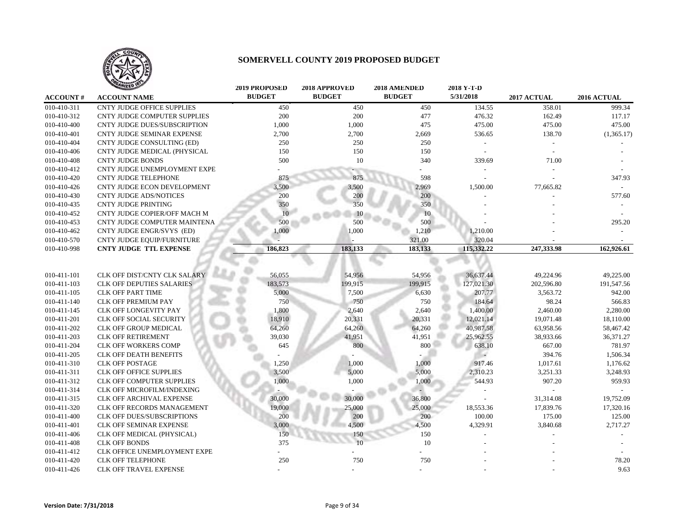

|                 | <b>ANIZED</b>                     | <b>2019 PROPOSED</b> | 2018 APPROVED | 2018 AMENDED  | 2018 Y-T-D |             |             |
|-----------------|-----------------------------------|----------------------|---------------|---------------|------------|-------------|-------------|
| <b>ACCOUNT#</b> | <b>ACCOUNT NAME</b>               | <b>BUDGET</b>        | <b>BUDGET</b> | <b>BUDGET</b> | 5/31/2018  | 2017 ACTUAL | 2016 ACTUAL |
| 010-410-311     | <b>CNTY JUDGE OFFICE SUPPLIES</b> | 450                  | 450           | 450           | 134.55     | 358.01      | 999.34      |
| 010-410-312     | CNTY JUDGE COMPUTER SUPPLIES      | 200                  | 200           | 477           | 476.32     | 162.49      | 117.17      |
| 010-410-400     | CNTY JUDGE DUES/SUBSCRIPTION      | 1,000                | 1,000         | 475           | 475.00     | 475.00      | 475.00      |
| 010-410-401     | CNTY JUDGE SEMINAR EXPENSE        | 2,700                | 2,700         | 2,669         | 536.65     | 138.70      | (1,365.17)  |
| 010-410-404     | CNTY JUDGE CONSULTING (ED)        | 250                  | 250           | 250           |            |             |             |
| 010-410-406     | CNTY JUDGE MEDICAL (PHYSICAL      | 150                  | 150           | 150           |            |             |             |
| 010-410-408     | <b>CNTY JUDGE BONDS</b>           | 500                  | 10            | 340           | 339.69     | 71.00       |             |
| 010-410-412     | CNTY JUDGE UNEMPLOYMENT EXPE      |                      |               |               |            |             |             |
| 010-410-420     | <b>CNTY JUDGE TELEPHONE</b>       | 875                  | 875           | 598           |            |             | 347.93      |
| 010-410-426     | CNTY JUDGE ECON DEVELOPMENT       | 3,500                | 3,500         | 2,969         | 1,500.00   | 77,665.82   |             |
| 010-410-430     | <b>CNTY JUDGE ADS/NOTICES</b>     | 200                  | 200           | 200           |            |             | 577.60      |
| 010-410-435     | <b>CNTY JUDGE PRINTING</b>        | 350                  | 350           | 350           |            |             |             |
| 010-410-452     | CNTY JUDGE COPIER/OFF MACH M      | 10                   | 10            | 10            |            |             |             |
| 010-410-453     | CNTY JUDGE COMPUTER MAINTENA      | 500                  | 500           | 500           |            |             | 295.20      |
| 010-410-462     | CNTY JUDGE ENGR/SVYS (ED)         | 000,1                | 1,000         | 1,210         | 1,210.00   |             |             |
| 010-410-570     | <b>CNTY JUDGE EQUIP/FURNITURE</b> |                      |               | 321.00        | 320.04     |             |             |
| 010-410-998     | <b>CNTY JUDGE TTL EXPENSE</b>     | 186,823              | 183,133       | 183,133       | 115,332.22 | 247,333.98  | 162,926.61  |
|                 |                                   |                      |               |               |            |             |             |
| 010-411-101     | CLK OFF DIST/CNTY CLK SALARY      | 56,055               | 54,956        | 54,956        | 36,637.44  | 49,224.96   | 49,225.00   |
| 010-411-103     | <b>CLK OFF DEPUTIES SALARIES</b>  | 183,573              | 199,915       | 199,915       | 127,021.30 | 202,596.80  | 191,547.56  |
| 010-411-105     | <b>CLK OFF PART TIME</b>          | 5,000                | 7,500         | 6,630         | 207.77     | 3,563.72    | 942.00      |
| 010-411-140     | <b>CLK OFF PREMIUM PAY</b>        | 750                  | 750           | 750           | 184.64     | 98.24       | 566.83      |
| 010-411-145     | <b>CLK OFF LONGEVITY PAY</b>      | 1,800                | 2,640         | 2,640         | 1,400.00   | 2,460.00    | 2,280.00    |
| 010-411-201     | <b>CLK OFF SOCIAL SECURITY</b>    | 18,910               | 20,331        | 20,331        | 12,021.14  | 19.071.48   | 18,110.00   |
| 010-411-202     | CLK OFF GROUP MEDICAL             | 64,260               | 64,260        | 64,260        | 40,987.58  | 63,958.56   | 58,467.42   |
| 010-411-203     | <b>CLK OFF RETIREMENT</b>         | 39,030               | 41,951        | 41,951        | 25,962.55  | 38,933.66   | 36,371.27   |
| 010-411-204     | CLK OFF WORKERS COMP              | 645                  | 800           | 800           | 638.10     | 667.00      | 781.97      |
| 010-411-205     | <b>CLK OFF DEATH BENEFITS</b>     |                      |               |               |            | 394.76      | 1,506.34    |
| 010-411-310     | <b>CLK OFF POSTAGE</b>            | 1,250                | 1,000         | 1,000         | 917.46     | 1,017.61    | 1,176.62    |
| 010-411-311     | <b>CLK OFF OFFICE SUPPLIES</b>    | 3,500                | 5,000         | 5,000         | 2,310.23   | 3,251.33    | 3,248.93    |
| 010-411-312     | <b>CLK OFF COMPUTER SUPPLIES</b>  | 1,000                | 1,000         | 1,000         | 544.93     | 907.20      | 959.93      |
| 010-411-314     | CLK OFF MICROFILM/INDEXING        |                      |               |               |            |             |             |
| 010-411-315     | <b>CLK OFF ARCHIVAL EXPENSE</b>   | 30,000               | 30,000        | 36,800        |            | 31,314.08   | 19,752.09   |
| 010-411-320     | CLK OFF RECORDS MANAGEMENT        | 19,000               | 25,000        | 25,000        | 18,553.36  | 17,839.76   | 17,320.16   |
| 010-411-400     | CLK OFF DUES/SUBSCRIPTIONS        | 200                  | 200           | 200           | 100.00     | 175.00      | 125.00      |
| 010-411-401     | CLK OFF SEMINAR EXPENSE           | 3,000                | 4,500         | 4,500         | 4,329.91   | 3,840.68    | 2,717.27    |
| 010-411-406     | CLK OFF MEDICAL (PHYSICAL)        | 150                  | 150           | 150           |            |             |             |
| 010-411-408     | <b>CLK OFF BONDS</b>              | 375                  | 10            | 10            |            |             |             |
| 010-411-412     | CLK OFFICE UNEMPLOYMENT EXPE      |                      |               |               |            |             |             |
| 010-411-420     | <b>CLK OFF TELEPHONE</b>          | 250                  | 750           | 750           |            |             | 78.20       |
| 010-411-426     | CLK OFF TRAVEL EXPENSE            |                      |               |               |            |             | 9.63        |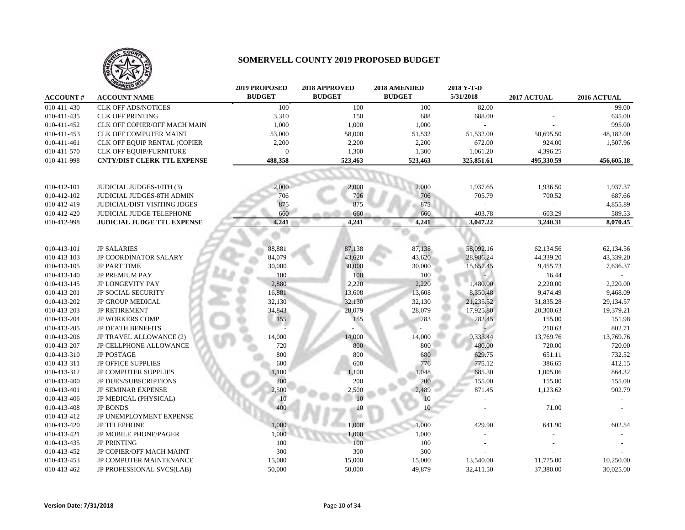

|                 | <b>TAILED</b>                       | <b>2019 PROPOSED</b> | 2018 APPROVED | 2018 AMENDED  | 2018 Y-T-D |             |             |
|-----------------|-------------------------------------|----------------------|---------------|---------------|------------|-------------|-------------|
| <b>ACCOUNT#</b> | <b>ACCOUNT NAME</b>                 | <b>BUDGET</b>        | <b>BUDGET</b> | <b>BUDGET</b> | 5/31/2018  | 2017 ACTUAL | 2016 ACTUAL |
| 010-411-430     | <b>CLK OFF ADS/NOTICES</b>          | 100                  | 100           | 100           | 82.00      |             | 99.00       |
| 010-411-435     | <b>CLK OFF PRINTING</b>             | 3,310                | 150           | 688           | 688.00     |             | 635.00      |
| 010-411-452     | CLK OFF COPIER/OFF MACH MAIN        | 1,000                | 1,000         | 1,000         |            |             | 995.00      |
| 010-411-453     | CLK OFF COMPUTER MAINT              | 53,000               | 58,000        | 51,532        | 51,532.00  | 50,695.50   | 48,182.00   |
| 010-411-461     | CLK OFF EQUIP RENTAL (COPIER        | 2,200                | 2,200         | 2,200         | 672.00     | 924.00      | 1,507.96    |
| 010-411-570     | CLK OFF EQUIP/FURNITURE             | $\mathbf{0}$         | 1,300         | 1,300         | 1,061.20   | 4,396.25    |             |
| 010-411-998     | <b>CNTY/DIST CLERK TTL EXPENSE</b>  | 488,358              | 523,463       | 523,463       | 325,851.61 | 495,330.59  | 456,605.18  |
|                 |                                     |                      |               |               |            |             |             |
|                 |                                     |                      |               |               |            |             |             |
| 010-412-101     | JUDICIAL JUDGES-10TH (3)            | 2,000                | 2,000         | 2,000         | 1,937.65   | 1,936.50    | 1,937.37    |
| 010-412-102     | <b>JUDICIAL JUDGES-8TH ADMIN</b>    | 706                  | 706           | 706           | 705.79     | 700.52      | 687.66      |
| 010-412-419     | <b>JUDICIAL/DIST VISITING JDGES</b> | 875                  | 875           | 875           |            |             | 4,855.89    |
| 010-412-420     | JUDICIAL JUDGE TELEPHONE            | 660                  | 660           | 660           | 403.78     | 603.29      | 589.53      |
| 010-412-998     | JUDICIAL JUDGE TTL EXPENSE          | 4,241                | 4,241         | 4,241         | 3,047.22   | 3,240.31    | 8,070.45    |
|                 |                                     |                      |               |               |            |             |             |
|                 |                                     |                      |               |               |            |             |             |
| 010-413-101     | <b>JP SALARIES</b>                  | 88,881               | 87,138        | 87,138        | 58,092.16  | 62,134.56   | 62,134.56   |
| 010-413-103     | JP COORDINATOR SALARY               | 84,079               | 43,620        | 43,620        | 28,986.24  | 44,339.20   | 43,339.20   |
| 010-413-105     | <b>JP PART TIME</b>                 | 30,000               | 30,000        | 30,000        | 15,657.45  | 9,455.73    | 7,636.37    |
| 010-413-140     | JP PREMIUM PAY                      | 100                  | 100           | 100           |            | 16.44       |             |
| 010-413-145     | <b>JP LONGEVITY PAY</b>             | 2,880                | 2,220         | 2,220         | 1,480.00   | 2,220.00    | 2,220.00    |
| 010-413-201     | <b>JP SOCIAL SECURITY</b>           | 16,881               | 13,608        | 13,608        | 8,350.48   | 9,474.49    | 9,468.09    |
| 010-413-202     | <b>JP GROUP MEDICAL</b>             | 32,130               | 32,130        | 32,130        | 21,235.52  | 31,835.28   | 29,134.57   |
| 010-413-203     | <b>JP RETIREMENT</b>                | 34,843               | 28,079        | 28,079        | 17,925.80  | 20,300.63   | 19,379.21   |
| 010-413-204     | <b>JP WORKERS COMP</b>              | 155                  | 155           | 283           | 282.45     | 155.00      | 151.98      |
| 010-413-205     | <b>JP DEATH BENEFITS</b>            |                      |               |               |            | 210.63      | 802.71      |
| 010-413-206     | JP TRAVEL ALLOWANCE (2)             | 14,000               | 14,000        | 14,000        | 9,333.44   | 13,769.76   | 13,769.76   |
| 010-413-207     | JP CELLPHONE ALLOWANCE              | 720                  | 800           | 800           | 480.00     | 720.00      | 720.00      |
| 010-413-310     | <b>JP POSTAGE</b>                   | 800                  | 800           | 680           | 629.75     | 651.11      | 732.52      |
| 010-413-311     | <b>JP OFFICE SUPPLIES</b>           | 600                  | 600           | 776           | 775.12     | 386.65      | 412.15      |
| 010-413-312     | <b>JP COMPUTER SUPPLIES</b>         | 1,100                | 1,100         | 1,048         | 685.30     | 1,005.06    | 864.32      |
| 010-413-400     | <b>JP DUES/SUBSCRIPTIONS</b>        | 200                  | 200           | 200           | 155.00     | 155.00      | 155.00      |
| 010-413-401     | <b>JP SEMINAR EXPENSE</b>           | 2,500                | 2,500         | 2,489         | 871.45     | 1,123.62    | 902.79      |
| 010-413-406     | JP MEDICAL (PHYSICAL)               | 10                   | 10            | 10            |            |             |             |
| 010-413-408     | <b>JP BONDS</b>                     | 400                  | 10            | 10            |            | 71.00       |             |
| 010-413-412     | JP UNEMPLOYMENT EXPENSE             |                      |               |               |            |             |             |
| 010-413-420     | <b>JP TELEPHONE</b>                 | 1,000                | 1,000         | 1,000         | 429.90     | 641.90      | 602.54      |
| 010-413-421     | <b>JP MOBILE PHONE/PAGER</b>        | 1,000                | 1,000         | 1,000         |            |             |             |
| 010-413-435     | <b>JP PRINTING</b>                  | 100                  | 100           | 100           |            |             |             |
| 010-413-452     | JP COPIER/OFF MACH MAINT            | 300                  | 300           | 300           |            |             |             |
| 010-413-453     | JP COMPUTER MAINTENANCE             | 15,000               | 15,000        | 15,000        | 13,540.00  | 11,775.00   | 10,250.00   |
| 010-413-462     | JP PROFESSIONAL SVCS(LAB)           | 50,000               | 50,000        | 49,879        | 32,411.50  | 37,380.00   | 30,025.00   |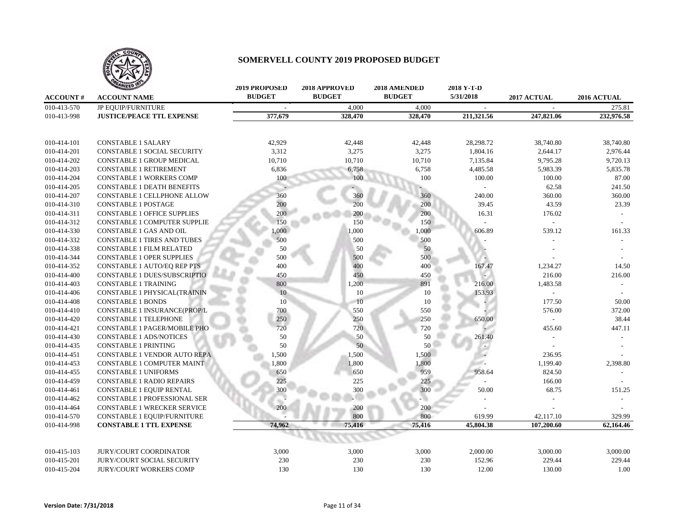

|                 | <b>ANIZED IS</b>                    | <b>2019 PROPOSED</b> | 2018 APPROVED | 2018 AMENDED  | 2018 Y-T-D |             |             |
|-----------------|-------------------------------------|----------------------|---------------|---------------|------------|-------------|-------------|
| <b>ACCOUNT#</b> | <b>ACCOUNT NAME</b>                 | <b>BUDGET</b>        | <b>BUDGET</b> | <b>BUDGET</b> | 5/31/2018  | 2017 ACTUAL | 2016 ACTUAL |
| 010-413-570     | <b>JP EQUIP/FURNITURE</b>           |                      | 4,000         | 4,000         |            |             | 275.81      |
| 010-413-998     | <b>JUSTICE/PEACE TTL EXPENSE</b>    | 377,679              | 328,470       | 328,470       | 211,321.56 | 247,821.06  | 232,976.58  |
|                 |                                     |                      |               |               |            |             |             |
| 010-414-101     | <b>CONSTABLE 1 SALARY</b>           | 42,929               | 42,448        | 42,448        | 28,298.72  | 38,740.80   | 38,740.80   |
| 010-414-201     | CONSTABLE 1 SOCIAL SECURITY         | 3,312                | 3,275         | 3,275         | 1,804.16   | 2,644.17    | 2,976.44    |
| 010-414-202     | CONSTABLE 1 GROUP MEDICAL           | 10,710               | 10,710        | 10,710        | 7,135.84   | 9,795.28    | 9,720.13    |
| 010-414-203     | <b>CONSTABLE 1 RETIREMENT</b>       | 6,836                | 6,758         | 6,758         | 4,485.58   | 5,983.39    | 5,835.78    |
| 010-414-204     | <b>CONSTABLE 1 WORKERS COMP</b>     | 100                  | 100           | 100           | 100.00     | 100.00      | 87.00       |
| 010-414-205     | <b>CONSTABLE 1 DEATH BENEFITS</b>   |                      |               |               |            | 62.58       | 241.50      |
| 010-414-207     | CONSTABLE 1 CELLPHONE ALLOW         | 360                  | 360           | 360           | 240.00     | 360.00      | 360.00      |
| 010-414-310     | <b>CONSTABLE 1 POSTAGE</b>          | 200                  | 200           | 200           | 39.45      | 43.59       | 23.39       |
| 010-414-311     | <b>CONSTABLE 1 OFFICE SUPPLIES</b>  | 200                  | 200           | 200           | 16.31      | 176.02      |             |
| 010-414-312     | CONSTABLE 1 COMPUTER SUPPLIE        | 150                  | 150           | 150           |            | $\sim$      |             |
| 010-414-330     | CONSTABLE 1 GAS AND OIL             | ,000                 | 1,000         | 1,000         | 606.89     | 539.12      | 161.33      |
| 010-414-332     | <b>CONSTABLE 1 TIRES AND TUBES</b>  | 500                  | 500           | 500           |            |             |             |
| 010-414-338     | <b>CONSTABLE 1 FILM RELATED</b>     | 50                   | 50            | 50            |            |             |             |
| 010-414-344     | <b>CONSTABLE 1 OPER SUPPLIES</b>    | 500                  | 500           | 500           |            |             |             |
| 010-414-352     | CONSTABLE 1 AUTO/EQ REP PTS         | 400                  | 400           | 400           | 167.47     | 1,234.27    | 14.50       |
| 010-414-400     | CONSTABLE 1 DUES/SUBSCRIPTIO        | 450                  | 450           | 450           |            | 216.00      | 216.00      |
| 010-414-403     | <b>CONSTABLE 1 TRAINING</b>         | 800                  | 1,200         | 891           | 216.00     | 1,483.58    |             |
| 010-414-406     | <b>CONSTABLE 1 PHYSICAL(TRAININ</b> | 10                   | 10            | 10            | 153.93     |             |             |
| 010-414-408     | <b>CONSTABLE 1 BONDS</b>            | 10                   | 10            | 10            |            | 177.50      | 50.00       |
| 010-414-410     | CONSTABLE 1 INSURANCE(PROP/L        | 700                  | 550           | 550           |            | 576.00      | 372.00      |
| 010-414-420     | <b>CONSTABLE 1 TELEPHONE</b>        | 250                  | 250           | 250           | 650.00     | $\sim$      | 38.44       |
| 010-414-421     | CONSTABLE 1 PAGER/MOBILE PHO        | 720                  | 720           | 720           |            | 455.60      | 447.11      |
| 010-414-430     | <b>CONSTABLE 1 ADS/NOTICES</b>      | 50                   | 50            | 50            | 261.40     |             |             |
| 010-414-435     | <b>CONSTABLE 1 PRINTING</b>         | $50\,$               | 50            | 50            |            |             |             |
| 010-414-451     | <b>CONSTABLE 1 VENDOR AUTO REPA</b> | 1,500                | 1,500         | 1,500         |            | 236.95      |             |
| 010-414-453     | CONSTABLE 1 COMPUTER MAINT          | 1,800                | 1,800         | 1,800         |            | 1,199.40    | 2,398.80    |
| 010-414-455     | <b>CONSTABLE 1 UNIFORMS</b>         | 650                  | 650           | 959           | 958.64     | 824.50      |             |
| 010-414-459     | CONSTABLE 1 RADIO REPAIRS           | 225                  | 225           | 225           |            | 166.00      |             |
| 010-414-461     | <b>CONSTABLE 1 EQUIP RENTAL</b>     | 300                  | 300           | 300           | 50.00      | 68.75       | 151.25      |
| 010-414-462     | CONSTABLE 1 PROFESSIONAL SER        |                      |               |               |            |             |             |
| 010-414-464     | <b>CONSTABLE 1 WRECKER SERVICE</b>  | 200                  | 200           | 200           |            |             |             |
| 010-414-570     | CONSTABLE 1 EQUIP/FURNITURE         |                      | 800           | 800           | 619.99     | 42,117.10   | 329.99      |
| 010-414-998     | <b>CONSTABLE 1 TTL EXPENSE</b>      | 74,962               | 75,416        | 75,416        | 45,804.38  | 107,200.60  | 62.164.46   |
|                 |                                     |                      |               |               |            |             |             |
| 010-415-103     | JURY/COURT COORDINATOR              | 3,000                | 3,000         | 3,000         | 2,000.00   | 3,000.00    | 3,000.00    |
| 010-415-201     | <b>JURY/COURT SOCIAL SECURITY</b>   | 230                  | 230           | 230           | 152.96     | 229.44      | 229.44      |
| 010-415-204     | <b>JURY/COURT WORKERS COMP</b>      | 130                  | 130           | 130           | 12.00      | 130.00      | 1.00        |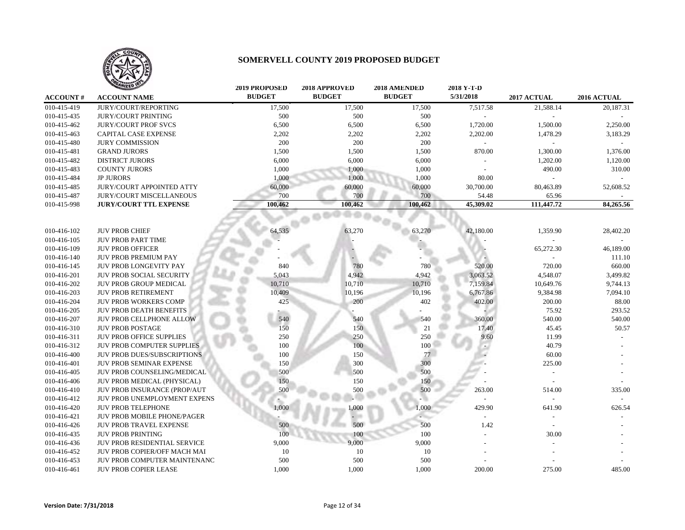

|                 | <b>ANIZED</b>                       | <b>2019 PROPOSED</b> | 2018 APPROVED | 2018 AMENDED  | 2018 Y-T-D     |             |             |
|-----------------|-------------------------------------|----------------------|---------------|---------------|----------------|-------------|-------------|
| <b>ACCOUNT#</b> | <b>ACCOUNT NAME</b>                 | <b>BUDGET</b>        | <b>BUDGET</b> | <b>BUDGET</b> | 5/31/2018      | 2017 ACTUAL | 2016 ACTUAL |
| 010-415-419     | JURY/COURT/REPORTING                | 17,500               | 17,500        | 17,500        | 7,517.58       | 21,588.14   | 20,187.31   |
| 010-415-435     | <b>JURY/COURT PRINTING</b>          | 500                  | 500           | 500           | $\overline{a}$ |             |             |
| 010-415-462     | <b>JURY/COURT PROF SVCS</b>         | 6,500                | 6,500         | 6,500         | 1,720.00       | 1,500.00    | 2,250.00    |
| 010-415-463     | CAPITAL CASE EXPENSE                | 2,202                | 2,202         | 2,202         | 2,202.00       | 1,478.29    | 3,183.29    |
| 010-415-480     | <b>JURY COMMISSION</b>              | 200                  | 200           | 200           |                |             |             |
| 010-415-481     | <b>GRAND JURORS</b>                 | 1,500                | 1,500         | 1,500         | 870.00         | 1,300.00    | 1,376.00    |
| 010-415-482     | <b>DISTRICT JURORS</b>              | 6,000                | 6,000         | 6,000         |                | 1,202.00    | 1,120.00    |
| 010-415-483     | <b>COUNTY JURORS</b>                | 1,000                | 1,000         | 1,000         |                | 490.00      | 310.00      |
| 010-415-484     | <b>JP JURORS</b>                    | 1,000                | 1,000         | 1,000         | 80.00          |             |             |
| 010-415-485     | JURY/COURT APPOINTED ATTY           | 60,000               | 60,000        | 60,000        | 30,700.00      | 80,463.89   | 52,608.52   |
| 010-415-487     | <b>JURY/COURT MISCELLANEOUS</b>     | 700                  | 700           | 700           | 54.48          | 65.96       |             |
| 010-415-998     | <b>JURY/COURT TTL EXPENSE</b>       | 100,462              | 100,462       | 100,462       | 45,309.02      | 111,447.72  | 84,265.56   |
|                 |                                     |                      |               |               |                |             |             |
| 010-416-102     | <b>JUV PROB CHIEF</b>               | 64,535               | 63,270        | 63,270        | 42,180.00      | 1,359.90    | 28,402.20   |
| 010-416-105     | <b>JUV PROB PART TIME</b>           |                      |               |               |                |             |             |
| 010-416-109     | <b>JUV PROB OFFICER</b>             |                      |               |               |                | 65,272.30   | 46,189.00   |
| 010-416-140     | <b>JUV PROB PREMIUM PAY</b>         |                      |               |               |                |             | 111.10      |
| 010-416-145     | <b>JUV PROB LONGEVITY PAY</b>       | 840                  | 780           | 780           | 520.00         | 720.00      | 660.00      |
| 010-416-201     | <b>JUV PROB SOCIAL SECURITY</b>     | 5,043                | 4,942         | 4,942         | 3,063.52       | 4,548.07    | 3,499.82    |
| 010-416-202     | <b>JUV PROB GROUP MEDICAL</b>       | 10,710               | 10,710        | 10,710        | 7,159.84       | 10,649.76   | 9,744.13    |
| 010-416-203     | <b>JUV PROB RETIREMENT</b>          | 10,409               | 10,196        | 10,196        | 6,767.86       | 9,384.98    | 7,094.10    |
| 010-416-204     | JUV PROB WORKERS COMP               | 425                  | 200           | 402           | 402.00         | 200.00      | 88.00       |
| 010-416-205     | <b>JUV PROB DEATH BENEFITS</b>      |                      |               |               |                | 75.92       | 293.52      |
| 010-416-207     | <b>JUV PROB CELLPHONE ALLOW</b>     | 540                  | 540           | 540           | 360.00         | 540.00      | 540.00      |
| 010-416-310     | <b>JUV PROB POSTAGE</b>             | 150                  | 150           | 21            | 17.40          | 45.45       | 50.57       |
| 010-416-311     | <b>JUV PROB OFFICE SUPPLIES</b>     | 250                  | 250           | 250           | 9.60           | 11.99       |             |
| 010-416-312     | <b>JUV PROB COMPUTER SUPPLIES</b>   | 100                  | 100           | 100           |                | 40.79       |             |
| 010-416-400     | <b>JUV PROB DUES/SUBSCRIPTIONS</b>  | 100                  | 150           | $77\,$        |                | 60.00       |             |
| 010-416-401     | <b>JUV PROB SEMINAR EXPENSE</b>     | 150                  | 300           | 300           |                | 225.00      |             |
| 010-416-405     | JUV PROB COUNSELING/MEDICAL         | 500                  | 500           | 500           |                |             |             |
| 010-416-406     | JUV PROB MEDICAL (PHYSICAL)         | 150                  | 150           | 150           |                |             |             |
| 010-416-410     | JUV PROB INSURANCE (PROP/AUT        | 500                  | 500           | 500           | 263.00         | 514.00      | 335.00      |
| 010-416-412     | JUV PROB UNEMPLOYMENT EXPENS        |                      |               |               |                |             |             |
| 010-416-420     | <b>JUV PROB TELEPHONE</b>           | 1.000                | 0.000         | 000.1         | 429.90         | 641.90      | 626.54      |
| 010-416-421     | <b>JUV PROB MOBILE PHONE/PAGER</b>  |                      |               |               |                |             |             |
| 010-416-426     | JUV PROB TRAVEL EXPENSE             | 500                  | 500           | 500           | 1.42           |             |             |
| 010-416-435     | <b>JUV PROB PRINTING</b>            | 100                  | 100           | 100           |                | 30.00       |             |
| 010-416-436     | <b>JUV PROB RESIDENTIAL SERVICE</b> | 9,000                | 9,000         | 9,000         |                |             |             |
| 010-416-452     | JUV PROB COPIER/OFF MACH MAI        | 10                   | 10            | 10            |                |             |             |
| 010-416-453     | JUV PROB COMPUTER MAINTENANC        | 500                  | 500           | 500           |                |             |             |
| 010-416-461     | <b>JUV PROB COPIER LEASE</b>        | 1,000                | 1,000         | 1,000         | 200.00         | 275.00      | 485.00      |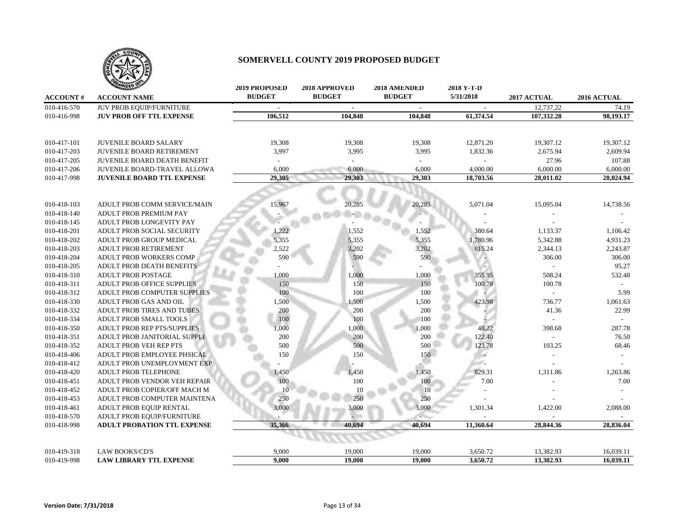

|                 | ANIZED 10                           | <b>2019 PROPOSED</b><br><b>BUDGET</b> | 2018 APPROVED<br><b>BUDGET</b> | 2018 AMENDED<br><b>BUDGET</b> | 2018 Y-T-D<br>5/31/2018  |             |               |
|-----------------|-------------------------------------|---------------------------------------|--------------------------------|-------------------------------|--------------------------|-------------|---------------|
| <b>ACCOUNT#</b> | <b>ACCOUNT NAME</b>                 |                                       |                                |                               |                          | 2017 ACTUAL | 2016 ACTUAL   |
| 010-416-570     | JUV PROB EQUIP/FURNITURE            | $\overline{\phantom{a}}$              | $\sim$                         |                               | $\sim$                   | 12.737.22   | 74.19         |
| 010-416-998     | <b>JUV PROB OFF TTL EXPENSE</b>     | 106,512                               | 104,848                        | 104,848                       | 61,374.54                | 107,332.28  | 98,193.17     |
| 010-417-101     | <b>JUVENILE BOARD SALARY</b>        | 19.308                                | 19,308                         | 19,308                        | 12,871.20                | 19.307.12   | 19.307.12     |
| 010-417-203     | <b>JUVENILE BOARD RETIREMENT</b>    | 3,997                                 | 3,995                          | 3,995                         | 1,832.36                 | 2,675.94    | 2,609.94      |
| 010-417-205     | <b>JUVENILE BOARD DEATH BENEFIT</b> | $\overline{\phantom{a}}$              |                                |                               | $\sim$                   | 27.96       | 107.88        |
| 010-417-206     | JUVENILE BOARD-TRAVEL ALLOWA        | 6,000                                 | 6,000                          | 6,000                         | 4,000.00                 | 6,000.00    | 6,000.00      |
| 010-417-998     | <b>JUVENILE BOARD TTL EXPENSE</b>   | 29,305                                | 29,303                         | 29,303                        | 18,703.56                | 28,011.02   | 28,024.94     |
|                 |                                     |                                       |                                |                               |                          |             |               |
| 010-418-103     | ADULT PROB COMM SERVICE/MAIN        | 15,967                                | 20,285                         | 20,285                        | 5,071.04                 | 15,095.04   | 14,738.56     |
| 010-418-140     | ADULT PROB PREMIUM PAY              |                                       |                                |                               |                          |             |               |
| 010-418-145     | ADULT PROB LONGEVITY PAY            |                                       |                                |                               |                          |             |               |
| 010-418-201     | ADULT PROB SOCIAL SECURITY          | 1,222                                 | 1,552                          | 1,552                         | 380.64                   | 1,133.37    | 1,106.42      |
| 010-418-202     | ADULT PROB GROUP MEDICAL            | 5,355                                 | 5,355                          | 5,355                         | 1,780.96                 | 5,342.88    | 4,931.23      |
| 010-418-203     | ADULT PROB RETIREMENT               | 2,522                                 | 3,202                          | 3,202                         | 815.24                   | 2,344.13    | 2,243.87      |
| 010-418-204     | ADULT PROB WORKERS COMP             | 590                                   | 590                            | 590                           |                          | 306.00      | 306.00        |
| 010-418-205     | ADULT PROB DEATH BENEFITS           |                                       |                                |                               |                          |             | 95.27         |
| 010-418-310     | <b>ADULT PROB POSTAGE</b>           | 1,000                                 | 1,000                          | 1,000                         | 355.95                   | 508.24      | 532.48        |
| 010-418-311     | <b>ADULT PROB OFFICE SUPPLIES</b>   | 150                                   | 150                            | 150                           | 100.78                   | 100.78      |               |
| 010-418-312     | ADULT PROB COMPUTER SUPPLIES        | 100                                   | 100                            | 100                           |                          | $\sim$      | 5.99          |
| 010-418-330     | ADULT PROB GAS AND OIL              | 1,500                                 | 1,500                          | 1,500                         | 423.98                   | 736.77      | 1,061.63      |
| 010-418-332     | <b>ADULT PROB TIRES AND TUBES</b>   | 200                                   | 200                            | 200                           |                          | 41.36       | 22.99         |
| 010-418-334     | ADULT PROB SMALL TOOLS              | 100                                   | 100                            | 100                           |                          |             | $\mathcal{L}$ |
| 010-418-350     | <b>ADULT PROB REP PTS/SUPPLIES</b>  | 1,000                                 | 1,000                          | 1,000                         | 48.22                    | 398.68      | 287.78        |
| 010-418-351     | ADULT PROB JANITORIAL SUPPLI        | 200                                   | 200                            | 200                           | 122.40                   |             | 76.50         |
| 010-418-352     | <b>ADULT PROB VEH REP PTS</b>       | 500                                   | 500                            | 500                           | 123.78                   | 103.25      | 68.46         |
| 010-418-406     | ADULT PROB EMPLOYEE PHSICAL         | 150                                   | 150                            | 150                           | $\overline{\phantom{a}}$ |             |               |
| 010-418-412     | ADULT PROB UNEMPLOYMENT EXP         |                                       |                                |                               | w.                       |             |               |
| 010-418-420     | ADULT PROB TELEPHONE                | 1,450                                 | 1,450                          | 1,450                         | 829.31                   | 1,311.86    | 1,263.86      |
| 010-418-451     | ADULT PROB VENDOR VEH REPAIR        | 100                                   | 100                            | 100                           | 7.00                     |             | 7.00          |
| 010-418-452     | ADULT PROB COPIER/OFF MACH M        | 10                                    | 10                             | 10                            |                          |             |               |
| 010-418-453     | ADULT PROB COMPUTER MAINTENA        | 250                                   | 250                            | 250                           |                          |             |               |
| 010-418-461     | ADULT PROB EQUIP RENTAL             | 3,000                                 | 3,000                          | 3,000                         | 1,301.34                 | 1,422.00    | 2,088.00      |
| 010-418-570     | ADULT PROB EQUIP/FURNITURE          |                                       |                                |                               |                          |             |               |
| 010-418-998     | <b>ADULT PROBATION TTL EXPENSE</b>  | 35,366                                | 40,694                         | 40.694                        | 11.360.64                | 28,844.36   | 28,836.04     |
|                 |                                     |                                       |                                |                               |                          |             |               |
| 010-419-318     | <b>LAW BOOKS/CD'S</b>               | 9,000                                 | 19,000                         | 19,000                        | 3,650.72                 | 13,382.93   | 16,039.11     |
| 010-419-998     | <b>LAW LIBRARY TTL EXPENSE</b>      | 9.000                                 | 19,000                         | 19,000                        | 3,650.72                 | 13,382.93   | 16,039.11     |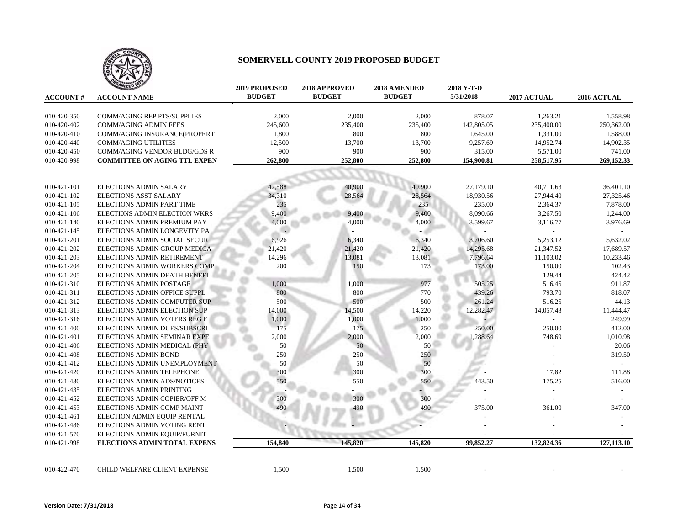

| <b>ACCOUNT#</b> | <b>ANIZED 100</b><br><b>ACCOUNT NAME</b> | <b>2019 PROPOSED</b><br><b>BUDGET</b> | 2018 APPROVED<br><b>BUDGET</b> | <b>2018 AMENDED</b><br><b>BUDGET</b> | 2018 Y-T-D<br>5/31/2018 | <b>2017 ACTUAL</b> | <b>2016 ACTUAL</b> |
|-----------------|------------------------------------------|---------------------------------------|--------------------------------|--------------------------------------|-------------------------|--------------------|--------------------|
|                 |                                          |                                       |                                |                                      |                         |                    |                    |
| 010-420-350     | <b>COMM/AGING REP PTS/SUPPLIES</b>       | 2,000                                 | 2,000                          | 2,000                                | 878.07                  | 1,263.21           | 1,558.98           |
| 010-420-402     | <b>COMM/AGING ADMIN FEES</b>             | 245,600                               | 235,400                        | 235,400                              | 142,805.05              | 235,400.00         | 250,362.00         |
| 010-420-410     | COMM/AGING INSURANCE(PROPERT             | 1,800                                 | 800                            | 800                                  | 1,645.00                | 1,331.00           | 1,588.00           |
| 010-420-440     | <b>COMM/AGING UTILITIES</b>              | 12,500                                | 13,700                         | 13,700                               | 9,257.69                | 14,952.74          | 14,902.35          |
| 010-420-450     | COMM/AGING VENDOR BLDG/GDS R             | 900                                   | 900                            | 900                                  | 315.00                  | 5,571.00           | 741.00             |
| 010-420-998     | <b>COMMITTEE ON AGING TTL EXPEN</b>      | 262,800                               | 252,800                        | 252,800                              | 154,900.81              | 258,517.95         | 269,152.33         |
|                 |                                          |                                       |                                |                                      |                         |                    |                    |
| 010-421-101     | <b>ELECTIONS ADMIN SALARY</b>            | 42,588                                | 40,900                         | 40,900                               | 27,179.10               | 40,711.63          | 36,401.10          |
| 010-421-102     | <b>ELECTIONS ASST SALARY</b>             | 34,310                                | 28,564                         | 28,564                               | 18,930.56               | 27,944.40          | 27,325.46          |
| 010-421-105     | ELECTIONS ADMIN PART TIME                | 235                                   |                                | 235                                  | 235.00                  | 2,364.37           | 7,878.00           |
| 010-421-106     | ELECTIONS ADMIN ELECTION WKRS            | 9,400                                 | 9,400                          | 9,400                                | 8,090.66                | 3,267.50           | 1,244.00           |
| 010-421-140     | ELECTIONS ADMIN PREMIUM PAY              | 4,000                                 | 4,000                          | 4,000                                | 3,599.67                | 3,116.77           | 3,976.69           |
| 010-421-145     | ELECTIONS ADMIN LONGEVITY PA             |                                       |                                |                                      |                         |                    |                    |
| 010-421-201     | ELECTIONS ADMIN SOCIAL SECUR             | 6,926                                 | 6,340                          | 6,340                                | 3,706.60                | 5,253.12           | 5,632.02           |
| 010-421-202     | ELECTIONS ADMIN GROUP MEDICA             | 21,420                                | 21,420                         | 21,420                               | 14,295.68               | 21,347.52          | 17,689.57          |
| 010-421-203     | ELECTIONS ADMIN RETIREMENT               | 14,296                                | 13,081                         | 13,081                               | 7,796.64                | 11,103.02          | 10,233.46          |
| 010-421-204     | ELECTIONS ADMIN WORKERS COMP             | 200                                   | 150                            | 173                                  | 173.00                  | 150.00             | 102.43             |
| 010-421-205     | ELECTIONS ADMIN DEATH BENEFI             |                                       |                                |                                      |                         | 129.44             | 424.42             |
| 010-421-310     | <b>ELECTIONS ADMIN POSTAGE</b>           | 1,000                                 | 1,000                          | 977                                  | 505.25                  | 516.45             | 911.87             |
| 010-421-311     | ELECTIONS ADMIN OFFICE SUPPL             | 800                                   | 800                            | 770                                  | 439.26                  | 793.70             | 818.07             |
| 010-421-312     | ELECTIONS ADMIN COMPUTER SUP             | 500                                   | 500                            | 500                                  | 261.24                  | 516.25             | 44.13              |
| 010-421-313     | ELECTIONS ADMIN ELECTION SUP             | 14,000                                | 14,500                         | 14,220                               | 12,282.47               | 14,057.43          | 11,444.47          |
| 010-421-316     | ELECTIONS ADMIN VOTERS REG E             | 1,000                                 | 1,000                          | 1,000                                |                         |                    | 249.99             |
| 010-421-400     | ELECTIONS ADMIN DUES/SUBSCRI             | 175                                   | 175                            | 250                                  | 250.00                  | 250.00             | 412.00             |
| 010-421-401     | ELECTIONS ADMIN SEMINAR EXPE             | 2,000                                 | 2,000                          | 2,000                                | 1,288.64                | 748.69             | 1,010.98           |
| 010-421-406     | ELECTIONS ADMIN MEDICAL (PHY             | 50                                    | 50                             | 50                                   |                         |                    | 20.06              |
| 010-421-408     | <b>ELECTIONS ADMIN BOND</b>              | 250                                   | 250                            | 250                                  |                         |                    | 319.50             |
| 010-421-412     | ELECTIONS ADMIN UNEMPLOYMENT             | 50                                    | 50                             | 50                                   |                         |                    |                    |
| 010-421-420     | ELECTIONS ADMIN TELEPHONE                | 300                                   | 300                            | 300                                  |                         | 17.82              | 111.88             |
| 010-421-430     | ELECTIONS ADMIN ADS/NOTICES              | 550                                   | 550                            | 550                                  | 443.50                  | 175.25             | 516.00             |
| 010-421-435     | <b>ELECTIONS ADMIN PRINTING</b>          |                                       |                                |                                      |                         |                    |                    |
| 010-421-452     | ELECTIONS ADMIN COPIER/OFF M             | 300                                   | 300                            | 300                                  |                         |                    |                    |
| 010-421-453     | ELECTIONS ADMIN COMP MAINT               | 490                                   |                                | 490                                  | 375.00                  | 361.00             | 347.00             |
| 010-421-461     | ELECTION ADMIN EQUIP RENTAL              |                                       |                                |                                      |                         |                    |                    |
| 010-421-486     | ELECTIONS ADMIN VOTING RENT              |                                       |                                |                                      |                         |                    |                    |
| 010-421-570     | ELECTIONS ADMIN EQUIP/FURNIT             |                                       |                                |                                      |                         |                    |                    |
| 010-421-998     | <b>ELECTIONS ADMIN TOTAL EXPENS</b>      | 154,840                               | 145,820                        | 145,820                              | 99,852.27               | 132,824.36         | 127,113.10         |
|                 |                                          |                                       |                                |                                      |                         |                    |                    |
| 010-422-470     | CHILD WELFARE CLIENT EXPENSE             | 1,500                                 | 1,500                          | 1,500                                |                         |                    |                    |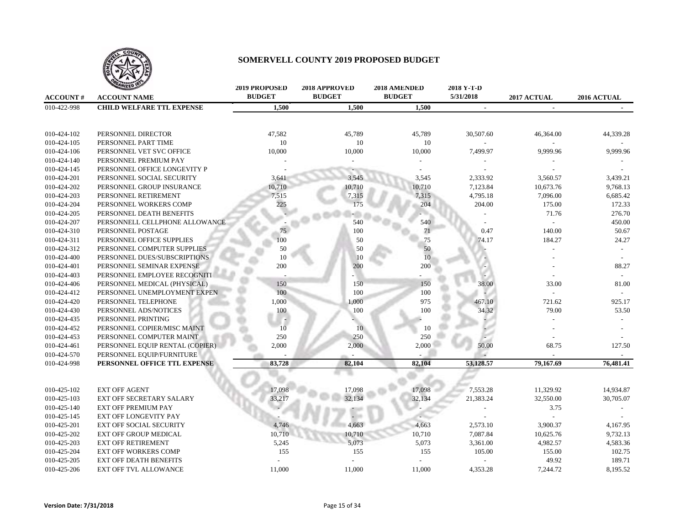

|                 | <b>ANIZED IS</b>                 | <b>2019 PROPOSED</b> | 2018 APPROVED | 2018 AMENDED  | 2018 Y-T-D     |                |             |
|-----------------|----------------------------------|----------------------|---------------|---------------|----------------|----------------|-------------|
| <b>ACCOUNT#</b> | <b>ACCOUNT NAME</b>              | <b>BUDGET</b>        | <b>BUDGET</b> | <b>BUDGET</b> | 5/31/2018      | 2017 ACTUAL    | 2016 ACTUAL |
| 010-422-998     | <b>CHILD WELFARE TTL EXPENSE</b> | 1,500                | 1,500         | 1,500         | $\blacksquare$ | $\blacksquare$ |             |
|                 |                                  |                      |               |               |                |                |             |
| 010-424-102     | PERSONNEL DIRECTOR               | 47,582               | 45,789        | 45,789        | 30,507.60      | 46,364.00      | 44,339.28   |
| 010-424-105     | PERSONNEL PART TIME              | 10                   | 10            | 10            |                |                |             |
| 010-424-106     | PERSONNEL VET SVC OFFICE         | 10,000               | 10,000        | 10,000        | 7,499.97       | 9,999.96       | 9,999.96    |
| 010-424-140     | PERSONNEL PREMIUM PAY            |                      |               |               |                |                |             |
| 010-424-145     | PERSONNEL OFFICE LONGEVITY P     |                      |               |               |                |                |             |
| 010-424-201     | PERSONNEL SOCIAL SECURITY        | 3,641                | 3,545         | 3,545         | 2,333.92       | 3,560.57       | 3,439.21    |
| 010-424-202     | PERSONNEL GROUP INSURANCE        | 10,710               | 10,710        | 10,710        | 7,123.84       | 10,673.76      | 9,768.13    |
| 010-424-203     | PERSONNEL RETIREMENT             | 7,515                | 7,315         | 7,315         | 4,795.18       | 7,096.00       | 6,685.42    |
| 010-424-204     | PERSONNEL WORKERS COMP           | 225                  | 175           | 204           | 204.00         | 175.00         | 172.33      |
| 010-424-205     | PERSONNEL DEATH BENEFITS         |                      |               |               |                | 71.76          | 276.70      |
| 010-424-207     | PERSONNELL CELLPHONE ALLOWANCE   |                      | 540           | 540           |                |                | 450.00      |
| 010-424-310     | PERSONNEL POSTAGE                | 75                   | 100           | 71            | 0.47           | 140.00         | 50.67       |
| 010-424-311     | PERSONNEL OFFICE SUPPLIES        | 100                  | 50            | 75            | 74.17          | 184.27         | 24.27       |
| 010-424-312     | PERSONNEL COMPUTER SUPPLIES      | 50                   | 50            | 50            |                |                |             |
| 010-424-400     | PERSONNEL DUES/SUBSCRIPTIONS     | 10                   | 10            | 10            |                |                |             |
| 010-424-401     | PERSONNEL SEMINAR EXPENSE        | 200                  | 200           | 200           |                |                | 88.27       |
| 010-424-403     | PERSONNEL EMPLOYEE RECOGNITI     |                      |               |               |                |                |             |
| 010-424-406     | PERSONNEL MEDICAL (PHYSICAL)     | 150                  | 150           | 150           | 38.00          | 33.00          | 81.00       |
| 010-424-412     | PERSONNEL UNEMPLOYMENT EXPEN     | 100                  | 100           | 100           |                |                |             |
| 010-424-420     | PERSONNEL TELEPHONE              | 1,000                | 1,000         | 975           | 467.10         | 721.62         | 925.17      |
| 010-424-430     | PERSONNEL ADS/NOTICES            | 100                  | 100           | 100           | 34.32          | 79.00          | 53.50       |
| 010-424-435     | PERSONNEL PRINTING               |                      |               |               |                |                |             |
| 010-424-452     | PERSONNEL COPIER/MISC MAINT      | 10                   | 10            | 10            |                |                |             |
| 010-424-453     | PERSONNEL COMPUTER MAINT         | 250                  | 250           | 250           |                |                |             |
| 010-424-461     | PERSONNEL EQUIP RENTAL (COPIER)  | 2,000                | 2,000         | 2,000         | 50.00          | 68.75          | 127.50      |
| 010-424-570     | PERSONNEL EQUIP/FURNITURE        |                      |               |               |                |                |             |
| 010-424-998     | PERSONNEL OFFICE TTL EXPENSE     | 83,728               | 82,104        | 82,104        | 53,128.57      | 79,167.69      | 76,481.41   |
|                 |                                  |                      |               |               |                |                |             |
| 010-425-102     | <b>EXT OFF AGENT</b>             | 17,098               | 17,098        | 17,098        | 7,553.28       | 11,329.92      | 14,934.87   |
| 010-425-103     | EXT OFF SECRETARY SALARY         | 33,217               | 32,134        | 32,134        | 21,383.24      | 32,550.00      | 30,705.07   |
| 010-425-140     | <b>EXT OFF PREMIUM PAY</b>       |                      |               |               |                | 3.75           |             |
| 010-425-145     | EXT OFF LONGEVITY PAY            |                      |               |               |                |                |             |
| 010-425-201     | <b>EXT OFF SOCIAL SECURITY</b>   | 4.746                | 4,663         | 4,663         | 2,573.10       | 3,900.37       | 4,167.95    |
| 010-425-202     | <b>EXT OFF GROUP MEDICAL</b>     | 10,710               | 10,710        | 10,710        | 7,087.84       | 10,625.76      | 9,732.13    |
| 010-425-203     | <b>EXT OFF RETIREMENT</b>        | 5,245                | 5,073         | 5,073         | 3,361.00       | 4,982.57       | 4,583.36    |
| 010-425-204     | <b>EXT OFF WORKERS COMP</b>      | 155                  | 155           | 155           | 105.00         | 155.00         | 102.75      |
| 010-425-205     | <b>EXT OFF DEATH BENEFITS</b>    |                      |               |               |                | 49.92          | 189.71      |
| 010-425-206     | <b>EXT OFF TVL ALLOWANCE</b>     | 11.000               | 11,000        | 11,000        | 4.353.28       | 7,244.72       | 8.195.52    |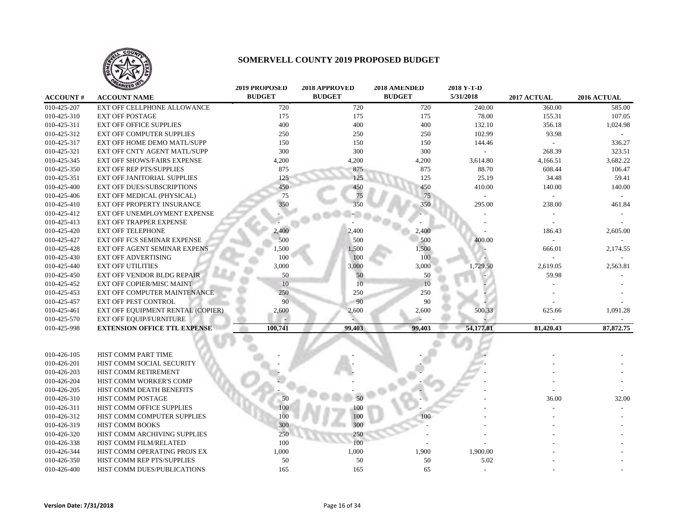

|                 | <b>WIZED</b>                        | <b>2019 PROPOSED</b> | 2018 APPROVED | 2018 AMENDED  | 2018 Y-T-D |             |             |
|-----------------|-------------------------------------|----------------------|---------------|---------------|------------|-------------|-------------|
| <b>ACCOUNT#</b> | <b>ACCOUNT NAME</b>                 | <b>BUDGET</b>        | <b>BUDGET</b> | <b>BUDGET</b> | 5/31/2018  | 2017 ACTUAL | 2016 ACTUAL |
| 010-425-207     | <b>EXT OFF CELLPHONE ALLOWANCE</b>  | 720                  | 720           | 720           | 240.00     | 360.00      | 585.00      |
| 010-425-310     | <b>EXT OFF POSTAGE</b>              | 175                  | 175           | 175           | 78.00      | 155.31      | 107.05      |
| 010-425-311     | <b>EXT OFF OFFICE SUPPLIES</b>      | 400                  | 400           | 400           | 132.10     | 356.18      | 1,024.98    |
| 010-425-312     | <b>EXT OFF COMPUTER SUPPLIES</b>    | 250                  | 250           | 250           | 102.99     | 93.98       |             |
| 010-425-317     | EXT OFF HOME DEMO MATL/SUPP         | 150                  | 150           | 150           | 144.46     |             | 336.27      |
| 010-425-321     | EXT OFF CNTY AGENT MATL/SUPP        | 300                  | 300           | 300           |            | 268.39      | 323.51      |
| 010-425-345     | <b>EXT OFF SHOWS/FAIRS EXPENSE</b>  | 4,200                | 4,200         | 4,200         | 3,614.80   | 4,166.51    | 3,682.22    |
| 010-425-350     | <b>EXT OFF REP PTS/SUPPLIES</b>     | 875                  | 875           | 875           | 88.70      | 608.44      | 106.47      |
| 010-425-351     | EXT OFF JANITORIAL SUPPLIES         | 125                  | 125           | 125           | 25.19      | 34.48       | 59.41       |
| 010-425-400     | <b>EXT OFF DUES/SUBSCRIPTIONS</b>   | 450                  | 450           | 450           | 410.00     | 140.00      | 140.00      |
| 010-425-406     | EXT OFF MEDICAL (PHYSICAL)          | 75                   | 75            | 75            |            |             |             |
| 010-425-410     | <b>EXT OFF PROPERTY INSURANCE</b>   | 350                  | 350           | 350           | 295.00     | 238.00      | 461.84      |
| 010-425-412     | EXT OFF UNEMPLOYMENT EXPENSE        |                      |               |               |            |             |             |
| 010-425-413     | EXT OFF TRAPPER EXPENSE             |                      |               |               |            |             |             |
| 010-425-420     | <b>EXT OFF TELEPHONE</b>            | 2,400                | 2,400         | 2,400         |            | 186.43      | 2,605.00    |
| 010-425-427     | EXT OFF FCS SEMINAR EXPENSE         | 500                  | 500           | 500           | 400.00     |             |             |
| 010-425-428     | EXT OFF AGENT SEMINAR EXPENS        | 1,500                | 1,500         | 1,500         |            | 666.01      | 2,174.55    |
| 010-425-430     | <b>EXT OFF ADVERTISING</b>          | 100                  | 100           | 100           |            |             |             |
| 010-425-440     | <b>EXT OFF UTILITIES</b>            | 3,000                | 3,000         | 3,000         | 1,729.50   | 2,619.05    | 2,563.81    |
| 010-425-450     | EXT OFF VENDOR BLDG REPAIR          | 50                   | 50            | 50            |            | 59.98       |             |
| 010-425-452     | <b>EXT OFF COPIER/MISC MAINT</b>    | 10                   | 10            | 10            |            |             |             |
| 010-425-453     | EXT OFF COMPUTER MAINTENANCE        | 250                  | 250           | 250           |            |             |             |
| 010-425-457     | <b>EXT OFF PEST CONTROL</b>         | 90                   | 90            | 90            |            |             |             |
| 010-425-461     | EXT OFF EQUIPMENT RENTAL (COPIER)   | 2,600                | 2,600         | 2,600         | 500.33     | 625.66      | 1,091.28    |
| 010-425-570     | EXT OFF EQUIP/FURNITURE             |                      |               |               |            |             |             |
| 010-425-998     | <b>EXTENSION OFFICE TTL EXPENSE</b> | 100,741              | 99,403        | 99,403        | 54,177.81  | 81,420.43   | 87, 872.75  |
|                 |                                     |                      |               |               |            |             |             |
|                 |                                     |                      |               |               |            |             |             |
| 010-426-105     | HIST COMM PART TIME                 |                      |               |               |            |             |             |
| 010-426-201     | HIST COMM SOCIAL SECURITY           |                      |               |               |            |             |             |
| 010-426-203     | HIST COMM RETIREMENT                |                      |               |               |            |             |             |
| 010-426-204     | HIST COMM WORKER'S COMP             |                      |               |               |            |             |             |
| 010-426-205     | HIST COMM DEATH BENEFITS            |                      |               |               |            |             |             |
| 010-426-310     | HIST COMM POSTAGE                   | 50                   |               |               |            | 36.00       | 32.00       |
| 010-426-311     | HIST COMM OFFICE SUPPLIES           | 100                  | 100           |               |            |             |             |
| 010-426-312     | HIST COMM COMPUTER SUPPLIES         | 100                  | 100           | 100           |            |             |             |
| 010-426-319     | HIST COMM BOOKS                     | 300                  | 300           |               |            |             |             |
| 010-426-320     | HIST COMM ARCHIVING SUPPLIES        | 250                  | 250           |               |            |             |             |
| 010-426-338     | HIST COMM FILM/RELATED              | 100                  | 100           |               |            |             |             |
| 010-426-344     | HIST COMM OPERATING PROJS EX        | 1,000                | 1,000         | 1,900         | 1,900.00   |             |             |
| 010-426-350     | HIST COMM REP PTS/SUPPLIES          | 50                   | 50            | 50            | 5.02       |             |             |
| 010-426-400     | HIST COMM DUES/PUBLICATIONS         | 165                  | 165           | 65            |            |             |             |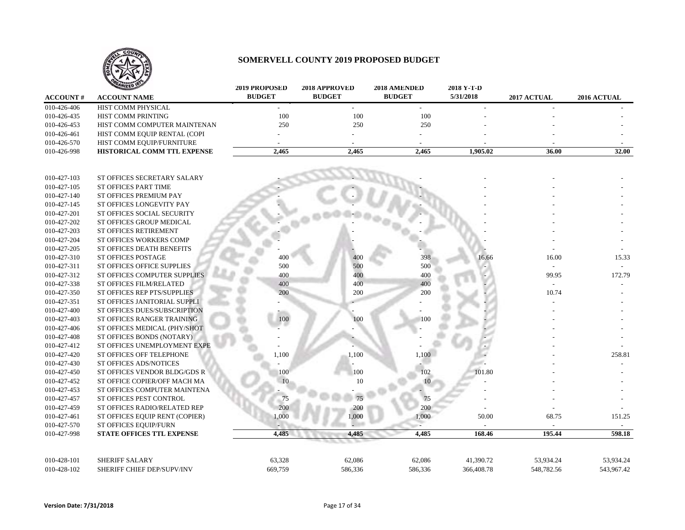

|                 | <b>ANIZED IDEA</b>             | <b>2019 PROPOSED</b> | 2018 APPROVED | 2018 AMENDED  | 2018 Y-T-D |             |             |
|-----------------|--------------------------------|----------------------|---------------|---------------|------------|-------------|-------------|
| <b>ACCOUNT#</b> | <b>ACCOUNT NAME</b>            | <b>BUDGET</b>        | <b>BUDGET</b> | <b>BUDGET</b> | 5/31/2018  | 2017 ACTUAL | 2016 ACTUAL |
| 010-426-406     | HIST COMM PHYSICAL             |                      | $\sim$        | $\sim$        |            |             |             |
| 010-426-435     | HIST COMM PRINTING             | 100                  | 100           | 100           |            |             |             |
| 010-426-453     | HIST COMM COMPUTER MAINTENAN   | 250                  | 250           | 250           |            |             |             |
| 010-426-461     | HIST COMM EQUIP RENTAL (COPI   |                      |               |               |            |             |             |
| 010-426-570     | HIST COMM EQUIP/FURNITURE      |                      |               |               |            |             |             |
| 010-426-998     | HISTORICAL COMM TTL EXPENSE    | 2,465                | 2,465         | 2,465         | 1,905.02   | 36.00       | 32.00       |
|                 |                                |                      |               |               |            |             |             |
| 010-427-103     | ST OFFICES SECRETARY SALARY    |                      |               |               |            |             |             |
| 010-427-105     | ST OFFICES PART TIME           |                      |               |               |            |             |             |
| 010-427-140     | ST OFFICES PREMIUM PAY         |                      |               |               |            |             |             |
| 010-427-145     | ST OFFICES LONGEVITY PAY       |                      |               |               |            |             |             |
| 010-427-201     | ST OFFICES SOCIAL SECURITY     |                      |               |               |            |             |             |
| 010-427-202     | ST OFFICES GROUP MEDICAL       |                      |               |               |            |             |             |
| 010-427-203     | ST OFFICES RETIREMENT          |                      |               |               |            |             |             |
| 010-427-204     | <b>ST OFFICES WORKERS COMP</b> |                      |               |               |            |             |             |
| 010-427-205     | ST OFFICES DEATH BENEFITS      |                      |               |               |            |             |             |
| 010-427-310     | <b>ST OFFICES POSTAGE</b>      | 400                  | 400           | 398           | 16.66      | 16.00       | 15.33       |
| 010-427-311     | ST OFFICES OFFICE SUPPLIES     | 500                  | 500           | 500           |            |             |             |
| 010-427-312     | ST OFFICES COMPUTER SUPPLIES   | 400                  | 400           | 400           |            | 99.95       | 172.79      |
| 010-427-338     | ST OFFICES FILM/RELATED        | 400                  | 400           | 400           |            | $\sim$      |             |
| 010-427-350     | ST OFFICES REP PTS/SUPPLIES    | 200                  | 200           | 200           |            | 10.74       |             |
| 010-427-351     | ST OFFICES JANITORIAL SUPPLI   |                      |               |               |            |             |             |
| 010-427-400     | ST OFFICES DUES/SUBSCRIPTION   |                      |               |               |            |             |             |
| 010-427-403     | ST OFFICES RANGER TRAINING     | 100                  | 100           | 100           |            |             |             |
| 010-427-406     | ST OFFICES MEDICAL (PHY/SHOT   |                      |               |               |            |             |             |
| 010-427-408     | ST OFFICES BONDS (NOTARY)      |                      |               |               |            |             |             |
| 010-427-412     | ST OFFICES UNEMPLOYMENT EXPE   |                      |               |               |            |             |             |
| 010-427-420     | ST OFFICES OFF TELEPHONE       | 1,100                | 1,100         | 1,100         |            |             | 258.81      |
| 010-427-430     | ST OFFICES ADS/NOTICES         |                      |               |               |            |             |             |
| 010-427-450     | ST OFFICES VENDOR BLDG/GDS R   | 100                  | 100           | 102           | 101.80     |             |             |
| 010-427-452     | ST OFFICE COPIER/OFF MACH MA   |                      | 10            |               |            |             |             |
| 010-427-453     | ST OFFICES COMPUTER MAINTENA   |                      |               |               |            |             |             |
| 010-427-457     | ST OFFICES PEST CONTROL        | 75                   |               | 75            |            |             |             |
| 010-427-459     | ST OFFICES RADIO/RELATED REP   | 200                  | 200           | 200           |            |             |             |
| 010-427-461     | ST OFFICES EQUIP RENT (COPIER) | 1,000                | 1,000         | 1,000         | 50.00      | 68.75       | 151.25      |
| 010-427-570     | ST OFFICES EQUIP/FURN          |                      |               |               |            |             |             |
| 010-427-998     | STATE OFFICES TTL EXPENSE      | 4,485                | 4,485         | 4,485         | 168.46     | 195.44      | 598.18      |
|                 |                                |                      |               |               |            |             |             |
| 010-428-101     | <b>SHERIFF SALARY</b>          | 63,328               | 62,086        | 62,086        | 41,390.72  | 53,934.24   | 53,934.24   |
| 010-428-102     | SHERIFF CHIEF DEP/SUPV/INV     | 669,759              | 586,336       | 586,336       | 366,408.78 | 548,782.56  | 543,967.42  |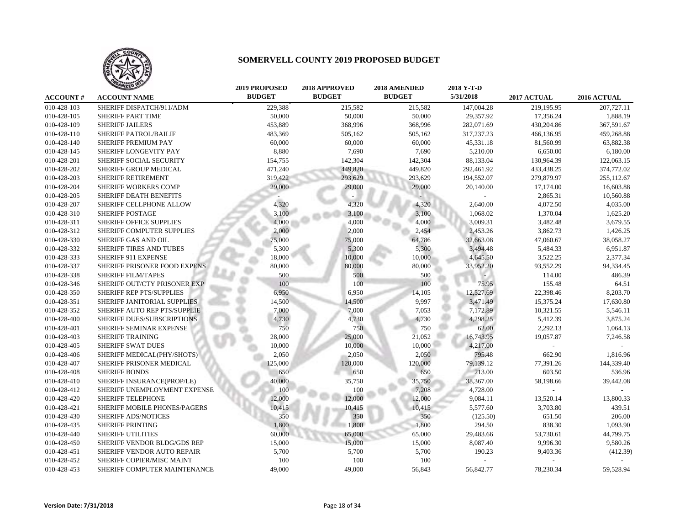

|                 | HLEU                           | <b>2019 PROPOSED</b> | <b>2018 APPROVED</b> | <b>2018 AMENDED</b> | 2018 Y-T-D |             |             |
|-----------------|--------------------------------|----------------------|----------------------|---------------------|------------|-------------|-------------|
| <b>ACCOUNT#</b> | <b>ACCOUNT NAME</b>            | <b>BUDGET</b>        | <b>BUDGET</b>        | <b>BUDGET</b>       | 5/31/2018  | 2017 ACTUAL | 2016 ACTUAL |
| 010-428-103     | SHERIFF DISPATCH/911/ADM       | 229,388              | 215,582              | 215,582             | 147,004.28 | 219,195.95  | 207,727.11  |
| 010-428-105     | SHERIFF PART TIME              | 50,000               | 50,000               | 50,000              | 29,357.92  | 17,356.24   | 1,888.19    |
| 010-428-109     | <b>SHERIFF JAILERS</b>         | 453,889              | 368,996              | 368,996             | 282,071.69 | 430,204.86  | 367,591.67  |
| 010-428-110     | SHERIFF PATROL/BAILIF          | 483,369              | 505,162              | 505,162             | 317,237.23 | 466,136.95  | 459,268.88  |
| 010-428-140     | SHERIFF PREMIUM PAY            | 60,000               | 60,000               | 60,000              | 45,331.18  | 81,560.99   | 63,882.38   |
| 010-428-145     | SHERIFF LONGEVITY PAY          | 8,880                | 7,690                | 7,690               | 5,210.00   | 6,650.00    | 6,180.00    |
| 010-428-201     | <b>SHERIFF SOCIAL SECURITY</b> | 154,755              | 142,304              | 142,304             | 88,133.04  | 130,964.39  | 122,063.15  |
| 010-428-202     | SHERIFF GROUP MEDICAL          | 471,240              | 449,820              | 449,820             | 292,461.92 | 433,438.25  | 374,772.02  |
| 010-428-203     | SHERIFF RETIREMENT             | 319,422              | 293,629              | 293,629             | 194,552.07 | 279,879.97  | 255,112.67  |
| 010-428-204     | <b>SHERIFF WORKERS COMP</b>    | 29,000               | 29,000               | 29,000              | 20,140.00  | 17,174.00   | 16,603.88   |
| 010-428-205     | SHERIFF DEATH BENEFITS         |                      |                      |                     |            | 2,865.31    | 10,560.88   |
| 010-428-207     | SHERIFF CELLPHONE ALLOW        | 4,320                | 4,320                | 4,320               | 2,640.00   | 4,072.50    | 4,035.00    |
| 010-428-310     | SHERIFF POSTAGE                | 3,100                | 3,100                | 3,100               | 1,068.02   | 1,370.04    | 1,625.20    |
| 010-428-311     | SHERIFF OFFICE SUPPLIES        | 4,000                | 4,000                | 4,000               | 3,009.31   | 3,482.48    | 3,679.55    |
| 010-428-312     | SHERIFF COMPUTER SUPPLIES      | 2,000                | 2,000                | 2,454               | 2,453.26   | 3,862.73    | 1,426.25    |
| 010-428-330     | SHERIFF GAS AND OIL            | 75,000               | 75,000               | 64,786              | 32,663.08  | 47,060.67   | 38,058.27   |
| 010-428-332     | SHERIFF TIRES AND TUBES        | 5,300                | 5,300                | 5,300               | 3,494.48   | 5,484.33    | 6,951.87    |
| 010-428-333     | SHERIFF 911 EXPENSE            | 18,000               | 10,000               | 10,000              | 4,645.50   | 3,522.25    | 2,377.34    |
| 010-428-337     | SHERIFF PRISONER FOOD EXPENS   | 80,000               | 80,000               | 80,000              | 33,952.20  | 93,552.29   | 94,334.45   |
| 010-428-338     | <b>SHERIFF FILM/TAPES</b>      | 500                  | 500                  | 500                 |            | 114.00      | 486.39      |
| 010-428-346     | SHERIFF OUT/CTY PRISONER EXP   | 100                  | 100                  | 100                 | 75.95      | 155.48      | 64.51       |
| 010-428-350     | SHERIFF REP PTS/SUPPLIES       | 6,950                | 6,950                | 14,105              | 12,527.69  | 22,398.46   | 8,203.70    |
| 010-428-351     | SHERIFF JANITORIAL SUPPLIES    | 14,500               | 14,500               | 9,997               | 3,471.49   | 15,375.24   | 17,630.80   |
| 010-428-352     | SHERIFF AUTO REP PTS/SUPPLIE   | 7,000                | 7,000                | 7,053               | 7,172.89   | 10,321.55   | 5,546.11    |
| 010-428-400     | SHERIFF DUES/SUBSCRIPTIONS     | 4,730                | 4,730                | 4,730               | 4,298.25   | 5,412.39    | 3,875.24    |
| 010-428-401     | <b>SHERIFF SEMINAR EXPENSE</b> | 750                  | 750                  | 750                 | 62.00      | 2,292.13    | 1,064.13    |
| 010-428-403     | <b>SHERIFF TRAINING</b>        | 28,000               | 25,000               | 21,052              | 16,743.95  | 19,057.87   | 7,246.58    |
| 010-428-405     | <b>SHERIFF SWAT DUES</b>       | 10,000               | 10,000               | 10,000              | 4,217.00   |             |             |
| 010-428-406     | SHERIFF MEDICAL(PHY/SHOTS)     | 2,050                | 2,050                | 2,050               | 795.48     | 662.90      | 1,816.96    |
| 010-428-407     | SHERIFF PRISONER MEDICAL       | 125,000              | 120,000              | 120,000             | 79,139.12  | 77,391.26   | 144,339.40  |
| 010-428-408     | <b>SHERIFF BONDS</b>           | 650                  | 650                  | 650                 | 213.00     | 603.50      | 536.96      |
| 010-428-410     | SHERIFF INSURANCE(PROP/LE)     | 40,000               | 35,750               | 35,750              | 38,367.00  | 58,198.66   | 39,442.08   |
| 010-428-412     | SHERIFF UNEMPLOYMENT EXPENSE   | 100                  | 100                  | 7,208               | 4,728.00   |             |             |
| 010-428-420     | <b>SHERIFF TELEPHONE</b>       | 12,000               | 12,000               | 12,000              | 9,084.11   | 13,520.14   | 13,800.33   |
| 010-428-421     | SHERIFF MOBILE PHONES/PAGERS   | 10,415               | 10,415               | 10,415              | 5,577.60   | 3,703.80    | 439.51      |
| 010-428-430     | SHERIFF ADS/NOTICES            | 350                  | 350                  | 350                 | (125.50)   | 651.50      | 206.00      |
| 010-428-435     | <b>SHERIFF PRINTING</b>        | 1,800                | 1,800                | 1,800               | 294.50     | 838.30      | 1,093.90    |
| 010-428-440     | <b>SHERIFF UTILITIES</b>       | 60,000               | 65,000               | 65,000              | 29,483.66  | 53,730.61   | 44,799.75   |
| 010-428-450     | SHERIFF VENDOR BLDG/GDS REP    | 15,000               | 15,000               | 15,000              | 8,087.40   | 9,996.30    | 9,580.26    |
| 010-428-451     | SHERIFF VENDOR AUTO REPAIR     | 5,700                | 5,700                | 5,700               | 190.23     | 9,403.36    | (412.39)    |
| 010-428-452     | SHERIFF COPIER/MISC MAINT      | 100                  | 100                  | 100                 |            |             |             |
| 010-428-453     | SHERIFF COMPUTER MAINTENANCE   | 49,000               | 49,000               | 56,843              | 56,842.77  | 78,230.34   | 59,528.94   |
|                 |                                |                      |                      |                     |            |             |             |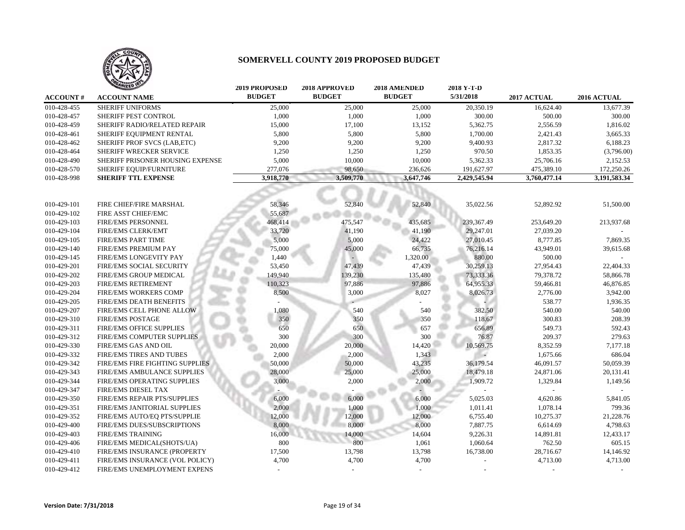

|                 | <b>ANIZED</b>                    | <b>2019 PROPOSED</b> | 2018 APPROVED | 2018 AMENDED  | 2018 Y-T-D   |              |              |
|-----------------|----------------------------------|----------------------|---------------|---------------|--------------|--------------|--------------|
| <b>ACCOUNT#</b> | <b>ACCOUNT NAME</b>              | <b>BUDGET</b>        | <b>BUDGET</b> | <b>BUDGET</b> | 5/31/2018    | 2017 ACTUAL  | 2016 ACTUAL  |
| 010-428-455     | <b>SHERIFF UNIFORMS</b>          | 25,000               | 25,000        | 25,000        | 20,350.19    | 16,624.40    | 13,677.39    |
| 010-428-457     | SHERIFF PEST CONTROL             | 1,000                | 1,000         | 1,000         | 300.00       | 500.00       | 300.00       |
| 010-428-459     | SHERIFF RADIO/RELATED REPAIR     | 15,000               | 17,100        | 13,152        | 5,362.75     | 2,556.59     | 1,816.02     |
| 010-428-461     | SHERIFF EQUIPMENT RENTAL         | 5,800                | 5,800         | 5,800         | 1,700.00     | 2,421.43     | 3,665.33     |
| 010-428-462     | SHERIFF PROF SVCS (LAB, ETC)     | 9,200                | 9,200         | 9,200         | 9,400.93     | 2,817.32     | 6,188.23     |
| 010-428-464     | <b>SHERIFF WRECKER SERVICE</b>   | 1,250                | 1,250         | 1,250         | 970.50       | 1,853.35     | (3,796.00)   |
| 010-428-490     | SHERIFF PRISONER HOUSING EXPENSE | 5,000                | 10,000        | 10,000        | 5,362.33     | 25,706.16    | 2,152.53     |
| 010-428-570     | SHERIFF EQUIP/FURNITURE          | 277,076              | 98,650        | 236,626       | 191,627.97   | 475,389.10   | 172,250.26   |
| 010-428-998     | <b>SHERIFF TTL EXPENSE</b>       | 3,918,770            | 3,509,770     | 3,647,746     | 2,429,545.94 | 3,760,477.14 | 3,191,583.34 |
|                 |                                  |                      |               |               |              |              |              |
| 010-429-101     | FIRE CHIEF/FIRE MARSHAL          | 58,346               | 52,840        | 52,840        | 35,022.56    | 52,892.92    | 51,500.00    |
| 010-429-102     | FIRE ASST CHIEF/EMC              | 55,687               |               |               |              |              |              |
| 010-429-103     | <b>FIRE/EMS PERSONNEL</b>        | 468,414              | 475,547       | 435,685       | 239,367.49   | 253,649.20   | 213,937.68   |
| 010-429-104     | FIRE/EMS CLERK/EMT               | 33,720               | 41,190        | 41,190        | 29,247.01    | 27,039.20    |              |
| 010-429-105     | <b>FIRE/EMS PART TIME</b>        | 5,000                | 5,000         | 24,422        | 27,010.45    | 8,777.85     | 7,869.35     |
| 010-429-140     | FIRE/EMS PREMIUM PAY             | 75,000               | 45,000        | 66,735        | 76,216.14    | 43,949.01    | 39,615.68    |
| 010-429-145     | <b>FIRE/EMS LONGEVITY PAY</b>    | 1,440                |               | 1,320.00      | 880.00       | 500.00       |              |
| 010-429-201     | FIRE/EMS SOCIAL SECURITY         | 53,450               | 47,439        | 47,439        | 30,259.13    | 27,954.43    | 22,404.33    |
| 010-429-202     | FIRE/EMS GROUP MEDICAL           | 149,940              | 139,230       | 135,480       | 73,333.36    | 79,378.72    | 58,866.78    |
| 010-429-203     | <b>FIRE/EMS RETIREMENT</b>       | 110,323              | 97,886        | 97,886        | 64,955.33    | 59,466.81    | 46,876.85    |
| 010-429-204     | FIRE/EMS WORKERS COMP            | 8,500                | 3,000         | 8,027         | 8,026.73     | 2,776.00     | 3,942.00     |
| 010-429-205     | FIRE/EMS DEATH BENEFITS          |                      |               |               |              | 538.77       | 1,936.35     |
| 010-429-207     | FIRE/EMS CELL PHONE ALLOW        | 1,080                | 540           | 540           | 382.50       | 540.00       | 540.00       |
| 010-429-310     | <b>FIRE/EMS POSTAGE</b>          | 350                  | 350           | 350           | 118.67       | 300.83       | 208.39       |
| 010-429-311     | FIRE/EMS OFFICE SUPPLIES         | 650                  | 650           | 657           | 656.89       | 549.73       | 592.43       |
| 010-429-312     | FIRE/EMS COMPUTER SUPPLIES       | 300                  | 300           | 300           | 76.87        | 209.37       | 279.63       |
| 010-429-330     | <b>FIRE/EMS GAS AND OIL</b>      | 20,000               | 20,000        | 14,420        | 10,569.75    | 8,352.59     | 7,177.18     |
| 010-429-332     | FIRE/EMS TIRES AND TUBES         | 2,000                | 2,000         | 1,343         |              | 1,675.66     | 686.04       |
| 010-429-342     | FIRE/EMS FIRE FIGHTING SUPPLIES  | 50,000               | 50,000        | 43,235        | 36,179.54    | 46,091.57    | 50,059.39    |
| 010-429-343     | FIRE/EMS AMBULANCE SUPPLIES      | 28,000               | 25,000        | 25,000        | 18,479.18    | 24,871.06    | 20,131.41    |
| 010-429-344     | FIRE/EMS OPERATING SUPPLIES      | 3,000                | 2,000         | 2,000         | 1,909.72     | 1,329.84     | 1,149.56     |
| 010-429-347     | FIRE/EMS DIESEL TAX              |                      |               |               |              |              |              |
| 010-429-350     | FIRE/EMS REPAIR PTS/SUPPLIES     | 6,000                | 6,000         | 6,000         | 5,025.03     | 4,620.86     | 5,841.05     |
| 010-429-351     | FIRE/EMS JANITORIAL SUPPLIES     | 2.000                | 1,000         | 1,000         | 1,011.41     | 1,078.14     | 799.36       |
| 010-429-352     | FIRE/EMS AUTO/EQ PTS/SUPPLIE     | 12,000               | 12,000        | 12,000        | 6,755.40     | 10,275.37    | 21,228.76    |
| 010-429-400     | FIRE/EMS DUES/SUBSCRIPTIONS      | 8,000                | 8,000         | 8,000         | 7,887.75     | 6,614.69     | 4,798.63     |
| 010-429-403     | <b>FIRE/EMS TRAINING</b>         | 16,000               | 14,000        | 14,604        | 9,226.31     | 14,891.81    | 12,433.17    |
| 010-429-406     | FIRE/EMS MEDICAL(SHOTS/UA)       | 800                  | 800           | 1,061         | 1,060.64     | 762.50       | 605.15       |
| 010-429-410     | FIRE/EMS INSURANCE (PROPERTY     | 17,500               | 13,798        | 13,798        | 16,738.00    | 28,716.67    | 14,146.92    |
| 010-429-411     | FIRE/EMS INSURANCE (VOL POLICY)  | 4,700                | 4,700         | 4,700         |              | 4,713.00     | 4,713.00     |
| 010-429-412     | FIRE/EMS UNEMPLOYMENT EXPENS     |                      |               |               |              |              |              |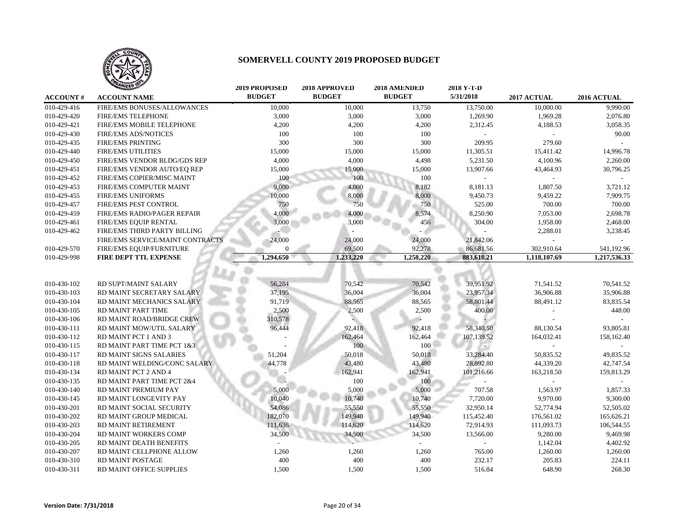

|                 | <b>TAILED</b>                    | <b>2019 PROPOSED</b> | 2018 APPROVED | 2018 AMENDED  | 2018 Y-T-D |              |              |
|-----------------|----------------------------------|----------------------|---------------|---------------|------------|--------------|--------------|
| <b>ACCOUNT#</b> | <b>ACCOUNT NAME</b>              | <b>BUDGET</b>        | <b>BUDGET</b> | <b>BUDGET</b> | 5/31/2018  | 2017 ACTUAL  | 2016 ACTUAL  |
| 010-429-416     | FIRE/EMS BONUSES/ALLOWANCES      | 10,000               | 10,000        | 13,750        | 13,750.00  | 10,000.00    | 9.990.00     |
| 010-429-420     | <b>FIRE/EMS TELEPHONE</b>        | 3,000                | 3,000         | 3,000         | 1,269.90   | 1,969.28     | 2,076.80     |
| 010-429-421     | FIRE/EMS MOBILE TELEPHONE        | 4,200                | 4,200         | 4,200         | 2,312.45   | 4,188.53     | 3,058.35     |
| 010-429-430     | <b>FIRE/EMS ADS/NOTICES</b>      | 100                  | 100           | 100           |            |              | 90.00        |
| 010-429-435     | <b>FIRE/EMS PRINTING</b>         | 300                  | 300           | 300           | 209.95     | 279.60       |              |
| 010-429-440     | <b>FIRE/EMS UTILITIES</b>        | 15,000               | 15,000        | 15,000        | 11,305.51  | 15,411.42    | 14,996.78    |
| 010-429-450     | FIRE/EMS VENDOR BLDG/GDS REP     | 4,000                | 4,000         | 4,498         | 5,231.50   | 4,100.96     | 2,260.00     |
| 010-429-451     | FIRE/EMS VENDOR AUTO/EQ REP      | 15,000               | 15,000        | 15,000        | 13,907.66  | 43,464.93    | 30,796.25    |
| 010-429-452     | FIRE/EMS COPIER/MISC MAINT       | 100                  | 100           | 100           |            |              |              |
| 010-429-453     | FIRE/EMS COMPUTER MAINT          | 9,000                | 4,000         | 8,182         | 8,181.13   | 1,807.50     | 3,721.12     |
| 010-429-455     | <b>FIRE/EMS UNIFORMS</b>         | 10,000               | 8,000         | 8,000         | 9,450.73   | 9,459.22     | 7,909.75     |
| 010-429-457     | <b>FIRE/EMS PEST CONTROL</b>     | 750                  | 750           | 750           | 525.00     | 700.00       | 700.00       |
| 010-429-459     | FIRE/EMS RADIO/PAGER REPAIR      | 4,000                | 4,000         | 8,574         | 8,250.90   | 7,053.00     | 2,698.78     |
| 010-429-461     | FIRE/EMS EQUIP RENTAL            | 3,000                | 3,000         | 456           | 304.00     | 1,958.00     | 2,468.00     |
| 010-429-462     | FIRE/EMS THIRD PARTY BILLING     |                      |               |               |            | 2,288.01     | 3,238.45     |
|                 | FIRE/EMS SERVICE/MAINT CONTRACTS | 24,000               | 24,000        | 24,000        | 21,842.06  |              |              |
| 010-429-570     | FIRE/EMS EQUIP/FURNITURE         | 0                    | 69,500        | 92.278        | 86,681.56  | 302,910.64   | 541,192.96   |
| 010-429-998     | FIRE DEPT TTL EXPENSE            | 1,294,650            | 1,233,220     | 1,258,220     | 883,618.21 | 1,118,107.69 | 1,217,536.33 |
|                 |                                  |                      |               |               |            |              |              |
|                 |                                  |                      |               |               |            |              |              |
| 010-430-102     | RD SUPT/MAINT SALARY             | 56,284               | 70,542        | 70,542        | 39,951.92  | 71,541.52    | 70,541.52    |
| 010-430-103     | RD MAINT SECRETARY SALARY        | 37,195               | 36,004        | 36,004        | 23,957.34  | 36,906.88    | 35,906.88    |
| 010-430-104     | RD MAINT MECHANICS SALARY        | 91,719               | 88,565        | 88,565        | 58,801.44  | 88,491.12    | 83,835.54    |
| 010-430-105     | RD MAINT PART TIME               | 2,500                | 2,500         | 2,500         | 400.00     |              | 448.00       |
| 010-430-106     | RD MAINT ROAD/BRIDGE CREW        | 310,578              |               |               |            |              |              |
| 010-430-111     | RD MAINT MOW/UTIL SALARY         | 96,444               | 92,418        | 92,418        | 58,340.50  | 88,130.54    | 93,805.81    |
| 010-430-112     | RD MAINT PCT 1 AND 3             |                      | 162,464       | 162,464       | 107,139.52 | 164,032.41   | 158,162.40   |
| 010-430-115     | RD MAINT PART TIME PCT 1&3       |                      | 100           | 100           |            |              |              |
| 010-430-117     | RD MAINT SIGNS SALARIES          | 51,204               | 50,018        | 50,018        | 33,284.40  | 50,835.52    | 49,835.52    |
| 010-430-118     | RD MAINT WELDING/CONC SALARY     | 44,778               | 43,480        | 43,480        | 28,892.80  | 44,339.20    | 42,747.54    |
| 010-430-134     | RD MAINT PCT 2 AND 4             |                      | 162,941       | 162,941       | 101,216.66 | 163,218.50   | 159,813.29   |
| 010-430-135     | RD MAINT PART TIME PCT 2&4       |                      | 100           | 100           |            |              |              |
| 010-430-140     | RD MAINT PREMIUM PAY             | 5,000                | 5,000         | 5,000         | 707.58     | 1,563.97     | 1,857.33     |
| 010-430-145     | RD MAINT LONGEVITY PAY           | 10,040               | 10,740        | 10,740        | 7,720.00   | 9,970.00     | 9,300.00     |
| 010-430-201     | RD MAINT SOCIAL SECURITY         | 54,086               | 55,550        | 55,550        | 32,950.14  | 52,774.94    | 52,505.02    |
| 010-430-202     | RD MAINT GROUP MEDICAL           | 182,070              | 149,940       | 149,940       | 115,452.40 | 176,561.02   | 165,626.21   |
| 010-430-203     | RD MAINT RETIREMENT              | 111,636              | 114,620       | 114,620       | 72,914.93  | 111,093.73   | 106,544.55   |
| 010-430-204     | RD MAINT WORKERS COMP            | 34,500               | 34,500        | 34,500        | 13,566.00  | 9,280.00     | 9,469.98     |
| 010-430-205     | RD MAINT DEATH BENEFITS          |                      |               |               |            | 1,142.04     | 4,402.92     |
| 010-430-207     | RD MAINT CELLPHONE ALLOW         | 1,260                | 1,260         | 1,260         | 765.00     | 1,260.00     | 1,260.00     |
| 010-430-310     | RD MAINT POSTAGE                 | 400                  | 400           | 400           | 232.17     | 205.83       | 224.11       |
| 010-430-311     | RD MAINT OFFICE SUPPLIES         | 1,500                | 1,500         | 1,500         | 516.84     | 648.90       | 268.30       |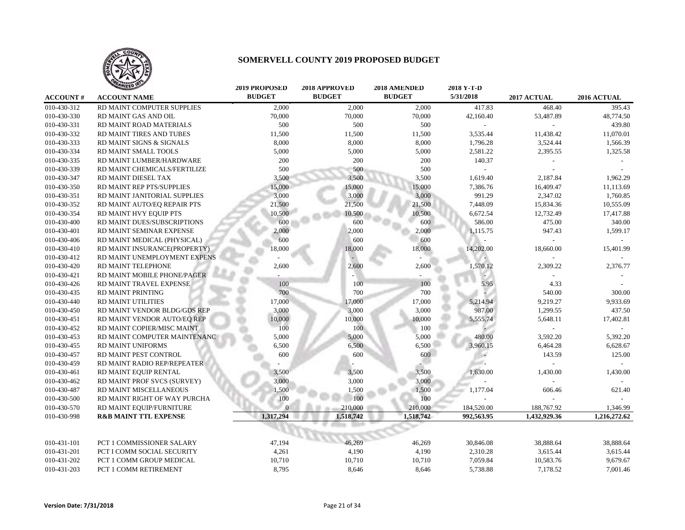

|                 | <b>TILED</b>                     | <b>2019 PROPOSED</b> | 2018 APPROVED | <b>2018 AMENDED</b> | 2018 Y-T-D |              |              |
|-----------------|----------------------------------|----------------------|---------------|---------------------|------------|--------------|--------------|
| <b>ACCOUNT#</b> | <b>ACCOUNT NAME</b>              | <b>BUDGET</b>        | <b>BUDGET</b> | <b>BUDGET</b>       | 5/31/2018  | 2017 ACTUAL  | 2016 ACTUAL  |
| 010-430-312     | RD MAINT COMPUTER SUPPLIES       | 2,000                | 2,000         | 2,000               | 417.83     | 468.40       | 395.43       |
| 010-430-330     | RD MAINT GAS AND OIL             | 70,000               | 70,000        | 70,000              | 42,160.40  | 53,487.89    | 48,774.50    |
| 010-430-331     | RD MAINT ROAD MATERIALS          | 500                  | 500           | 500                 |            |              | 439.80       |
| 010-430-332     | RD MAINT TIRES AND TUBES         | 11,500               | 11,500        | 11,500              | 3,535.44   | 11,438.42    | 11,070.01    |
| 010-430-333     | RD MAINT SIGNS & SIGNALS         | 8,000                | 8,000         | 8,000               | 1,796.28   | 3,524.44     | 1,566.39     |
| 010-430-334     | RD MAINT SMALL TOOLS             | 5,000                | 5,000         | 5,000               | 2,581.22   | 2,395.55     | 1,325.58     |
| 010-430-335     | RD MAINT LUMBER/HARDWARE         | 200                  | 200           | 200                 | 140.37     |              |              |
| 010-430-339     | RD MAINT CHEMICALS/FERTILIZE     | 500                  | 500           | 500                 |            |              |              |
| 010-430-347     | RD MAINT DIESEL TAX              | 3,500                | 3,500         | 3,500               | 1,619.40   | 2,187.84     | 1,962.29     |
| 010-430-350     | RD MAINT REP PTS/SUPPLIES        | 15,000               | 15,000        | 15,000              | 7,386.76   | 16,409.47    | 11,113.69    |
| 010-430-351     | RD MAINT JANITORIAL SUPPLIES     | 3,000                | 3,000         | 3,000               | 991.29     | 2,347.02     | 1,760.85     |
| 010-430-352     | RD MAINT AUTO/EQ REPAIR PTS      | 21,500               | 21,500        | 21,500              | 7,448.09   | 15,834.36    | 10,555.09    |
| 010-430-354     | RD MAINT HVY EQUIP PTS           | 10,500               | 10,500        | 10,500              | 6,672.54   | 12,732.49    | 17,417.88    |
| 010-430-400     | RD MAINT DUES/SUBSCRIPTIONS      | 600                  | 600           | 600                 | 586.00     | 475.00       | 340.00       |
| 010-430-401     | RD MAINT SEMINAR EXPENSE         | 2,000                | 2,000         | 2,000               | 1,115.75   | 947.43       | 1,599.17     |
| 010-430-406     | RD MAINT MEDICAL (PHYSICAL)      | 600                  | 600           | 600                 |            |              |              |
| 010-430-410     | RD MAINT INSURANCE(PROPERTY)     | 18,000               | 18,000        | 18,000              | 14,202.00  | 18,660.00    | 15,401.99    |
| 010-430-412     | RD MAINT UNEMPLOYMENT EXPENS     |                      |               |                     |            |              |              |
| 010-430-420     | RD MAINT TELEPHONE               | 2,600                | 2,600         | 2,600               | 1,570.12   | 2,309.22     | 2,376.77     |
| 010-430-421     | RD MAINT MOBILE PHONE/PAGER      |                      |               |                     |            |              |              |
| 010-430-426     | RD MAINT TRAVEL EXPENSE          | 100                  | 100           | 100                 | 5.95       | 4.33         |              |
| 010-430-435     | RD MAINT PRINTING                | 700                  | 700           | 700                 |            | 540.00       | 300.00       |
| 010-430-440     | RD MAINT UTILITIES               | 17,000               | 17,000        | 17,000              | 5,214.94   | 9,219.27     | 9,933.69     |
| 010-430-450     | RD MAINT VENDOR BLDG/GDS REP     | 3,000                | 3,000         | 3,000               | 987.00     | 1,299.55     | 437.50       |
| 010-430-451     | RD MAINT VENDOR AUTO/EQ REP      | 10,000               | 10,000        | 10,000              | 5,555.74   | 5,648.11     | 17,402.81    |
| 010-430-452     | RD MAINT COPIER/MISC MAINT       | 100                  | 100           | 100                 |            |              |              |
| 010-430-453     | RD MAINT COMPUTER MAINTENANC     | 5,000                | 5,000         | 5,000               | 480.00     | 3,592.20     | 5,392.20     |
| 010-430-455     | <b>RD MAINT UNIFORMS</b>         | 6,500                | 6,500         | 6,500               | 3,960.15   | 6,464.28     | 6,628.67     |
| 010-430-457     | RD MAINT PEST CONTROL            | 600                  | 600           | 600                 |            | 143.59       | 125.00       |
| 010-430-459     | RD MAINT RADIO REP/REPEATER      |                      |               |                     |            |              |              |
| 010-430-461     | RD MAINT EQUIP RENTAL            | 3,500                | 3,500         | 3,500               | 1,630.00   | 1,430.00     | 1,430.00     |
| 010-430-462     | RD MAINT PROF SVCS (SURVEY)      | 3,000                | 3,000         | 3,000               |            |              |              |
| 010-430-487     | RD MAINT MISCELLANEOUS           | 1,500                | 1,500         | 1,500               | 1,177.04   | 606.46       | 621.40       |
| 010-430-500     | RD MAINT RIGHT OF WAY PURCHA     | 100                  | 100           | 100                 |            |              |              |
| 010-430-570     | RD MAINT EQUIP/FURNITURE         | $\Omega$             | 210,000       | 210,000             | 184,520.00 | 188,767.92   | 1,346.99     |
| 010-430-998     | <b>R&amp;B MAINT TTL EXPENSE</b> | 1,317,294            | 1,518,742     | 1,518,742           | 992,563.95 | 1,432,929.36 | 1,216,272.62 |
|                 |                                  |                      |               |                     |            |              |              |
|                 |                                  |                      |               |                     |            |              |              |
| 010-431-101     | PCT 1 COMMISSIONER SALARY        | 47,194               | 46,269        | 46,269              | 30,846.08  | 38,888.64    | 38,888.64    |
| 010-431-201     | PCT I COMM SOCIAL SECURITY       | 4,261                | 4,190         | 4,190               | 2,310.28   | 3,615.44     | 3,615.44     |
| 010-431-202     | PCT 1 COMM GROUP MEDICAL         | 10,710               | 10,710        | 10,710              | 7,059.84   | 10,583.76    | 9,679.67     |
| 010-431-203     | PCT 1 COMM RETIREMENT            | 8,795                | 8,646         | 8,646               | 5,738.88   | 7,178.52     | 7,001.46     |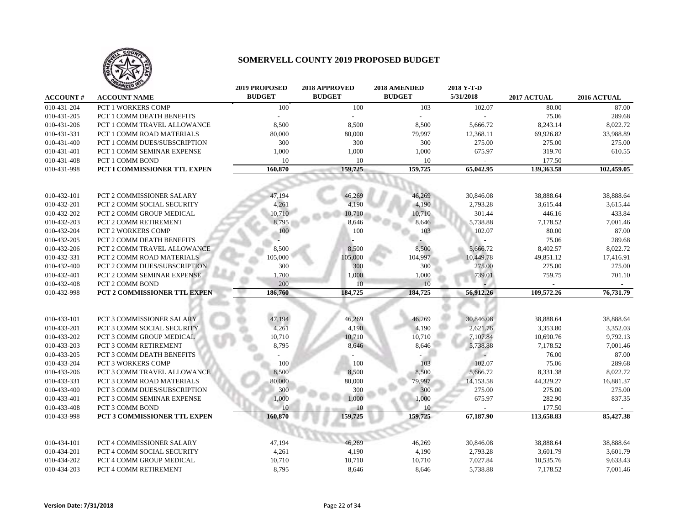

|                 | <b>MIZED</b>                        | <b>2019 PROPOSED</b> | 2018 APPROVED | 2018 AMENDED  | 2018 Y-T-D |             |             |
|-----------------|-------------------------------------|----------------------|---------------|---------------|------------|-------------|-------------|
| <b>ACCOUNT#</b> | <b>ACCOUNT NAME</b>                 | <b>BUDGET</b>        | <b>BUDGET</b> | <b>BUDGET</b> | 5/31/2018  | 2017 ACTUAL | 2016 ACTUAL |
| 010-431-204     | <b>PCT 1 WORKERS COMP</b>           | 100                  | 100           | 103           | 102.07     | 80.00       | 87.00       |
| 010-431-205     | PCT 1 COMM DEATH BENEFITS           |                      |               |               |            | 75.06       | 289.68      |
| 010-431-206     | PCT 1 COMM TRAVEL ALLOWANCE         | 8,500                | 8,500         | 8,500         | 5,666.72   | 8,243.14    | 8,022.72    |
| 010-431-331     | PCT 1 COMM ROAD MATERIALS           | 80,000               | 80,000        | 79,997        | 12,368.11  | 69,926.82   | 33,988.89   |
| 010-431-400     | PCT 1 COMM DUES/SUBSCRIPTION        | 300                  | 300           | 300           | 275.00     | 275.00      | 275.00      |
| 010-431-401     | PCT 1 COMM SEMINAR EXPENSE          | 1,000                | 1,000         | 1,000         | 675.97     | 319.70      | 610.55      |
| 010-431-408     | PCT 1 COMM BOND                     | 10                   | 10            | 10            |            | 177.50      |             |
| 010-431-998     | <b>PCT I COMMISSIONER TTL EXPEN</b> | 160,870              | 159,725       | 159,725       | 65,042.95  | 139,363.58  | 102,459.05  |
|                 |                                     |                      |               |               |            |             |             |
|                 |                                     |                      |               |               |            |             |             |
| 010-432-101     | PCT 2 COMMISSIONER SALARY           | 47,194               | 46,269        | 46,269        | 30,846.08  | 38,888.64   | 38,888.64   |
| 010-432-201     | PCT 2 COMM SOCIAL SECURITY          | 4,261                | 4,190         | 4,190         | 2,793.28   | 3,615.44    | 3,615.44    |
| 010-432-202     | PCT 2 COMM GROUP MEDICAL            | 10,710               | 10,710        | 10,710        | 301.44     | 446.16      | 433.84      |
| 010-432-203     | PCT 2 COMM RETIREMENT               | 8,795                | 8,646         | 8,646         | 5,738.88   | 7,178.52    | 7,001.46    |
| 010-432-204     | <b>PCT 2 WORKERS COMP</b>           | 100                  | 100           | 103           | 102.07     | 80.00       | 87.00       |
| 010-432-205     | <b>PCT 2 COMM DEATH BENEFITS</b>    |                      |               |               |            | 75.06       | 289.68      |
| 010-432-206     | PCT 2 COMM TRAVEL ALLOWANCE         | 8,500                | 8,500         | 8,500         | 5,666.72   | 8,402.57    | 8,022.72    |
| 010-432-331     | PCT 2 COMM ROAD MATERIALS           | 105,000              | 105,000       | 104,997       | 10,449.78  | 49,851.12   | 17,416.91   |
| 010-432-400     | PCT 2 COMM DUES/SUBSCRIPTION        | 300                  | 300           | 300           | 275.00     | 275.00      | 275.00      |
| 010-432-401     | PCT 2 COMM SEMINAR EXPENSE          | 1,700                | 1,000         | 1,000         | 739.01     | 759.75      | 701.10      |
| 010-432-408     | PCT 2 COMM BOND                     | 200                  | 10            | 10            |            |             |             |
| 010-432-998     | PCT 2 COMMISSIONER TTL EXPEN        | 186,760              | 184,725       | 184,725       | 56,912.26  | 109,572.26  | 76,731.79   |
|                 |                                     |                      |               |               |            |             |             |
|                 |                                     |                      |               |               |            |             |             |
| 010-433-101     | PCT 3 COMMISSIONER SALARY           | 47,194               | 46,269        | 46,269        | 30,846.08  | 38,888.64   | 38,888.64   |
| 010-433-201     | <b>PCT 3 COMM SOCIAL SECURITY</b>   | 4,261                | 4,190         | 4,190         | 2,621.76   | 3,353.80    | 3,352.03    |
| 010-433-202     | PCT 3 COMM GROUP MEDICAL            | 10,710               | 10,710        | 10,710        | 7,107.84   | 10,690.76   | 9,792.13    |
| 010-433-203     | PCT 3 COMM RETIREMENT               | 8,795                | 8,646         | 8,646         | 5,738.88   | 7,178.52    | 7,001.46    |
| 010-433-205     | PCT 3 COMM DEATH BENEFITS           |                      |               |               | $\sim$     | 76.00       | 87.00       |
| 010-433-204     | PCT 3 WORKERS COMP                  | 100                  | 100           | 103           | 102.07     | 75.06       | 289.68      |
| 010-433-206     | PCT 3 COMM TRAVEL ALLOWANCE         | 8,500                | 8,500         | 8,500         | 5,666.72   | 8,331.38    | 8,022.72    |
| 010-433-331     | PCT 3 COMM ROAD MATERIALS           | 80,000               | 80,000        | 79,997        | 14,153.58  | 44,329.27   | 16,881.37   |
| 010-433-400     | PCT 3 COMM DUES/SUBSCRIPTION        | 300                  | 300           | 300           | 275.00     | 275.00      | 275.00      |
| 010-433-401     | PCT 3 COMM SEMINAR EXPENSE          | 1,000                | 1,000         | 1,000         | 675.97     | 282.90      | 837.35      |
| 010-433-408     | PCT 3 COMM BOND                     | 10                   | 10            | 10            |            | 177.50      |             |
| 010-433-998     | PCT 3 COMMISSIONER TTL EXPEN        | 160,870              | 159,725       | 159,725       | 67,187.90  | 113,658.83  | 85,427.38   |
|                 |                                     |                      |               |               |            |             |             |
|                 |                                     |                      |               |               |            |             |             |
| 010-434-101     | PCT 4 COMMISSIONER SALARY           | 47,194               | 46,269        | 46,269        | 30,846.08  | 38,888.64   | 38,888.64   |
| 010-434-201     | PCT 4 COMM SOCIAL SECURITY          | 4,261                | 4,190         | 4,190         | 2,793.28   | 3,601.79    | 3,601.79    |
| 010-434-202     | PCT 4 COMM GROUP MEDICAL            | 10,710               | 10,710        | 10,710        | 7,027.84   | 10,535.76   | 9,633.43    |
| 010-434-203     | PCT 4 COMM RETIREMENT               | 8,795                | 8,646         | 8,646         | 5,738.88   | 7,178.52    | 7,001.46    |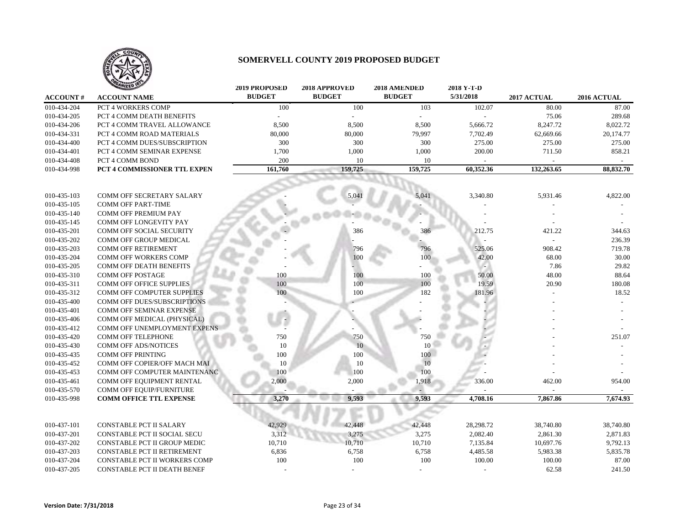

|                 | <b>ANIZED</b>                       | <b>2019 PROPOSED</b> | 2018 APPROVED | 2018 AMENDED  | 2018 Y-T-D |             |             |
|-----------------|-------------------------------------|----------------------|---------------|---------------|------------|-------------|-------------|
| <b>ACCOUNT#</b> | <b>ACCOUNT NAME</b>                 | <b>BUDGET</b>        | <b>BUDGET</b> | <b>BUDGET</b> | 5/31/2018  | 2017 ACTUAL | 2016 ACTUAL |
| 010-434-204     | PCT 4 WORKERS COMP                  | 100                  | 100           | 103           | 102.07     | 80.00       | 87.00       |
| 010-434-205     | PCT 4 COMM DEATH BENEFITS           |                      |               |               |            | 75.06       | 289.68      |
| 010-434-206     | PCT 4 COMM TRAVEL ALLOWANCE         | 8,500                | 8,500         | 8,500         | 5,666.72   | 8,247.72    | 8,022.72    |
| 010-434-331     | PCT 4 COMM ROAD MATERIALS           | 80,000               | 80,000        | 79,997        | 7,702.49   | 62,669.66   | 20,174.77   |
| 010-434-400     | PCT 4 COMM DUES/SUBSCRIPTION        | 300                  | 300           | 300           | 275.00     | 275.00      | 275.00      |
| 010-434-401     | PCT 4 COMM SEMINAR EXPENSE          | 1,700                | 1,000         | 1,000         | 200.00     | 711.50      | 858.21      |
| 010-434-408     | PCT 4 COMM BOND                     | 200                  | 10            | 10            |            |             | $\sim$      |
| 010-434-998     | <b>PCT 4 COMMISSIONER TTL EXPEN</b> | 161,760              | 159,725       | 159,725       | 60,352.36  | 132,263.65  | 88,832.70   |
|                 |                                     |                      |               |               |            |             |             |
|                 |                                     |                      |               |               |            |             |             |
| 010-435-103     | COMM OFF SECRETARY SALARY           |                      | 5,041         | 5,041         | 3,340.80   | 5,931.46    | 4,822.00    |
| 010-435-105     | <b>COMM OFF PART-TIME</b>           |                      |               |               |            |             |             |
| 010-435-140     | COMM OFF PREMIUM PAY                |                      |               |               |            |             |             |
| 010-435-145     | <b>COMM OFF LONGEVITY PAY</b>       |                      |               |               |            |             |             |
| 010-435-201     | COMM OFF SOCIAL SECURITY            |                      | 386           | 386           | 212.75     | 421.22      | 344.63      |
| 010-435-202     | COMM OFF GROUP MEDICAL              |                      |               |               |            |             | 236.39      |
| 010-435-203     | <b>COMM OFF RETIREMENT</b>          |                      | 796           | 796           | 525.06     | 908.42      | 719.78      |
| 010-435-204     | COMM OFF WORKERS COMP               |                      | 100           | 100           | 42.00      | 68.00       | 30.00       |
| 010-435-205     | COMM OFF DEATH BENEFITS             |                      |               |               |            | 7.86        | 29.82       |
| 010-435-310     | <b>COMM OFF POSTAGE</b>             | 100                  | 100           | 100           | 50.00      | 48.00       | 88.64       |
| 010-435-311     | <b>COMM OFF OFFICE SUPPLIES</b>     | 100                  | 100           | 100           | 19.59      | 20.90       | 180.08      |
| 010-435-312     | COMM OFF COMPUTER SUPPLIES          | 100                  | 100           | 182           | 181.96     |             | 18.52       |
| 010-435-400     | COMM OFF DUES/SUBSCRIPTIONS         |                      |               |               |            |             |             |
| 010-435-401     | <b>COMM OFF SEMINAR EXPENSE</b>     |                      |               |               |            |             |             |
| 010-435-406     | COMM OFF MEDICAL (PHYSICAL)         |                      |               |               |            |             |             |
| 010-435-412     | COMM OFF UNEMPLOYMENT EXPENS        |                      |               |               |            |             |             |
| 010-435-420     | <b>COMM OFF TELEPHONE</b>           | 750                  | 750           | 750           |            |             | 251.07      |
| 010-435-430     | <b>COMM OFF ADS/NOTICES</b>         | 10                   | 10            | 10            |            |             |             |
| 010-435-435     | <b>COMM OFF PRINTING</b>            | 100                  | 100           | 100           |            |             |             |
| 010-435-452     | COMM OFF COPIER/OFF MACH MAI        | 10                   | 10            | 10            |            |             |             |
| 010-435-453     | COMM OFF COMPUTER MAINTENANC        | 100                  | 100           | 100           |            |             |             |
| 010-435-461     | COMM OFF EQUIPMENT RENTAL           | 2,000                | 2,000         | 1,918         | 336.00     | 462.00      | 954.00      |
| 010-435-570     | COMM OFF EQUIP/FURNITURE            |                      |               |               |            |             |             |
| 010-435-998     | <b>COMM OFFICE TTL EXPENSE</b>      | 3,270                | 9,593         | 9,593         | 4,708.16   | 7,867.86    | 7,674.93    |
|                 |                                     |                      |               |               |            |             |             |
|                 |                                     |                      |               |               |            |             |             |
| 010-437-101     | CONSTABLE PCT II SALARY             | 42,929               | 42,448        | 42,448        | 28,298.72  | 38,740.80   | 38,740.80   |
| 010-437-201     | CONSTABLE PCT II SOCIAL SECU        | 3,312                | 3,275         | 3,275         | 2,082.40   | 2,861.30    | 2,871.83    |
| 010-437-202     | CONSTABLE PCT II GROUP MEDIC        | 10,710               | 10,710        | 10,710        | 7,135.84   | 10,697.76   | 9,792.13    |
| 010-437-203     | CONSTABLE PCT II RETIREMENT         | 6,836                | 6,758         | 6,758         | 4,485.58   | 5,983.38    | 5,835.78    |
| 010-437-204     | CONSTABLE PCT II WORKERS COMP       | 100                  | 100           | 100           | 100.00     | 100.00      | 87.00       |
| 010-437-205     | CONSTABLE PCT II DEATH BENEF        |                      |               |               |            | 62.58       | 241.50      |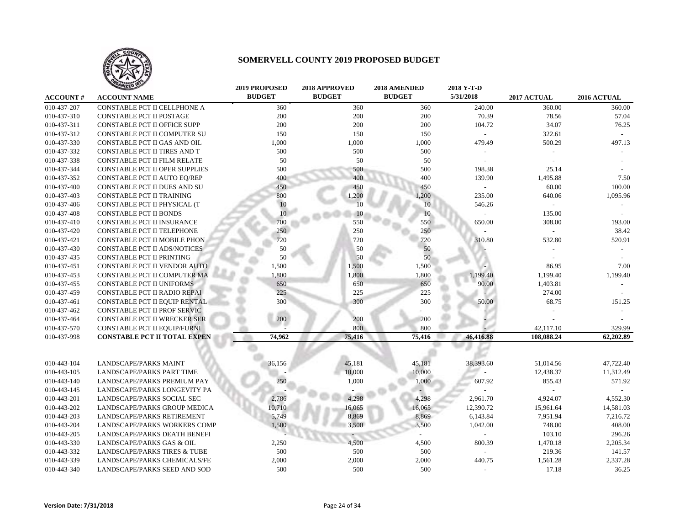

|                 | <b>TAILED</b>                           | <b>2019 PROPOSED</b> | 2018 APPROVED | 2018 AMENDED  | 2018 Y-T-D |             |             |
|-----------------|-----------------------------------------|----------------------|---------------|---------------|------------|-------------|-------------|
| <b>ACCOUNT#</b> | <b>ACCOUNT NAME</b>                     | <b>BUDGET</b>        | <b>BUDGET</b> | <b>BUDGET</b> | 5/31/2018  | 2017 ACTUAL | 2016 ACTUAL |
| 010-437-207     | CONSTABLE PCT II CELLPHONE A            | 360                  | 360           | 360           | 240.00     | 360.00      | 360.00      |
| 010-437-310     | <b>CONSTABLE PCT II POSTAGE</b>         | 200                  | 200           | 200           | 70.39      | 78.56       | 57.04       |
| 010-437-311     | <b>CONSTABLE PCT II OFFICE SUPP</b>     | 200                  | 200           | 200           | 104.72     | 34.07       | 76.25       |
| 010-437-312     | CONSTABLE PCT II COMPUTER SU            | 150                  | 150           | 150           |            | 322.61      |             |
| 010-437-330     | CONSTABLE PCT II GAS AND OIL            | 1,000                | 1,000         | 1,000         | 479.49     | 500.29      | 497.13      |
| 010-437-332     | CONSTABLE PCT II TIRES AND T            | 500                  | 500           | 500           |            |             |             |
| 010-437-338     | CONSTABLE PCT II FILM RELATE            | 50                   | 50            | 50            |            |             |             |
| 010-437-344     | CONSTABLE PCT II OPER SUPPLIES          | 500                  | 500           | 500           | 198.38     | 25.14       |             |
| 010-437-352     | CONSTABLE PCT II AUTO EQ/REP            | 400                  | 400           | 400           | 139.90     | 1,495.88    | 7.50        |
| 010-437-400     | CONSTABLE PCT II DUES AND SU            | 450                  | 450           | 450           |            | 60.00       | 100.00      |
| 010-437-403     | CONSTABLE PCT II TRAINING               | 800                  | 1,200         | 1,200         | 235.00     | 640.06      | 1,095.96    |
| 010-437-406     | CONSTABLE PCT II PHYSICAL (T            | 10                   | 10            | 10            | 546.26     | $\sim$      |             |
| 010-437-408     | <b>CONSTABLE PCT II BONDS</b>           | 10                   | 10            | 10            |            | 135.00      |             |
| 010-437-410     | CONSTABLE PCT II INSURANCE              | 700                  | 550           | 550           | 650.00     | 308.00      | 193.00      |
| 010-437-420     | CONSTABLE PCT II TELEPHONE              | 250                  | 250           | 250           |            |             | 38.42       |
| 010-437-421     | <b>CONSTABLE PCT II MOBILE PHON</b>     | 720                  | 720           | 720           | 310.80     | 532.80      | 520.91      |
| 010-437-430     | CONSTABLE PCT II ADS/NOTICES            | 50                   | 50            | 50            |            |             |             |
| 010-437-435     | <b>CONSTABLE PCT II PRINTING</b>        | 50                   | 50            | 50            |            |             |             |
| 010-437-451     | CONSTABLE PCT II VENDOR AUTO            | 1,500                | 1,500         | 1,500         |            | 86.95       | 7.00        |
| 010-437-453     | CONSTABLE PCT II COMPUTER MA            | 1,800                | 1,800         | 1,800         | 1,199.40   | 1,199.40    | 1,199.40    |
| 010-437-455     | CONSTABLE PCT II UNIFORMS               | 650                  | 650           | 650           | 90.00      | 1,403.81    |             |
| 010-437-459     | CONSTABLE PCT II RADIO REPAI            | 225                  | 225           | 225           |            | 274.00      |             |
| 010-437-461     | CONSTABLE PCT II EQUIP RENTAL           | 300                  | 300           | 300           | 50.00      | 68.75       | 151.25      |
| 010-437-462     | CONSTABLE PCT II PROF SERVIC            |                      |               |               |            |             |             |
| 010-437-464     | CONSTABLE PCT II WRECKER SER            | 200                  | 200           | 200           |            |             |             |
| 010-437-570     | CONSTABLE PCT II EQUIP/FURNI            |                      | 800           | 800           |            | 42,117.10   | 329.99      |
| 010-437-998     | <b>CONSTABLE PCT II TOTAL EXPEN</b>     | 74,962               | 75,416        | 75,416        | 46,416.88  | 108,088.24  | 62,202.89   |
|                 |                                         |                      |               |               |            |             |             |
|                 |                                         |                      |               |               |            |             |             |
| 010-443-104     | <b>LANDSCAPE/PARKS MAINT</b>            | 36,156               | 45,181        | 45,181        | 38,393.60  | 51,014.56   | 47,722.40   |
| 010-443-105     | <b>LANDSCAPE/PARKS PART TIME</b>        |                      | 10,000        | 10,000        |            | 12,438.37   | 11,312.49   |
| 010-443-140     | LANDSCAPE/PARKS PREMIUM PAY             | 250                  | 1,000         | 1,000         | 607.92     | 855.43      | 571.92      |
| 010-443-145     | LANDSCAPE/PARKS LONGEVITY PA            |                      |               |               |            |             |             |
| 010-443-201     | <b>LANDSCAPE/PARKS SOCIAL SEC</b>       | 2,786                | 4,298         | 4,298         | 2,961.70   | 4,924.07    | 4,552.30    |
| 010-443-202     | LANDSCAPE/PARKS GROUP MEDICA            | 10,710               | 16,065        | 16,065        | 12,390.72  | 15,961.64   | 14,581.03   |
| 010-443-203     | LANDSCAPE/PARKS RETIREMENT              | 5,749                | 8,869         | 8,869         | 6,143.84   | 7,951.94    | 7,216.72    |
| 010-443-204     | LANDSCAPE/PARKS WORKERS COMP            | 1,500                | 3,500         | 3,500         | 1,042.00   | 748.00      | 408.00      |
| 010-443-205     | LANDSCAPE/PARKS DEATH BENEFI            |                      |               |               |            | 103.10      | 296.26      |
| 010-443-330     | LANDSCAPE/PARKS GAS & OIL               | 2,250                | 4,500         | 4,500         | 800.39     | 1,470.18    | 2,205.34    |
| 010-443-332     | <b>LANDSCAPE/PARKS TIRES &amp; TUBE</b> | 500                  | 500           | 500           |            | 219.36      | 141.57      |
| 010-443-339     | LANDSCAPE/PARKS CHEMICALS/FE            | 2,000                | 2,000         | 2,000         | 440.75     | 1,561.28    | 2,337.28    |
| 010-443-340     | LANDSCAPE/PARKS SEED AND SOD            | 500                  | 500           | 500           |            | 17.18       | 36.25       |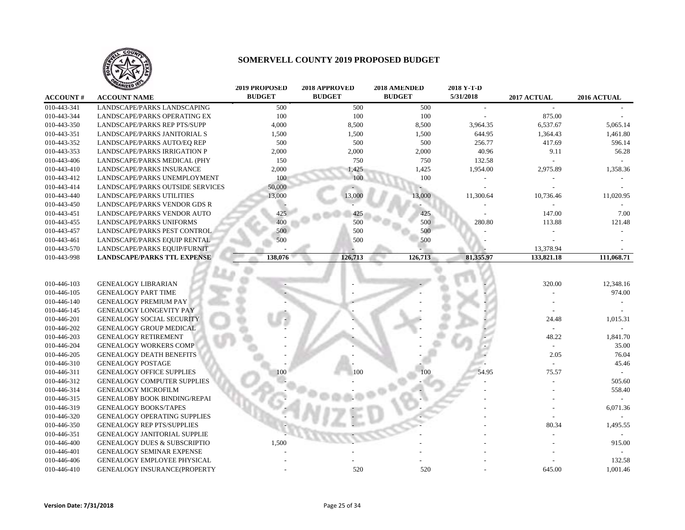

|                 | ANIZED IS                               | <b>2019 PROPOSED</b> | 2018 APPROVED | 2018 AMENDED  | 2018 Y-T-D |                          |             |
|-----------------|-----------------------------------------|----------------------|---------------|---------------|------------|--------------------------|-------------|
| <b>ACCOUNT#</b> | <b>ACCOUNT NAME</b>                     | <b>BUDGET</b>        | <b>BUDGET</b> | <b>BUDGET</b> | 5/31/2018  | 2017 ACTUAL              | 2016 ACTUAL |
| 010-443-341     | LANDSCAPE/PARKS LANDSCAPING             | 500                  | 500           | 500           |            |                          |             |
| 010-443-344     | LANDSCAPE/PARKS OPERATING EX            | 100                  | 100           | 100           |            | 875.00                   |             |
| 010-443-350     | LANDSCAPE/PARKS REP PTS/SUPP            | 4,000                | 8,500         | 8,500         | 3,964.35   | 6,537.67                 | 5,065.14    |
| 010-443-351     | LANDSCAPE/PARKS JANITORIAL S            | 1,500                | 1,500         | 1,500         | 644.95     | 1,364.43                 | 1,461.80    |
| 010-443-352     | LANDSCAPE/PARKS AUTO/EQ REP             | 500                  | 500           | 500           | 256.77     | 417.69                   | 596.14      |
| 010-443-353     | LANDSCAPE/PARKS IRRIGATION P            | 2,000                | 2,000         | 2,000         | 40.96      | 9.11                     | 56.28       |
| 010-443-406     | LANDSCAPE/PARKS MEDICAL (PHY            | 150                  | 750           | 750           | 132.58     |                          |             |
| 010-443-410     | <b>LANDSCAPE/PARKS INSURANCE</b>        | 2,000                | 1,425         | 1,425         | 1,954.00   | 2,975.89                 | 1,358.36    |
| 010-443-412     | LANDSCAPE/PARKS UNEMPLOYMENT            | 100                  | 100           | 100           |            |                          |             |
| 010-443-414     | LANDSCAPE/PARKS OUTSIDE SERVICES        | 50,000               |               |               |            |                          |             |
| 010-443-440     | LANDSCAPE/PARKS UTILITIES               | 13,000               | 13,000        | 13,000        | 11,300.64  | 10,736.46                | 11,020.95   |
| 010-443-450     | LANDSCAPE/PARKS VENDOR GDS R            |                      |               |               |            |                          |             |
| 010-443-451     | LANDSCAPE/PARKS VENDOR AUTO             | 425                  | 425           | 425           |            | 147.00                   | 7.00        |
| 010-443-455     | LANDSCAPE/PARKS UNIFORMS                | 400                  | 500           | 500           | 280.80     | 113.88                   | 121.48      |
| 010-443-457     | LANDSCAPE/PARKS PEST CONTROL            | 500                  | 500           | 500           |            |                          |             |
| 010-443-461     | LANDSCAPE/PARKS EQUIP RENTAL            | 500                  | 500           | 500           |            |                          |             |
| 010-443-570     | LANDSCAPE/PARKS EQUIP/FURNIT            |                      |               |               |            | 13,378.94                |             |
| 010-443-998     | <b>LANDSCAPE/PARKS TTL EXPENSE</b>      | 138,076              | 126,713       | 126,713       | 81,355.97  | 133,821.18               | 111,068.71  |
|                 |                                         |                      |               |               |            |                          |             |
| 010-446-103     | <b>GENEALOGY LIBRARIAN</b>              |                      |               |               |            | 320.00                   | 12,348.16   |
| 010-446-105     | <b>GENEALOGY PART TIME</b>              |                      |               |               |            |                          | 974.00      |
| 010-446-140     | <b>GENEALOGY PREMIUM PAY</b>            |                      |               |               |            |                          |             |
| 010-446-145     | <b>GENEALOGY LONGEVITY PAY</b>          |                      |               |               |            |                          |             |
| 010-446-201     | <b>GENEALOGY SOCIAL SECURITY</b>        |                      |               |               |            | 24.48                    | 1,015.31    |
| 010-446-202     | <b>GENEALOGY GROUP MEDICAL</b>          |                      |               |               |            |                          |             |
| 010-446-203     | <b>GENEALOGY RETIREMENT</b>             |                      |               |               |            | 48.22                    | 1,841.70    |
| 010-446-204     | <b>GENEALOGY WORKERS COMP</b>           |                      |               |               |            | $\overline{\phantom{a}}$ | 35.00       |
| 010-446-205     | <b>GENEALOGY DEATH BENEFITS</b>         |                      |               |               |            | 2.05                     | 76.04       |
| 010-446-310     | <b>GENEALOGY POSTAGE</b>                |                      |               |               |            |                          | 45.46       |
| 010-446-311     | <b>GENEALOGY OFFICE SUPPLIES</b>        |                      | 100           |               | 54.95      | 75.57                    |             |
| 010-446-312     | <b>GENEALOGY COMPUTER SUPPLIES</b>      |                      |               |               |            |                          | 505.60      |
| 010-446-314     | <b>GENEALOGY MICROFILM</b>              |                      |               |               |            |                          | 558.40      |
| 010-446-315     | <b>GENEALOBY BOOK BINDING/REPAI</b>     |                      |               |               |            |                          |             |
| 010-446-319     | <b>GENEALOGY BOOKS/TAPES</b>            |                      |               |               |            |                          | 6,071.36    |
| 010-446-320     | GENEALOGY OPERATING SUPPLIES            |                      |               |               |            |                          |             |
| 010-446-350     | <b>GENEALOGY REP PTS/SUPPLIES</b>       |                      |               |               |            | 80.34                    | 1,495.55    |
| 010-446-351     | <b>GENEALOGY JANITORIAL SUPPLIE</b>     |                      |               |               |            |                          |             |
| 010-446-400     | <b>GENEALOGY DUES &amp; SUBSCRIPTIO</b> | 1,500                |               |               |            |                          | 915.00      |
| 010-446-401     | <b>GENEALOGY SEMINAR EXPENSE</b>        |                      |               |               |            |                          |             |
| 010-446-406     | <b>GENEALOGY EMPLOYEE PHYSICAL</b>      |                      |               |               |            |                          | 132.58      |
| 010-446-410     | <b>GENEALOGY INSURANCE(PROPERTY</b>     |                      | 520           | 520           |            | 645.00                   | 1,001.46    |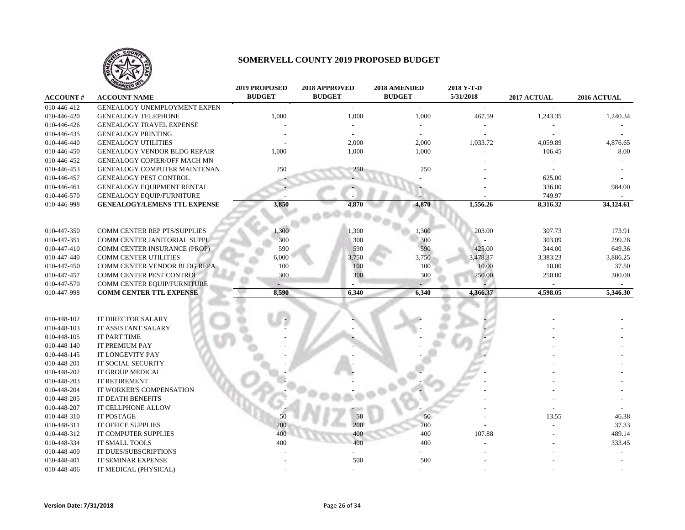

|                 | ANIZED 10                           | <b>2019 PROPOSED</b> | 2018 APPROVED               | 2018 AMENDED  | 2018 Y-T-D     |             |             |
|-----------------|-------------------------------------|----------------------|-----------------------------|---------------|----------------|-------------|-------------|
| <b>ACCOUNT#</b> | <b>ACCOUNT NAME</b>                 | <b>BUDGET</b>        | <b>BUDGET</b>               | <b>BUDGET</b> | 5/31/2018      | 2017 ACTUAL | 2016 ACTUAL |
| 010-446-412     | GENEALOGY UNEMPLOYMENT EXPEN        |                      | $\mathcal{L}_{\mathcal{A}}$ | $\sim$        | $\sim$         |             |             |
| 010-446-420     | <b>GENEALOGY TELEPHONE</b>          | 1,000                | 1,000                       | 1,000         | 467.59         | 1,243.35    | 1,240.34    |
| 010-446-426     | <b>GENEALOGY TRAVEL EXPENSE</b>     |                      |                             |               |                |             |             |
| 010-446-435     | <b>GENEALOGY PRINTING</b>           |                      |                             |               |                |             |             |
| 010-446-440     | <b>GENEALOGY UTILITIES</b>          |                      | 2,000                       | 2,000         | 1,033.72       | 4,059.89    | 4,876.65    |
| 010-446-450     | <b>GENEALOGY VENDOR BLDG REPAIR</b> | 1,000                | 1,000                       | 1,000         |                | 106.45      | 8.00        |
| 010-446-452     | <b>GENEALOGY COPIER/OFF MACH MN</b> |                      |                             |               |                |             |             |
| 010-446-453     | GENEALOGY COMPUTER MAINTENAN        | 250                  | 250                         | 250           |                |             |             |
| 010-446-457     | <b>GENEALOGY PEST CONTROL</b>       |                      |                             |               |                | 625.00      |             |
| 010-446-461     | GENEALOGY EQUIPMENT RENTAL          |                      |                             |               |                | 336.00      | 984.00      |
| 010-446-570     | <b>GENEALOGY EQUIP/FURNITURE</b>    |                      |                             |               |                | 749.97      |             |
| 010-446-998     | <b>GENEALOGY/LEMENS TTL EXPENSE</b> | 3,850                | 4,870                       | 4,870         | 1,556.26       | 8,316.32    | 34,124.61   |
|                 |                                     |                      |                             |               |                |             |             |
| 010-447-350     | COMM CENTER REP PTS/SUPPLIES        | ,300                 | 1,300                       | 1,300         | 203.00         | 307.73      | 173.91      |
| 010-447-351     | COMM CENTER JANITORIAL SUPPL        | 300                  | 300                         | 300           | $\overline{a}$ | 303.09      | 299.28      |
| 010-447-410     | COMM CENTER INSURANCE (PROP)        | 590                  | 590                         | 590           | 425.00         | 344.00      | 649.36      |
| 010-447-440     | <b>COMM CENTER UTILITIES</b>        | 6,000                | 3,750                       | 3,750         | 3,478.37       | 3,383.23    | 3,886.25    |
| 010-447-450     | <b>COMM CENTER VENDOR BLDG REPA</b> | 100                  | 100                         | 100           | 10.00          | 10.00       | 37.50       |
| 010-447-457     | COMM CENTER PEST CONTROL            | 300                  | 300                         | 300           | 250.00         | 250.00      | 300.00      |
| 010-447-570     | COMM CENTER EQUIP/FURNITURE         |                      |                             |               |                |             | $\sim$      |
| 010-447-998     | <b>COMM CENTER TTL EXPENSE</b>      | 8,590                | 6,340                       | 6,340         | 4,366.37       | 4,598.05    | 5,346.30    |
|                 |                                     |                      |                             |               |                |             |             |
| 010-448-102     | IT DIRECTOR SALARY                  |                      |                             |               |                |             |             |
| 010-448-103     | IT ASSISTANT SALARY                 |                      |                             |               |                |             |             |
| 010-448-105     | IT PART TIME                        |                      |                             |               |                |             |             |
| 010-448-140     | IT PREMIUM PAY                      |                      |                             |               |                |             |             |
| 010-448-145     | IT LONGEVITY PAY                    |                      |                             |               |                |             |             |
| 010-448-201     | IT SOCIAL SECURITY                  |                      |                             |               |                |             |             |
| 010-448-202     | IT GROUP MEDICAL                    |                      |                             |               |                |             |             |
| 010-448-203     | IT RETIREMENT                       |                      |                             |               |                |             |             |
| 010-448-204     | IT WORKER'S COMPENSATION            |                      |                             |               |                |             |             |
| 010-448-205     | IT DEATH BENEFITS                   |                      |                             |               |                |             |             |
| 010-448-207     | IT CELLPHONE ALLOW                  |                      |                             |               |                |             |             |
| 010-448-310     | <b>IT POSTAGE</b>                   | 50                   | 50                          | 50            |                | 13.55       | 46.38       |
| 010-448-311     | IT OFFICE SUPPLIES                  | 200                  | 200                         | 200           |                |             | 37.33       |
| 010-448-312     | IT COMPUTER SUPPLIES                | 400                  | 400                         | 400           | 107.88         |             | 489.14      |
| 010-448-334     | IT SMALL TOOLS                      | 400                  | 400                         | 400           |                |             | 333.45      |
| 010-448-400     | IT DUES/SUBSCRIPTIONS               |                      |                             |               |                |             |             |
| 010-448-401     | <b>IT SEMINAR EXPENSE</b>           |                      | 500                         | 500           |                |             |             |
| 010-448-406     | IT MEDICAL (PHYSICAL)               |                      |                             |               |                |             |             |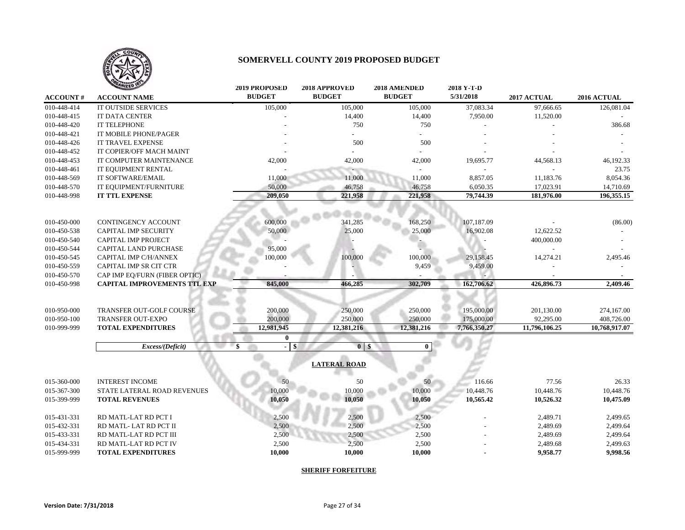

|                 | <b>ANIZED</b>                       | 2019 PROPOSED                               | 2018 APPROVED       | 2018 AMENDED  | 2018 Y-T-D   |               |               |
|-----------------|-------------------------------------|---------------------------------------------|---------------------|---------------|--------------|---------------|---------------|
| <b>ACCOUNT#</b> | <b>ACCOUNT NAME</b>                 | <b>BUDGET</b>                               | <b>BUDGET</b>       | <b>BUDGET</b> | 5/31/2018    | 2017 ACTUAL   | 2016 ACTUAL   |
| 010-448-414     | IT OUTSIDE SERVICES                 | 105,000                                     | 105,000             | 105,000       | 37,083.34    | 97.666.65     | 126,081.04    |
| 010-448-415     | <b>IT DATA CENTER</b>               |                                             | 14,400              | 14,400        | 7,950.00     | 11,520.00     |               |
| 010-448-420     | IT TELEPHONE                        |                                             | 750                 | 750           |              |               | 386.68        |
| 010-448-421     | IT MOBILE PHONE/PAGER               |                                             |                     |               |              |               |               |
| 010-448-426     | <b>IT TRAVEL EXPENSE</b>            |                                             | 500                 | 500           |              |               |               |
| 010-448-452     | IT COPIER/OFF MACH MAINT            |                                             |                     |               |              |               |               |
| 010-448-453     | IT COMPUTER MAINTENANCE             | 42,000                                      | 42,000              | 42,000        | 19,695.77    | 44,568.13     | 46,192.33     |
| 010-448-461     | IT EQUIPMENT RENTAL                 |                                             |                     |               |              |               | 23.75         |
| 010-448-569     | IT SOFTWARE/EMAIL                   | 11,000                                      | 11,000              | 11,000        | 8,857.05     | 11,183.76     | 8,054.36      |
| 010-448-570     | IT EQUIPMENT/FURNITURE              | 50,000                                      | 46,758              | 46,758        | 6,050.35     | 17,023.91     | 14,710.69     |
| 010-448-998     | <b>IT TTL EXPENSE</b>               | 209,050                                     | 221,958             | 221,958       | 79,744.39    | 181,976.00    | 196,355.15    |
|                 |                                     |                                             |                     |               |              |               |               |
| 010-450-000     | CONTINGENCY ACCOUNT                 | 600,000                                     | 341,285             | 168,250       | 107,187.09   |               | (86.00)       |
| 010-450-538     | <b>CAPITAL IMP SECURITY</b>         | 50,000                                      | 25,000              | 25,000        | 16,902.08    | 12,622.52     |               |
| 010-450-540     | <b>CAPITAL IMP PROJECT</b>          |                                             |                     |               |              | 400,000.00    |               |
| 010-450-544     | CAPITAL LAND PURCHASE               | 95,000                                      |                     |               |              |               |               |
| 010-450-545     | CAPITAL IMP C/H/ANNEX               | 100,000                                     | 100,000             | 100,000       | 29,158.45    | 14,274.21     | 2,495.46      |
| 010-450-559     | CAPITAL IMP SR CIT CTR              |                                             |                     | 9,459         | 9,459.00     |               |               |
| 010-450-570     | CAP IMP EQ/FURN (FIBER OPTIC)       |                                             |                     |               |              |               |               |
| 010-450-998     | <b>CAPITAL IMPROVEMENTS TTL EXP</b> | 845,000                                     | 466,285             | 302,709       | 162,706.62   | 426,896.73    | 2,409.46      |
|                 |                                     |                                             |                     |               |              |               |               |
| 010-950-000     | TRANSFER OUT-GOLF COURSE            | 200,000                                     | 250,000             | 250,000       | 195,000.00   | 201,130.00    | 274,167.00    |
| 010-950-100     | <b>TRANSFER OUT-EXPO</b>            | 200,000                                     | 250,000             | 250,000       | 175,000.00   | 92.295.00     | 408,726.00    |
| 010-999-999     | <b>TOTAL EXPENDITURES</b>           | 12,981,945                                  | 12,381,216          | 12,381,216    | 7,766,350.27 | 11,796,106.25 | 10,768,917.07 |
|                 |                                     | $\mathbf{0}$                                |                     |               |              |               |               |
|                 | Excess/(Deficit)                    | $\mathbf{\$}$<br><b>S</b><br>$\blacksquare$ | $\bf{0}$<br>\$      | $\bf{0}$      |              |               |               |
|                 |                                     |                                             | <b>LATERAL ROAD</b> |               |              |               |               |
| 015-360-000     | <b>INTEREST INCOME</b>              | 50                                          | 50                  | 50            | 116.66       | 77.56         | 26.33         |
| 015-367-300     | STATE LATERAL ROAD REVENUES         | 10,000                                      | 10,000              | 10,000        | 10,448.76    | 10,448.76     | 10,448.76     |
| 015-399-999     | <b>TOTAL REVENUES</b>               | 10,050                                      | 10,050              | 10,050        | 10,565.42    | 10,526.32     | 10,475.09     |
|                 |                                     |                                             |                     |               |              |               |               |
| 015-431-331     | RD MATL-LAT RD PCT I                | 2,500                                       | 2,500               | 2,500         |              | 2,489.71      | 2,499.65      |
| 015-432-331     | RD MATL-LAT RD PCT II               | 2,500                                       | 2,500               | 2,500         |              | 2,489.69      | 2,499.64      |
| 015-433-331     | RD MATL-LAT RD PCT III              | 2,500                                       | 2,500               | 2,500         |              | 2,489.69      | 2,499.64      |
| 015-434-331     | RD MATL-LAT RD PCT IV               | 2,500                                       | 2,500               | 2,500         |              | 2,489.68      | 2,499.63      |
| 015-999-999     | <b>TOTAL EXPENDITURES</b>           | 10,000                                      | 10,000              | 10,000        |              | 9,958.77      | 9,998.56      |
|                 |                                     |                                             |                     |               |              |               |               |

**SHERIFF FORFEITURE**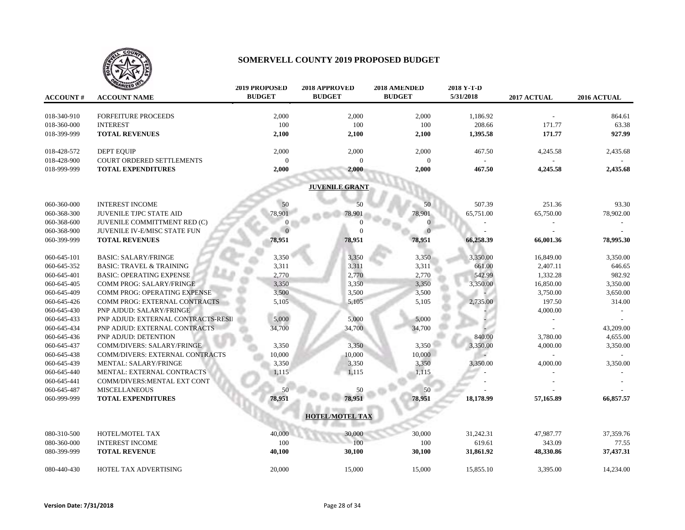

| <b>ACCOUNT#</b> | <b>ANIZED IS</b><br><b>ACCOUNT NAME</b> | <b>2019 PROPOSED</b><br><b>BUDGET</b> | 2018 APPROVED<br><b>BUDGET</b> | 2018 AMENDED<br><b>BUDGET</b> | 2018 Y-T-D<br>5/31/2018 | 2017 ACTUAL | 2016 ACTUAL |
|-----------------|-----------------------------------------|---------------------------------------|--------------------------------|-------------------------------|-------------------------|-------------|-------------|
|                 |                                         |                                       |                                |                               |                         |             |             |
| 018-340-910     | <b>FORFEITURE PROCEEDS</b>              | 2,000                                 | 2,000                          | 2,000                         | 1,186.92                |             | 864.61      |
| 018-360-000     | <b>INTEREST</b>                         | 100                                   | 100                            | 100                           | 208.66                  | 171.77      | 63.38       |
| 018-399-999     | <b>TOTAL REVENUES</b>                   | 2,100                                 | 2,100                          | 2,100                         | 1,395.58                | 171.77      | 927.99      |
| 018-428-572     | <b>DEPT EQUIP</b>                       | 2,000                                 | 2,000                          | 2,000                         | 467.50                  | 4,245.58    | 2,435.68    |
| 018-428-900     | COURT ORDERED SETTLEMENTS               | $\theta$                              | $\Omega$                       | $\Omega$                      |                         |             |             |
| 018-999-999     | <b>TOTAL EXPENDITURES</b>               | 2,000                                 | 2,000                          | 2,000                         | 467.50                  | 4,245.58    | 2,435.68    |
|                 |                                         |                                       | <b>JUVENILE GRANT</b>          |                               |                         |             |             |
| 060-360-000     | <b>INTEREST INCOME</b>                  | 50                                    | 50                             | 50                            | 507.39                  | 251.36      | 93.30       |
| 060-368-300     | <b>JUVENILE TJPC STATE AID</b>          | 78,901                                | 78,901                         | 78,901                        | 65,751.00               | 65,750.00   | 78,902.00   |
| 060-368-600     | JUVENILE COMMITTMENT RED (C)            |                                       | $\Omega$                       | $\overline{0}$                |                         |             |             |
| 060-368-900     | JUVENILE IV-E/MISC STATE FUN            |                                       | $\Omega$                       |                               |                         |             |             |
| 060-399-999     | <b>TOTAL REVENUES</b>                   | 78,951                                | 78,951                         | 78,951                        | 66,258.39               | 66,001.36   | 78,995.30   |
|                 |                                         |                                       |                                |                               |                         |             |             |
| 060-645-101     | <b>BASIC: SALARY/FRINGE</b>             | 3,350                                 | 3,350                          | 3,350                         | 3,350.00                | 16,849.00   | 3,350.00    |
| 060-645-352     | <b>BASIC: TRAVEL &amp; TRAINING</b>     | 3,311                                 | 3,311                          | 3,311                         | 661.00                  | 2,407.11    | 646.65      |
| 060-645-401     | <b>BASIC: OPERATING EXPENSE</b>         | 2,770                                 | 2,770                          | 2,770                         | 542.99                  | 1,332.28    | 982.92      |
| 060-645-405     | COMM PROG: SALARY/FRINGE                | 3,350                                 | 3,350                          | 3,350                         | 3,350.00                | 16,850.00   | 3,350.00    |
| 060-645-409     | COMM PROG: OPERATING EXPENSE            | 3,500                                 | 3,500                          | 3,500                         |                         | 3,750.00    | 3,650.00    |
| 060-645-426     | COMM PROG: EXTERNAL CONTRACTS           | 5,105                                 | 5,105                          | 5,105                         | 2,735.00                | 197.50      | 314.00      |
| 060-645-430     | <b>PNP AJDUD: SALARY/FRINGE</b>         |                                       |                                |                               |                         | 4,000.00    |             |
| 060-645-433     | PNP ADJUD: EXTERNAL CONTRACTS-RESII     | 5,000                                 | 5,000                          | 5,000                         |                         |             |             |
| 060-645-434     | PNP ADJUD: EXTERNAL CONTRACTS           | 34,700                                | 34,700                         | 34,700                        |                         |             | 43,209.00   |
| 060-645-436     | PNP ADJUD: DETENTION                    |                                       |                                |                               | 840.00                  | 3,780.00    | 4,655.00    |
| 060-645-437     | COMM/DIVERS: SALARY/FRINGE              | 3,350                                 | 3,350                          | 3,350                         | 3,350.00                | 4,000.00    | 3,350.00    |
| 060-645-438     | <b>COMM/DIVERS: EXTERNAL CONTRACTS</b>  | 10,000                                | 10,000                         | 10,000                        |                         |             |             |
| 060-645-439     | MENTAL: SALARY/FRINGE                   | 3,350                                 | 3,350                          | 3,350                         | 3,350.00                | 4,000.00    | 3,350.00    |
| 060-645-440     | MENTAL: EXTERNAL CONTRACTS              | 1,115                                 | 1,115                          | 1,115                         |                         |             |             |
| 060-645-441     | COMM/DIVERS: MENTAL EXT CONT            |                                       |                                |                               |                         |             |             |
| 060-645-487     | <b>MISCELLANEOUS</b>                    | 50                                    | 50                             | 50                            |                         |             |             |
| 060-999-999     | <b>TOTAL EXPENDITURES</b>               | 78,951                                | 78,951                         | 78,951                        | 18,178.99               | 57,165.89   | 66,857.57   |
|                 |                                         |                                       | <b>HOTEL/MOTEL TAX</b>         |                               |                         |             |             |
| 080-310-500     | HOTEL/MOTEL TAX                         | 40,000                                | 30,000                         | 30,000                        | 31,242.31               | 47,987.77   | 37,359.76   |
| 080-360-000     | <b>INTEREST INCOME</b>                  | 100                                   | 100                            | 100                           | 619.61                  | 343.09      | 77.55       |
| 080-399-999     | <b>TOTAL REVENUE</b>                    | 40,100                                | 30,100                         | 30,100                        | 31,861.92               | 48,330.86   | 37,437.31   |
|                 |                                         |                                       |                                |                               |                         |             |             |
| 080-440-430     | HOTEL TAX ADVERTISING                   | 20,000                                | 15,000                         | 15,000                        | 15,855.10               | 3,395.00    | 14,234.00   |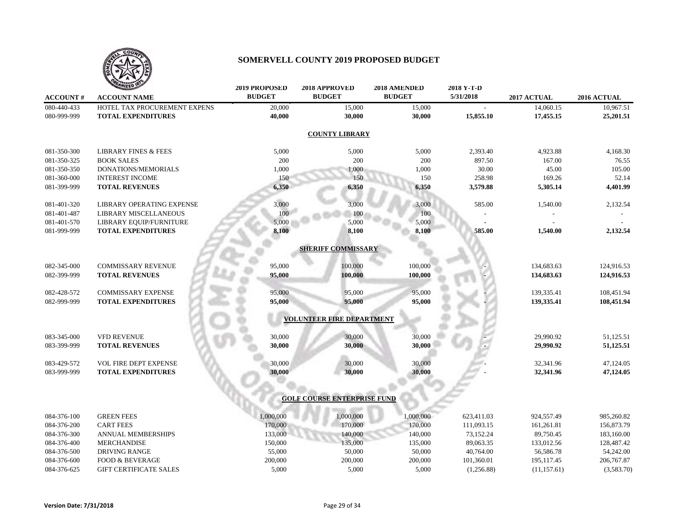

|                 | <b>ANIZED 18</b>                | <b>2019 PROPOSED</b> | 2018 APPROVED                      | 2018 AMENDED  | 2018 Y-T-D |             |             |
|-----------------|---------------------------------|----------------------|------------------------------------|---------------|------------|-------------|-------------|
| <b>ACCOUNT#</b> | <b>ACCOUNT NAME</b>             | <b>BUDGET</b>        | <b>BUDGET</b>                      | <b>BUDGET</b> | 5/31/2018  | 2017 ACTUAL | 2016 ACTUAL |
| 080-440-433     | HOTEL TAX PROCUREMENT EXPENS    | 20,000               | 15,000                             | 15,000        |            | 14,060.15   | 10,967.51   |
| 080-999-999     | <b>TOTAL EXPENDITURES</b>       | 40,000               | 30,000                             | 30,000        | 15,855.10  | 17,455.15   | 25,201.51   |
|                 |                                 |                      | <b>COUNTY LIBRARY</b>              |               |            |             |             |
| 081-350-300     | <b>LIBRARY FINES &amp; FEES</b> | 5,000                | 5,000                              | 5,000         | 2,393.40   | 4,923.88    | 4,168.30    |
| 081-350-325     | <b>BOOK SALES</b>               | 200                  | 200                                | 200           | 897.50     | 167.00      | 76.55       |
| 081-350-350     | DONATIONS/MEMORIALS             | 1,000                | 1,000                              | 1,000         | 30.00      | 45.00       | 105.00      |
| 081-360-000     | <b>INTEREST INCOME</b>          | 150                  | 150                                | 150           | 258.98     | 169.26      | 52.14       |
| 081-399-999     | <b>TOTAL REVENUES</b>           | 6,350                | 6,350                              | 6,350         | 3,579.88   | 5,305.14    | 4,401.99    |
| 081-401-320     | LIBRARY OPERATING EXPENSE       | 3,000                | 3,000                              | 3,000         | 585.00     | 1,540.00    | 2,132.54    |
| 081-401-487     | LIBRARY MISCELLANEOUS           | 100                  | 100                                | 100           |            |             |             |
| 081-401-570     | LIBRARY EQUIP/FURNITURE         | 5,000                | 5,000                              | 5,000         |            |             |             |
| 081-999-999     | <b>TOTAL EXPENDITURES</b>       | 8,100                | 8,100                              | 8,100         | 585.00     | 1,540.00    | 2,132.54    |
|                 |                                 |                      | <b>SHERIFF COMMISSARY</b>          |               |            |             |             |
| 082-345-000     | <b>COMMISSARY REVENUE</b>       | 95,000               | 100,000                            | 100,000       |            | 134,683.63  | 124,916.53  |
| 082-399-999     | <b>TOTAL REVENUES</b>           | 95,000               | 100,000                            | 100,000       |            | 134,683.63  | 124,916.53  |
| 082-428-572     | <b>COMMISSARY EXPENSE</b>       | 95,000               | 95,000                             | 95,000        |            | 139,335.41  | 108,451.94  |
| 082-999-999     | <b>TOTAL EXPENDITURES</b>       | 95,000               | 95,000                             | 95,000        |            | 139,335.41  | 108,451.94  |
|                 |                                 |                      | <b>VOLUNTEER FIRE DEPARTMENT</b>   |               |            |             |             |
| 083-345-000     | VFD REVENUE                     | 30,000               | 30,000                             | 30,000        |            | 29,990.92   | 51,125.51   |
| 083-399-999     | <b>TOTAL REVENUES</b>           | 30,000               | 30,000                             | 30,000        |            | 29,990.92   | 51,125.51   |
| 083-429-572     | VOL FIRE DEPT EXPENSE           | 30,000               | 30,000                             | 30,000        |            | 32,341.96   | 47,124.05   |
| 083-999-999     | <b>TOTAL EXPENDITURES</b>       | 30,000               | 30,000                             | 30,000        |            | 32,341.96   | 47,124.05   |
|                 |                                 |                      |                                    |               |            |             |             |
|                 |                                 |                      | <b>GOLF COURSE ENTERPRISE FUND</b> |               |            |             |             |
| 084-376-100     | <b>GREEN FEES</b>               | 1,000,000            | 1,000,000                          | 1,000,000     | 623,411.03 | 924,557.49  | 985,260.82  |
| 084-376-200     | <b>CART FEES</b>                | 170,000              | 170,000                            | 170,000       | 111,093.15 | 161,261.81  | 156,873.79  |
| 084-376-300     | <b>ANNUAL MEMBERSHIPS</b>       | 133,000              | 140,000                            | 140,000       | 73,152.24  | 89,750.45   | 183,160.00  |
| 084-376-400     | <b>MERCHANDISE</b>              | 150,000              | 135,000                            | 135,000       | 89,063.35  | 133,012.56  | 128,487.42  |
| 084-376-500     | <b>DRIVING RANGE</b>            | 55,000               | 50,000                             | 50,000        | 40,764.00  | 56,586.78   | 54,242.00   |

084-376-600 FOOD & BEVERAGE 200,000 200,000 200,000 200,000 101,360.01 195,117.45 206,767.87 084-376-625 GIFT CERTIFICATE SALES 5,000 5,000 5,000 5,000 (1,256.88) (11,157.61) (3,583.70)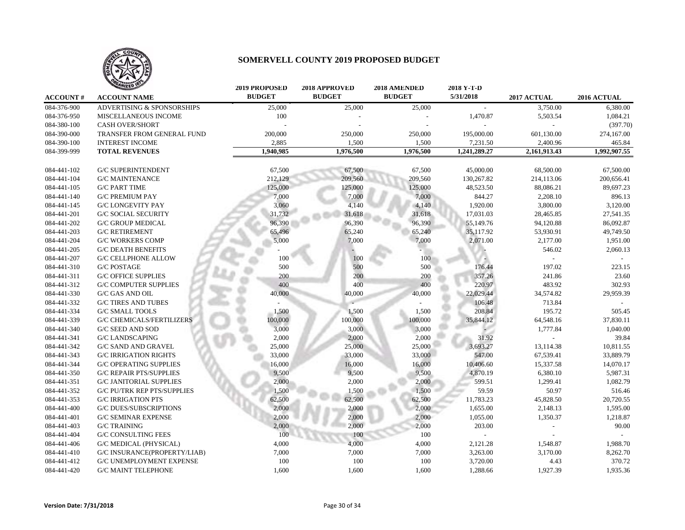

|                 | <b>ANIZED</b>                         | <b>2019 PROPOSED</b> | 2018 APPROVED | 2018 AMENDED  | 2018 Y-T-D   |              |                                |
|-----------------|---------------------------------------|----------------------|---------------|---------------|--------------|--------------|--------------------------------|
| <b>ACCOUNT#</b> | <b>ACCOUNT NAME</b>                   | <b>BUDGET</b>        | <b>BUDGET</b> | <b>BUDGET</b> | 5/31/2018    | 2017 ACTUAL  | $2016$ $\operatorname{ACTUAL}$ |
| 084-376-900     | <b>ADVERTISING &amp; SPONSORSHIPS</b> | 25,000               | 25,000        | 25,000        | $\sim$       | 3,750.00     | 6,380.00                       |
| 084-376-950     | MISCELLANEOUS INCOME                  | 100                  |               |               | 1,470.87     | 5,503.54     | 1,084.21                       |
| 084-380-100     | <b>CASH OVER/SHORT</b>                |                      |               |               |              |              | (397.70)                       |
| 084-390-000     | TRANSFER FROM GENERAL FUND            | 200,000              | 250,000       | 250,000       | 195,000.00   | 601,130.00   | 274,167.00                     |
| 084-390-100     | <b>INTEREST INCOME</b>                | 2,885                | 1,500         | 1,500         | 7,231.50     | 2,400.96     | 465.84                         |
| 084-399-999     | <b>TOTAL REVENUES</b>                 | 1,940,985            | 1,976,500     | 1,976,500     | 1,241,289.27 | 2,161,913.43 | 1,992,907.55                   |
|                 |                                       |                      |               |               |              |              |                                |
| 084-441-102     | <b>G/C SUPERINTENDENT</b>             | 67,500               | 67,500        | 67,500        | 45,000.00    | 68,500.00    | 67,500.00                      |
| 084-441-104     | <b>G/C MAINTENANCE</b>                | 212,129              | 209,560       | 209,560       | 130,267.82   | 214,113.06   | 200,656.41                     |
| 084-441-105     | <b>G/C PART TIME</b>                  | 125,000              | 125,000       | 125,000       | 48,523.50    | 88,086.21    | 89,697.23                      |
| 084-441-140     | <b>G/C PREMIUM PAY</b>                | 7,000                | 7,000         | 7,000         | 844.27       | 2,208.10     | 896.13                         |
| 084-441-145     | <b>G/C LONGEVITY PAY</b>              | 3,060                | 4,140         | 4,140         | 1,920.00     | 3,800.00     | 3,120.00                       |
| 084-441-201     | <b>G/C SOCIAL SECURITY</b>            | 31,732               | 31,618        | 31,618        | 17,031.03    | 28,465.85    | 27,541.35                      |
| 084-441-202     | <b>G/C GROUP MEDICAL</b>              | 96,390               | 96,390        | 96,390        | 55,149.76    | 94,120.88    | 86,092.87                      |
| 084-441-203     | <b>G/C RETIREMENT</b>                 | 65,496               | 65,240        | 65,240        | 35,117.92    | 53,930.91    | 49,749.50                      |
| 084-441-204     | <b>G/C WORKERS COMP</b>               | 5,000                | 7,000         | 7,000         | 2,071.00     | 2,177.00     | 1,951.00                       |
| 084-441-205     | <b>G/C DEATH BENEFITS</b>             |                      |               |               |              | 546.02       | 2,060.13                       |
| 084-441-207     | <b>G/C CELLPHONE ALLOW</b>            | 100                  | 100           | 100           |              |              |                                |
| 084-441-310     | <b>G/C POSTAGE</b>                    | 500                  | 500           | 500           | 176.44       | 197.02       | 223.15                         |
| 084-441-311     | <b>G/C OFFICE SUPPLIES</b>            | 200                  | 200           | 200           | 357.26       | 241.86       | 23.60                          |
| 084-441-312     | <b>G/C COMPUTER SUPPLIES</b>          | 400                  | 400           | 400           | 220.97       | 483.92       | 302.93                         |
| 084-441-330     | G/C GAS AND OIL                       | 40,000               | 40,000        | 40,000        | 22,029.44    | 34,574.82    | 29,959.39                      |
| 084-441-332     | <b>G/C TIRES AND TUBES</b>            |                      |               |               | 106.48       | 713.84       |                                |
| 084-441-334     | <b>G/C SMALL TOOLS</b>                | 1,500                | 1,500         | 1,500         | 208.84       | 195.72       | 505.45                         |
| 084-441-339     | <b>G/C CHEMICALS/FERTILIZERS</b>      | 100,000              | 100,000       | 100,000       | 35,844.12    | 64,548.16    | 37,830.11                      |
| 084-441-340     | <b>G/C SEED AND SOD</b>               | 3,000                | 3,000         | 3,000         |              | 1,777.84     | 1,040.00                       |
| 084-441-341     | <b>G/C LANDSCAPING</b>                | 2,000                | 2,000         | 2,000         | 31.92        |              | 39.84                          |
| 084-441-342     | <b>G/C SAND AND GRAVEL</b>            | 25,000               | 25,000        | 25,000        | 3,693.27     | 13,114.38    | 10,811.55                      |
| 084-441-343     | <b>G/C IRRIGATION RIGHTS</b>          | 33,000               | 33,000        | 33,000        | 547.00       | 67,539.41    | 33,889.79                      |
| 084-441-344     | <b>G/C OPERATING SUPPLIES</b>         | 16,000               | 16,000        | 16,000        | 10,406.60    | 15,337.58    | 14,070.17                      |
| 084-441-350     | <b>G/C REPAIR PTS/SUPPLIES</b>        | 9,500                | 9,500         | 9,500         | 4,870.19     | 6,380.10     | 5,987.31                       |
| 084-441-351     | <b>G/C JANITORIAL SUPPLIES</b>        | 2,000                | 2,000         | 2,000         | 599.51       | 1,299.41     | 1,082.79                       |
| 084-441-352     | <b>G/C PU/TRK REP PTS/SUPPLIES</b>    | 1,500                | 1,500         | 1,500         | 59.59        | 50.97        | 516.46                         |
| 084-441-353     | <b>G/C IRRIGATION PTS</b>             | 62,500               | 62,500        | 62,500        | 11,783.23    | 45,828.50    | 20,720.55                      |
| 084-441-400     | <b>G/C DUES/SUBSCRIPTIONS</b>         | 2,000                | 2,000         | 2,000         | 1,655.00     | 2,148.13     | 1,595.00                       |
| 084-441-401     | <b>G/C SEMINAR EXPENSE</b>            | 2,000                | 2,000         | 2,000         | 1,055.00     | 1,350.37     | 1,218.87                       |
| 084-441-403     | <b>G/C TRAINING</b>                   | 2,000                | 2,000         | 2,000         | 203.00       |              | 90.00                          |
| 084-441-404     | <b>G/C CONSULTING FEES</b>            | 100                  | 100           | 100           |              |              |                                |
| 084-441-406     | <b>G/C MEDICAL (PHYSICAL)</b>         | 4,000                | 4,000         | 4,000         | 2,121.28     | 1,548.87     | 1,988.70                       |
| 084-441-410     | <b>G/C INSURANCE(PROPERTY/LIAB)</b>   | 7,000                | 7,000         | 7,000         | 3,263.00     | 3,170.00     | 8,262.70                       |
| 084-441-412     | G/C UNEMPLOYMENT EXPENSE              | 100                  | 100           | 100           | 3,720.00     | 4.43         | 370.72                         |
| 084-441-420     | <b>G/C MAINT TELEPHONE</b>            | 1,600                | 1,600         | 1,600         | 1,288.66     | 1,927.39     | 1,935.36                       |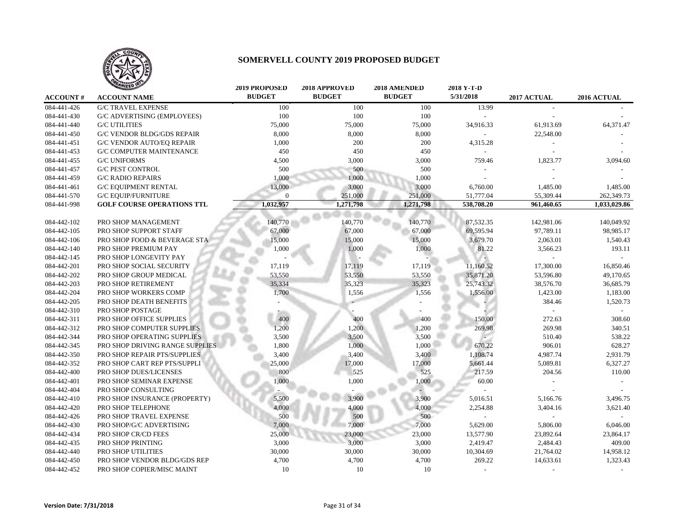

|                 | <b>MIZED</b>                      | <b>2019 PROPOSED</b> | 2018 APPROVED | 2018 AMENDED  | 2018 Y-T-D     |             |              |
|-----------------|-----------------------------------|----------------------|---------------|---------------|----------------|-------------|--------------|
| <b>ACCOUNT#</b> | <b>ACCOUNT NAME</b>               | <b>BUDGET</b>        | <b>BUDGET</b> | <b>BUDGET</b> | 5/31/2018      | 2017 ACTUAL | 2016 ACTUAL  |
| 084-441-426     | <b>G/C TRAVEL EXPENSE</b>         | 100                  | 100           | 100           | 13.99          |             |              |
| 084-441-430     | G/C ADVERTISING (EMPLOYEES)       | 100                  | 100           | 100           |                |             |              |
| 084-441-440     | <b>G/C UTILITIES</b>              | 75,000               | 75,000        | 75,000        | 34,916.33      | 61,913.69   | 64,371.47    |
| 084-441-450     | <b>G/C VENDOR BLDG/GDS REPAIR</b> | 8,000                | 8,000         | 8,000         |                | 22,548.00   |              |
| 084-441-451     | <b>G/C VENDOR AUTO/EO REPAIR</b>  | 1,000                | 200           | 200           | 4,315.28       |             |              |
| 084-441-453     | <b>G/C COMPUTER MAINTENANCE</b>   | 450                  | 450           | 450           | $\overline{a}$ |             |              |
| 084-441-455     | <b>G/C UNIFORMS</b>               | 4,500                | 3,000         | 3,000         | 759.46         | 1,823.77    | 3,094.60     |
| 084-441-457     | <b>G/C PEST CONTROL</b>           | 500                  | 500           | 500           |                |             |              |
| 084-441-459     | <b>G/C RADIO REPAIRS</b>          | 1,000                | 1,000         | 1,000         |                |             |              |
| 084-441-461     | <b>G/C EQUIPMENT RENTAL</b>       | 13,000               | 3,000         | 3,000         | 6,760.00       | 1,485.00    | 1,485.00     |
| 084-441-570     | <b>G/C EQUIP/FURNITURE</b>        | $\Omega$             | 251,000       | 251,000       | 51,777.04      | 55,309.44   | 262,349.73   |
| 084-441-998     | <b>GOLF COURSE OPERATIONS TTL</b> | 1,032,957            | 1,271,798     | 1,271,798     | 538,708.20     | 961,460.65  | 1,033,029.86 |
|                 |                                   |                      |               |               |                |             |              |
| 084-442-102     | PRO SHOP MANAGEMENT               | 140,770              | 140,770       | 140,770       | 87,532.35      | 142,981.06  | 140,049.92   |
| 084-442-105     | PRO SHOP SUPPORT STAFF            | 67,000               | 67,000        | 67,000        | 69,595.94      | 97,789.11   | 98,985.17    |
| 084-442-106     | PRO SHOP FOOD & BEVERAGE STA      | 15,000               | 15,000        | 15,000        | 3,679.70       | 2,063.01    | 1,540.43     |
| 084-442-140     | PRO SHOP PREMIUM PAY              | 1,000                | 1,000         | 1,000         | 81.22          | 3,566.23    | 193.11       |
| 084-442-145     | PRO SHOP LONGEVITY PAY            |                      |               |               |                |             |              |
| 084-442-201     | PRO SHOP SOCIAL SECURITY          | 17,119               | 17,119        | 17,119        | 11,160.52      | 17,300.00   | 16,850.46    |
| 084-442-202     | PRO SHOP GROUP MEDICAL            | 53,550               | 53,550        | 53,550        | 35,871.20      | 53,596.80   | 49,170.65    |
| 084-442-203     | PRO SHOP RETIREMENT               | 35,334               | 35,323        | 35,323        | 25,743.32      | 38,576.70   | 36,685.79    |
| 084-442-204     | PRO SHOP WORKERS COMP             | 1,700                | 1,556         | 1,556         | 1,556.00       | 1,423.00    | 1,183.00     |
| 084-442-205     | PRO SHOP DEATH BENEFITS           |                      |               |               |                | 384.46      | 1,520.73     |
| 084-442-310     | PRO SHOP POSTAGE                  |                      |               |               |                |             |              |
| 084-442-311     | PRO SHOP OFFICE SUPPLIES          | 400                  | 400           | 400           | 150.00         | 272.63      | 308.60       |
| 084-442-312     | PRO SHOP COMPUTER SUPPLIES        | 1,200                | 1,200         | 1,200         | 269.98         | 269.98      | 340.51       |
| 084-442-344     | PRO SHOP OPERATING SUPPLIES       | 3,500                | 3,500         | 3,500         |                | 510.40      | 538.22       |
| 084-442-345     | PRO SHOP DRIVING RANGE SUPPLIES   | 1,800                | 1,000         | 1,000         | 670.22         | 906.01      | 628.27       |
| 084-442-350     | PRO SHOP REPAIR PTS/SUPPLIES      | 3,400                | 3,400         | 3,400         | 1,108.74       | 4,987.74    | 2,931.79     |
| 084-442-352     | PRO SHOP CART REP PTS/SUPPLI      | 25,000               | 17,000        | 17,000        | 5,661.44       | 5,089.81    | 6,327.27     |
| 084-442-400     | PRO SHOP DUES/LICENSES            | 800                  | 525           | 525           | 217.59         | 204.56      | 110.00       |
| 084-442-401     | PRO SHOP SEMINAR EXPENSE          | 1,000                | 1,000         | 1,000         | 60.00          |             |              |
| 084-442-404     | PRO SHOP CONSULTING               |                      |               |               |                |             |              |
| 084-442-410     | PRO SHOP INSURANCE (PROPERTY)     | 5,500                | 3,900         | 3,900         | 5,016.51       | 5,166.76    | 3,496.75     |
| 084-442-420     | PRO SHOP TELEPHONE                | 4,000                | 4,000         | 4,000         | 2,254.88       | 3,404.16    | 3,621.40     |
| 084-442-426     | PRO SHOP TRAVEL EXPENSE           | 500                  | 500           | 500           |                |             |              |
| 084-442-430     | PRO SHOP/G/C ADVERTISING          | 7,000                | 7,000         | 7,000         | 5,629.00       | 5,806.00    | 6,046.00     |
| 084-442-434     | PRO SHOP CR/CD FEES               | 25,000               | 23,000        | 23,000        | 13,577.90      | 23,892.64   | 23,864.17    |
| 084-442-435     | PRO SHOP PRINTING                 | 3,000                | 3,000         | 3,000         | 2,419.47       | 2,484.43    | 409.00       |
| 084-442-440     | PRO SHOP UTILITIES                | 30,000               | 30,000        | 30,000        | 10,304.69      | 21,764.02   | 14,958.12    |
| 084-442-450     | PRO SHOP VENDOR BLDG/GDS REP      | 4,700                | 4,700         | 4,700         | 269.22         | 14,633.61   | 1,323.43     |
| 084-442-452     | PRO SHOP COPIER/MISC MAINT        | 10                   | 10            | 10            |                |             |              |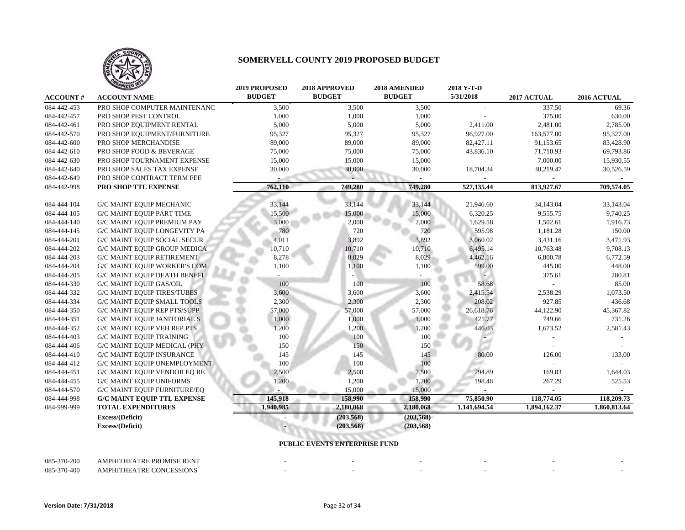

|                 | <b>ANIZED</b>                       | <b>2019 PROPOSED</b> | 2018 APPROVED | 2018 AMENDED  | 2018 Y-T-D   |              |              |
|-----------------|-------------------------------------|----------------------|---------------|---------------|--------------|--------------|--------------|
| <b>ACCOUNT#</b> | <b>ACCOUNT NAME</b>                 | <b>BUDGET</b>        | <b>BUDGET</b> | <b>BUDGET</b> | 5/31/2018    | 2017 ACTUAL  | 2016 ACTUAL  |
| 084-442-453     | PRO SHOP COMPUTER MAINTENANC        | 3,500                | 3,500         | 3,500         |              | 337.50       | 69.36        |
| 084-442-457     | PRO SHOP PEST CONTROL               | 1,000                | 1,000         | 1,000         |              | 375.00       | 630.00       |
| 084-442-461     | PRO SHOP EQUIPMENT RENTAL           | 5,000                | 5,000         | 5,000         | 2,411.00     | 2,481.00     | 2,785.00     |
| 084-442-570     | PRO SHOP EQUIPMENT/FURNITURE        | 95,327               | 95,327        | 95,327        | 96,927.00    | 163,577.00   | 95,327.00    |
| 084-442-600     | PRO SHOP MERCHANDISE                | 89,000               | 89,000        | 89,000        | 82,427.11    | 91,153.65    | 83,428.90    |
| 084-442-610     | PRO SHOP FOOD & BEVERAGE            | 75,000               | 75,000        | 75,000        | 43,836.10    | 71,710.93    | 69,793.86    |
| 084-442-630     | PRO SHOP TOURNAMENT EXPENSE         | 15,000               | 15,000        | 15,000        |              | 7,000.00     | 15,930.55    |
| 084-442-640     | PRO SHOP SALES TAX EXPENSE          | 30,000               | 30,000        | 30,000        | 18,704.34    | 30,219.47    | 30,526.59    |
| 084-442-649     | PRO SHOP CONTRACT TERM FEE          |                      |               |               |              |              |              |
| 084-442-998     | PRO SHOP TTL EXPENSE                | 762,110              | 749,280       | 749,280       | 527,135.44   | 813,927.67   | 709,574.05   |
|                 |                                     |                      |               |               |              |              |              |
| 084-444-104     | <b>G/C MAINT EQUIP MECHANIC</b>     | 33,144               | 33,144        | 33,144        | 21,946.60    | 34,143.04    | 33,143.04    |
| 084-444-105     | <b>G/C MAINT EQUIP PART TIME</b>    | 15,500               | 15,000        | 15,000        | 6,320.25     | 9,555.75     | 9,740.25     |
| 084-444-140     | <b>G/C MAINT EQUIP PREMIUM PAY</b>  | 3,000                | 2,000         | 2,000         | 1,629.58     | 1,502.61     | 1,916.73     |
| 084-444-145     | <b>G/C MAINT EQUIP LONGEVITY PA</b> | 780                  | 720           | 720           | 595.98       | 1,181.28     | 150.00       |
| 084-444-201     | <b>G/C MAINT EQUIP SOCIAL SECUR</b> | 4,011                | 3,892         | 3,892         | 3,060.02     | 3,431.16     | 3,471.93     |
| 084-444-202     | <b>G/C MAINT EQUIP GROUP MEDICA</b> | 10,710               | 10,710        | 10,710        | 6,495.14     | 10,763.48    | 9,708.13     |
| 084-444-203     | <b>G/C MAINT EQUIP RETIREMENT</b>   | 8,278                | 8,029         | 8,029         | 4,462.16     | 6,800.78     | 6,772.59     |
| 084-444-204     | <b>G/C MAINT EQUIP WORKER'S COM</b> | 1,100                | 1,100         | 1,100         | 599.00       | 445.00       | 448.00       |
| 084-444-205     | <b>G/C MAINT EQUIP DEATH BENEFI</b> |                      |               |               |              | 375.61       | 280.81       |
| 084-444-330     | <b>G/C MAINT EQUIP GAS/OIL</b>      | 100                  | 100           | 100           | 58.68        |              | 85.00        |
| 084-444-332     | <b>G/C MAINT EQUIP TIRES/TUBES</b>  | 3,600                | 3,600         | 3,600         | 2,415.54     | 2,538.29     | 1,073.50     |
| 084-444-334     | <b>G/C MAINT EQUIP SMALL TOOLS</b>  | 2,300                | 2,300         | 2,300         | 208.02       | 927.85       | 436.68       |
| 084-444-350     | <b>G/C MAINT EQUIP REP PTS/SUPP</b> | 57,000               | 57,000        | 57,000        | 26,618.76    | 44,122.90    | 45,367.82    |
| 084-444-351     | <b>G/C MAINT EQUIP JANITORIAL S</b> | 1,000                | 1,000         | 1,000         | 421.77       | 749.66       | 731.26       |
| 084-444-352     | <b>G/C MAINT EQUIP VEH REP PTS</b>  | 1,200                | 1,200         | 1,200         | 446.03       | 1,673.52     | 2,581.43     |
| 084-444-403     | <b>G/C MAINT EQUIP TRAINING</b>     | 100                  | 100           | 100           |              |              |              |
| 084-444-406     | <b>G/C MAINT EQUIP MEDICAL (PHY</b> | 150                  | 150           | 150           | ۰.           |              |              |
| 084-444-410     | <b>G/C MAINT EQUIP INSURANCE</b>    | 145                  | 145           | 145           | 80.00        | 126.00       | 133.00       |
| 084-444-412     | G/C MAINT EQUIP UNEMPLOYMENT        | 100                  | 100           | 100           | a.           |              |              |
| 084-444-451     | <b>G/C MAINT EQUIP VENDOR EQ RE</b> | 2,500                | 2,500         | 2,500         | 294.89       | 169.83       | 1,644.03     |
| 084-444-455     | <b>G/C MAINT EQUIP UNIFORMS</b>     | 1,200                | 1,200         | 1,200         | 198.48       | 267.29       | 525.53       |
| 084-444-570     | <b>G/C MAINT EQUIP FURNITURE/EQ</b> |                      | 15,000        | 15,000        |              |              |              |
| 084-444-998     | <b>G/C MAINT EQUIP TTL EXPENSE</b>  | 145,918              | 158,990       | 158,990       | 75,850.90    | 118,774.05   | 118,209.73   |
| 084-999-999     | <b>TOTAL EXPENDITURES</b>           | 1,940,985            | 2,180,068     | 2,180,068     | 1,141,694.54 | 1,894,162.37 | 1,860,813.64 |
|                 | Excess/(Deficit)                    |                      | (203, 568)    | (203, 568)    |              |              |              |
|                 | Excess/(Deficit)                    |                      | (203, 568)    | (203, 568)    |              |              |              |
|                 |                                     |                      |               |               |              |              |              |

#### **PUBLIC EVENTS ENTERPRISE FUND**

| 085-370-200 | AMPHITHEATRE PROMISE RENT |  |  |  |
|-------------|---------------------------|--|--|--|
| 085-370-400 | AMPHITHEATRE CONCESSIONS  |  |  |  |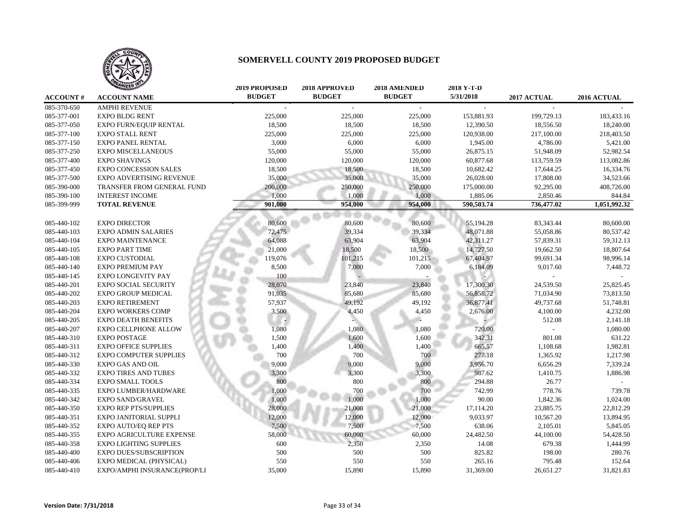

|                 | WIZED                           | <b>2019 PROPOSED</b> | 2018 APPROVED | 2018 AMENDED  | 2018 Y-T-D |             |              |
|-----------------|---------------------------------|----------------------|---------------|---------------|------------|-------------|--------------|
| <b>ACCOUNT#</b> | <b>ACCOUNT NAME</b>             | <b>BUDGET</b>        | <b>BUDGET</b> | <b>BUDGET</b> | 5/31/2018  | 2017 ACTUAL | 2016 ACTUAL  |
| 085-370-650     | <b>AMPHI REVENUE</b>            |                      |               |               |            |             |              |
| 085-377-001     | <b>EXPO BLDG RENT</b>           | 225,000              | 225,000       | 225,000       | 153,881.93 | 199,729.13  | 183,433.16   |
| 085-377-050     | <b>EXPO FURN/EQUIP RENTAL</b>   | 18,500               | 18,500        | 18,500        | 12,390.50  | 18,556.50   | 18,240.00    |
| 085-377-100     | <b>EXPO STALL RENT</b>          | 225,000              | 225,000       | 225,000       | 120,938.00 | 217,100.00  | 218,403.50   |
| 085-377-150     | <b>EXPO PANEL RENTAL</b>        | 3,000                | 6,000         | 6,000         | 1,945.00   | 4,786.00    | 5,421.00     |
| 085-377-250     | <b>EXPO MISCELLANEOUS</b>       | 55,000               | 55,000        | 55,000        | 26,875.15  | 51,948.09   | 52,982.54    |
| 085-377-400     | <b>EXPO SHAVINGS</b>            | 120,000              | 120,000       | 120,000       | 60,877.68  | 113,759.59  | 113,082.86   |
| 085-377-450     | <b>EXPO CONCESSION SALES</b>    | 18,500               | 18,500        | 18,500        | 10,682.42  | 17,644.25   | 16,334.76    |
| 085-377-500     | <b>EXPO ADVERTISING REVENUE</b> | 35,000               | 35,000        | 35,000        | 26,028.00  | 17,808.00   | 34,523.66    |
| 085-390-000     | TRANSFER FROM GENERAL FUND      | 200,000              | 250,000       | 250,000       | 175,000.00 | 92,295.00   | 408,726.00   |
| 085-390-100     | <b>INTEREST INCOME</b>          | 1,000                | 1,000         | 1,000         | 1,885.06   | 2,850.46    | 844.84       |
| 085-399-999     | <b>TOTAL REVENUE</b>            | 901.000              | 954,000       | 954,000       | 590,503.74 | 736,477.02  | 1,051,992.32 |
|                 |                                 |                      |               |               |            |             |              |
| 085-440-102     | <b>EXPO DIRECTOR</b>            | 80,600               | 80,600        | 80,600        | 55,194.28  | 83,343.44   | 80,600.00    |
| 085-440-103     | <b>EXPO ADMIN SALARIES</b>      | 72,475               | 39,334        | 39,334        | 48,071.88  | 55,058.86   | 80,537.42    |
| 085-440-104     | <b>EXPO MAINTENANCE</b>         | 64,088               | 63,904        | 63,904        | 42,311.27  | 57,839.31   | 59,312.13    |
| 085-440-105     | <b>EXPO PART TIME</b>           | 21,000               | 18,500        | 18,500        | 14,727.50  | 19,662.50   | 18,807.64    |
| 085-440-108     | <b>EXPO CUSTODIAL</b>           | 119,076              | 101,215       | 101,215       | 67,404.97  | 99,691.34   | 98,996.14    |
| 085-440-140     | <b>EXPO PREMIUM PAY</b>         | 8,500                | 7,000         | 7,000         | 6,184.09   | 9,017.60    | 7,448.72     |
| 085-440-145     | EXPO LONGEVITY PAY              | 100                  |               |               |            |             |              |
| 085-440-201     | <b>EXPO SOCIAL SECURITY</b>     | 28,070               | 23,840        | 23,840        | 17,300.30  | 24,539.50   | 25,825.45    |
| 085-440-202     | <b>EXPO GROUP MEDICAL</b>       | 91,035               | 85,680        | 85,680        | 56,858.72  | 71,034.90   | 73,813.50    |
| 085-440-203     | <b>EXPO RETIREMENT</b>          | 57,937               | 49,192        | 49,192        | 36,877.41  | 49,737.68   | 51,748.81    |
| 085-440-204     | <b>EXPO WORKERS COMP</b>        | 3,500                | 4,450         | 4,450         | 2,676.00   | 4,100.00    | 4,232.00     |
| 085-440-205     | <b>EXPO DEATH BENEFITS</b>      |                      |               |               |            | 512.08      | 2,141.18     |
| 085-440-207     | <b>EXPO CELLPHONE ALLOW</b>     | 1,080                | 1,080         | 1,080         | 720.00     |             | 1,080.00     |
| 085-440-310     | <b>EXPO POSTAGE</b>             | 1,500                | 1,600         | 1,600         | 342.31     | 801.08      | 631.22       |
| 085-440-311     | <b>EXPO OFFICE SUPPLIES</b>     | 1,400                | 1,400         | 1,400         | 665.57     | 1,108.68    | 1,982.81     |
| 085-440-312     | <b>EXPO COMPUTER SUPPLIES</b>   | 700                  | 700           | 700           | 277.18     | 1,365.92    | 1,217.98     |
| 085-440-330     | <b>EXPO GAS AND OIL</b>         | 9,000                | 9,000         | 9,000         | 3,956.70   | 6,656.29    | 7,339.24     |
| 085-440-332     | <b>EXPO TIRES AND TUBES</b>     | 3,300                | 3,300         | 3,300         | 987.62     | 1,410.75    | 1,886.98     |
| 085-440-334     | <b>EXPO SMALL TOOLS</b>         | 800                  | 800           | 800           | 294.88     | 26.77       |              |
| 085-440-335     | EXPO LUMBER/HARDWARE            | 1,000                | 700           | 700           | 742.99     | 778.76      | 739.78       |
| 085-440-342     | <b>EXPO SAND/GRAVEL</b>         | 1,000                | 1,000         | 1,000         | 90.00      | 1,842.36    | 1,024.00     |
| 085-440-350     | <b>EXPO REP PTS/SUPPLIES</b>    | 28,000               | 21,000        | 21,000        | 17,114.20  | 23,885.75   | 22,812.29    |
| 085-440-351     | EXPO JANITORIAL SUPPLI          | 12,000               | 12,000        | 12,000        | 9,033.97   | 10,567.20   | 13,894.95    |
| 085-440-352     | EXPO AUTO/EQ REP PTS            | 7,500                | 7,500         | 7,500         | 638.06     | 2,105.01    | 5,845.05     |
| 085-440-355     | EXPO AGRICULTURE EXPENSE        | 58,000               | 60,000        | 60,000        | 24,482.50  | 44,100.00   | 54,428.50    |
| 085-440-358     | <b>EXPO LIGHTING SUPPLIES</b>   | 600                  | 2,350         | 2,350         | 14.08      | 679.38      | 1,444.99     |
| 085-440-400     | <b>EXPO DUES/SUBSCRIPTION</b>   | 500                  | 500           | 500           | 825.82     | 198.00      | 280.76       |
| 085-440-406     | EXPO MEDICAL (PHYSICAL)         | 550                  | 550           | 550           | 265.16     | 795.48      | 152.64       |
| 085-440-410     | EXPO/AMPHI INSURANCE(PROP/LI    | 35,000               | 15,890        | 15,890        | 31,369.00  | 26,651.27   | 31,821.83    |